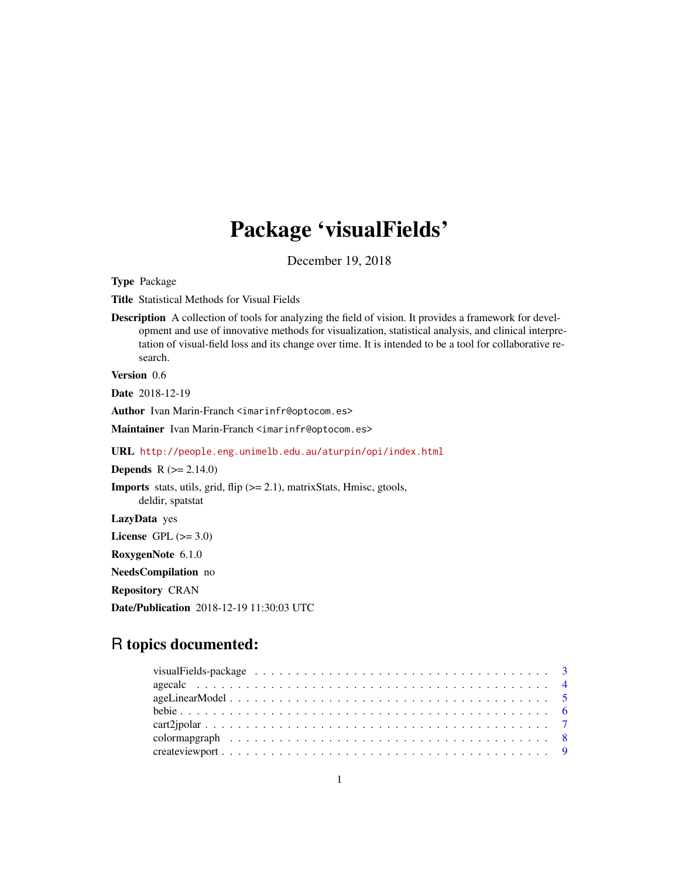# Package 'visualFields'

December 19, 2018

<span id="page-0-0"></span>Type Package

Title Statistical Methods for Visual Fields

Description A collection of tools for analyzing the field of vision. It provides a framework for development and use of innovative methods for visualization, statistical analysis, and clinical interpretation of visual-field loss and its change over time. It is intended to be a tool for collaborative research.

Version 0.6

Date 2018-12-19

Author Ivan Marin-Franch <imarinfr@optocom.es>

Maintainer Ivan Marin-Franch <imarinfr@optocom.es>

URL <http://people.eng.unimelb.edu.au/aturpin/opi/index.html>

**Depends**  $R (= 2.14.0)$ 

Imports stats, utils, grid, flip (>= 2.1), matrixStats, Hmisc, gtools, deldir, spatstat

LazyData yes

License GPL  $(>= 3.0)$ 

RoxygenNote 6.1.0

NeedsCompilation no

Repository CRAN

Date/Publication 2018-12-19 11:30:03 UTC

## R topics documented:

| visualFields-package $\ldots \ldots \ldots \ldots \ldots \ldots \ldots \ldots \ldots \ldots \ldots \ldots$ |  |
|------------------------------------------------------------------------------------------------------------|--|
|                                                                                                            |  |
|                                                                                                            |  |
|                                                                                                            |  |
|                                                                                                            |  |
|                                                                                                            |  |
|                                                                                                            |  |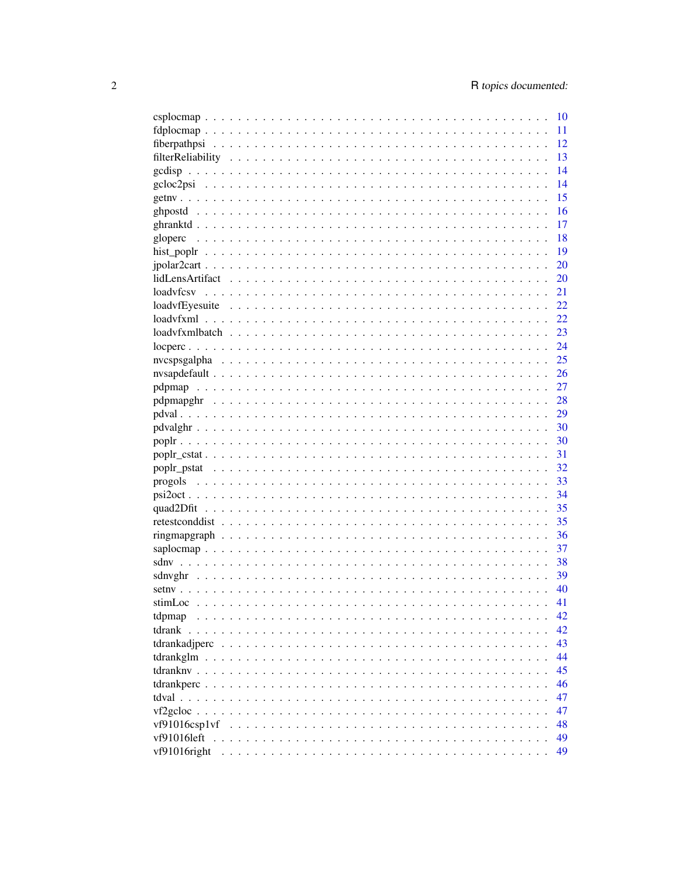|                                                                                                            | 10  |
|------------------------------------------------------------------------------------------------------------|-----|
|                                                                                                            | 11  |
|                                                                                                            | 12  |
|                                                                                                            | 13  |
|                                                                                                            | 14  |
|                                                                                                            | 14  |
|                                                                                                            | 15  |
|                                                                                                            | 16  |
|                                                                                                            | 17  |
|                                                                                                            | 18  |
|                                                                                                            | 19  |
|                                                                                                            | 20  |
|                                                                                                            | 20  |
| loadyfcsy                                                                                                  | 21  |
| $loadvfEyesuite \dots \dots \dots \dots \dots \dots \dots \dots \dots \dots \dots \dots \dots \dots \dots$ | 22  |
|                                                                                                            | 22  |
|                                                                                                            | 23  |
|                                                                                                            | 24  |
|                                                                                                            | 25  |
|                                                                                                            | 26  |
|                                                                                                            | 27  |
|                                                                                                            | 28  |
|                                                                                                            | 29  |
|                                                                                                            | 30  |
|                                                                                                            | 30  |
|                                                                                                            | 31  |
|                                                                                                            | 32  |
|                                                                                                            | 33  |
|                                                                                                            | -34 |
|                                                                                                            | 35  |
|                                                                                                            | 35  |
|                                                                                                            | 36  |
|                                                                                                            | 37  |
|                                                                                                            | 38  |
|                                                                                                            | 39  |
|                                                                                                            | 40  |
|                                                                                                            | 41  |
| tdpmap                                                                                                     | 42  |
| tdrank                                                                                                     | 42  |
|                                                                                                            | 43  |
|                                                                                                            | 44  |
|                                                                                                            | 45  |
|                                                                                                            | 46  |
|                                                                                                            | 47  |
|                                                                                                            | 47  |
| vf91016csp1vf                                                                                              | 48  |
| vf91016left                                                                                                | 49  |
| vf91016right                                                                                               | 49  |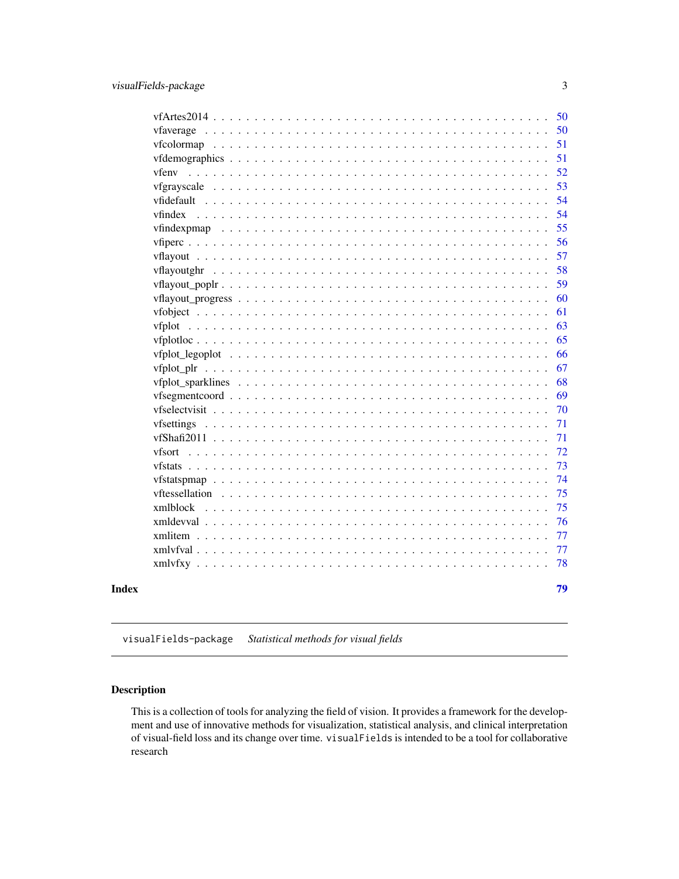<span id="page-2-0"></span>

| 50<br>51<br>51<br>52<br>vfenv<br>53<br>54<br>54<br>vfindex<br>55<br>56<br>57<br>58<br>vflayoutghr<br>59<br>60<br>61<br>63<br>65<br>66<br>67<br>68<br>69<br>70<br>71<br>71<br>72<br>vfsort<br>73<br>74<br>75<br>vftessellation<br>75<br>xmlblock<br>76<br>$x$ mldevval<br>77<br>$x$ mlitem $\ldots$<br>77<br>78<br>79<br>Index | 50 |
|-------------------------------------------------------------------------------------------------------------------------------------------------------------------------------------------------------------------------------------------------------------------------------------------------------------------------------|----|
|                                                                                                                                                                                                                                                                                                                               |    |
|                                                                                                                                                                                                                                                                                                                               |    |
|                                                                                                                                                                                                                                                                                                                               |    |
|                                                                                                                                                                                                                                                                                                                               |    |
|                                                                                                                                                                                                                                                                                                                               |    |
|                                                                                                                                                                                                                                                                                                                               |    |
|                                                                                                                                                                                                                                                                                                                               |    |
|                                                                                                                                                                                                                                                                                                                               |    |
|                                                                                                                                                                                                                                                                                                                               |    |
|                                                                                                                                                                                                                                                                                                                               |    |
|                                                                                                                                                                                                                                                                                                                               |    |
|                                                                                                                                                                                                                                                                                                                               |    |
|                                                                                                                                                                                                                                                                                                                               |    |
|                                                                                                                                                                                                                                                                                                                               |    |
|                                                                                                                                                                                                                                                                                                                               |    |
|                                                                                                                                                                                                                                                                                                                               |    |
|                                                                                                                                                                                                                                                                                                                               |    |
|                                                                                                                                                                                                                                                                                                                               |    |
|                                                                                                                                                                                                                                                                                                                               |    |
|                                                                                                                                                                                                                                                                                                                               |    |
|                                                                                                                                                                                                                                                                                                                               |    |
|                                                                                                                                                                                                                                                                                                                               |    |
|                                                                                                                                                                                                                                                                                                                               |    |
|                                                                                                                                                                                                                                                                                                                               |    |
|                                                                                                                                                                                                                                                                                                                               |    |
|                                                                                                                                                                                                                                                                                                                               |    |
|                                                                                                                                                                                                                                                                                                                               |    |
|                                                                                                                                                                                                                                                                                                                               |    |
|                                                                                                                                                                                                                                                                                                                               |    |
|                                                                                                                                                                                                                                                                                                                               |    |
|                                                                                                                                                                                                                                                                                                                               |    |
|                                                                                                                                                                                                                                                                                                                               |    |
|                                                                                                                                                                                                                                                                                                                               |    |

visualFields-package *Statistical methods for visual fields*

## <span id="page-2-1"></span>Description

This is a collection of tools for analyzing the field of vision. It provides a framework for the development and use of innovative methods for visualization, statistical analysis, and clinical interpretation of visual-field loss and its change over time. visualFields is intended to be a tool for collaborative research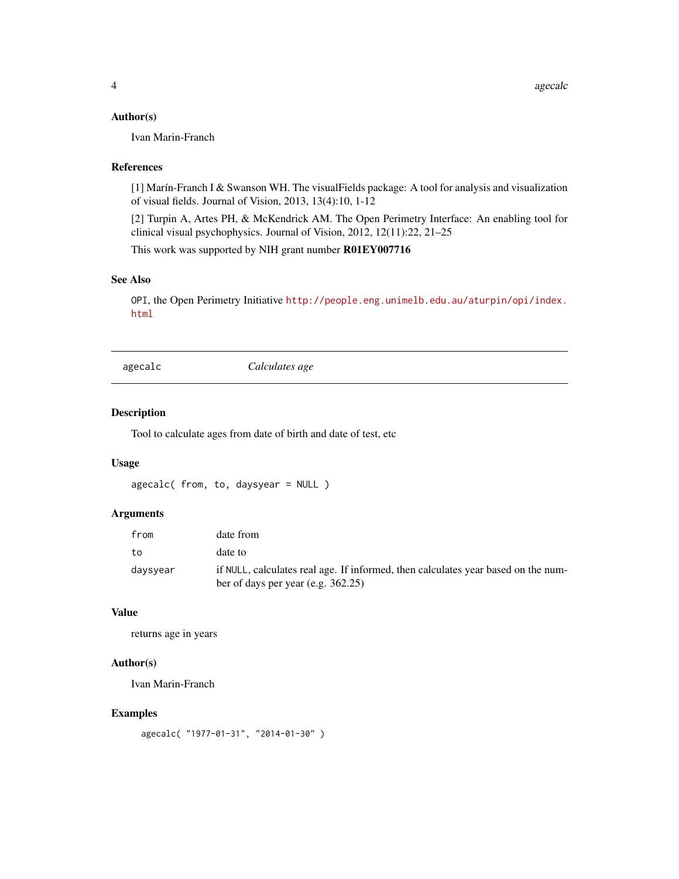### <span id="page-3-0"></span>Author(s)

Ivan Marin-Franch

#### References

[1] Marín-Franch I & Swanson WH. The visualFields package: A tool for analysis and visualization of visual fields. Journal of Vision, 2013, 13(4):10, 1-12

[2] Turpin A, Artes PH, & McKendrick AM. The Open Perimetry Interface: An enabling tool for clinical visual psychophysics. Journal of Vision, 2012, 12(11):22, 21–25

This work was supported by NIH grant number R01EY007716

#### See Also

OPI, the Open Perimetry Initiative [http://people.eng.unimelb.edu.au/aturpin/opi/index.](http://people.eng.unimelb.edu.au/aturpin/opi/index.html) [html](http://people.eng.unimelb.edu.au/aturpin/opi/index.html)

agecalc *Calculates age*

#### Description

Tool to calculate ages from date of birth and date of test, etc

### Usage

```
agecalc( from, to, daysyear = NULL )
```
### Arguments

| from     | date from                                                                                                                  |
|----------|----------------------------------------------------------------------------------------------------------------------------|
| to       | date to                                                                                                                    |
| daysyear | if NULL, calculates real age. If informed, then calculates year based on the num-<br>ber of days per year (e.g. $362.25$ ) |

### Value

returns age in years

### Author(s)

Ivan Marin-Franch

### Examples

```
agecalc( "1977-01-31", "2014-01-30" )
```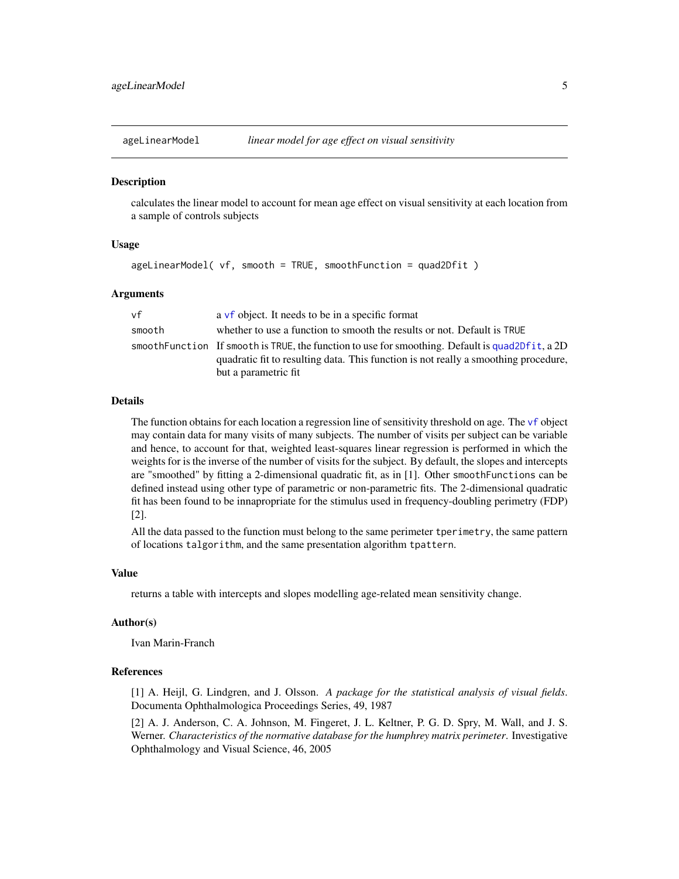<span id="page-4-1"></span><span id="page-4-0"></span>

calculates the linear model to account for mean age effect on visual sensitivity at each location from a sample of controls subjects

### Usage

```
ageLinearModel( vf, smooth = TRUE, smoothFunction = quad2Dfit )
```
#### Arguments

| vf     | a vf object. It needs to be in a specific format                                                                                                                                        |
|--------|-----------------------------------------------------------------------------------------------------------------------------------------------------------------------------------------|
| smooth | whether to use a function to smooth the results or not. Default is TRUE                                                                                                                 |
|        | smooth Function If smooth is TRUE, the function to use for smoothing. Default is quad2Dfit, a 2D<br>quadratic fit to resulting data. This function is not really a smoothing procedure, |
|        | but a parametric fit                                                                                                                                                                    |

#### Details

The function obtains for each location a regression line of sensitivity threshold on age. The [vf](#page-60-1) object may contain data for many visits of many subjects. The number of visits per subject can be variable and hence, to account for that, weighted least-squares linear regression is performed in which the weights for is the inverse of the number of visits for the subject. By default, the slopes and intercepts are "smoothed" by fitting a 2-dimensional quadratic fit, as in [1]. Other smoothFunctions can be defined instead using other type of parametric or non-parametric fits. The 2-dimensional quadratic fit has been found to be innapropriate for the stimulus used in frequency-doubling perimetry (FDP) [2].

All the data passed to the function must belong to the same perimeter tperimetry, the same pattern of locations talgorithm, and the same presentation algorithm tpattern.

### Value

returns a table with intercepts and slopes modelling age-related mean sensitivity change.

#### Author(s)

Ivan Marin-Franch

#### References

[1] A. Heijl, G. Lindgren, and J. Olsson. *A package for the statistical analysis of visual fields*. Documenta Ophthalmologica Proceedings Series, 49, 1987

[2] A. J. Anderson, C. A. Johnson, M. Fingeret, J. L. Keltner, P. G. D. Spry, M. Wall, and J. S. Werner. *Characteristics of the normative database for the humphrey matrix perimeter*. Investigative Ophthalmology and Visual Science, 46, 2005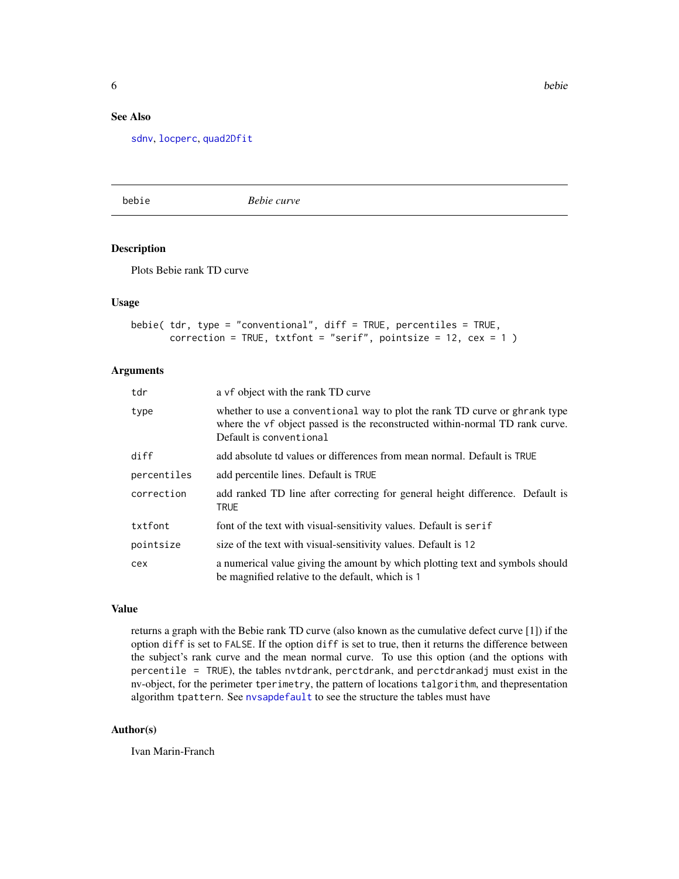### <span id="page-5-0"></span>See Also

[sdnv](#page-37-1), [locperc](#page-23-1), [quad2Dfit](#page-34-1)

<span id="page-5-1"></span>bebie *Bebie curve*

#### Description

Plots Bebie rank TD curve

#### Usage

```
bebie( tdr, type = "conventional", diff = TRUE, percentiles = TRUE,
       correction = TRUE, txtfont = "serif", pointsize = 12, cex = 1)
```
#### Arguments

| tdr         | a vf object with the rank TD curve                                                                                                                                                    |
|-------------|---------------------------------------------------------------------------------------------------------------------------------------------------------------------------------------|
| type        | whether to use a conventional way to plot the rank TD curve or ghrank type<br>where the vf object passed is the reconstructed within-normal TD rank curve.<br>Default is conventional |
| diff        | add absolute td values or differences from mean normal. Default is TRUE                                                                                                               |
| percentiles | add percentile lines. Default is TRUE                                                                                                                                                 |
| correction  | add ranked TD line after correcting for general height difference. Default is<br><b>TRUE</b>                                                                                          |
| txtfont     | font of the text with visual-sensitivity values. Default is serif                                                                                                                     |
| pointsize   | size of the text with visual-sensitivity values. Default is 12                                                                                                                        |
| cex         | a numerical value giving the amount by which plotting text and symbols should<br>be magnified relative to the default, which is 1                                                     |

#### Value

returns a graph with the Bebie rank TD curve (also known as the cumulative defect curve [1]) if the option diff is set to FALSE. If the option diff is set to true, then it returns the difference between the subject's rank curve and the mean normal curve. To use this option (and the options with percentile = TRUE), the tables nvtdrank, perctdrank, and perctdrankadj must exist in the nv-object, for the perimeter tperimetry, the pattern of locations talgorithm, and thepresentation algorithm tpattern. See [nvsapdefault](#page-25-1) to see the structure the tables must have

### Author(s)

Ivan Marin-Franch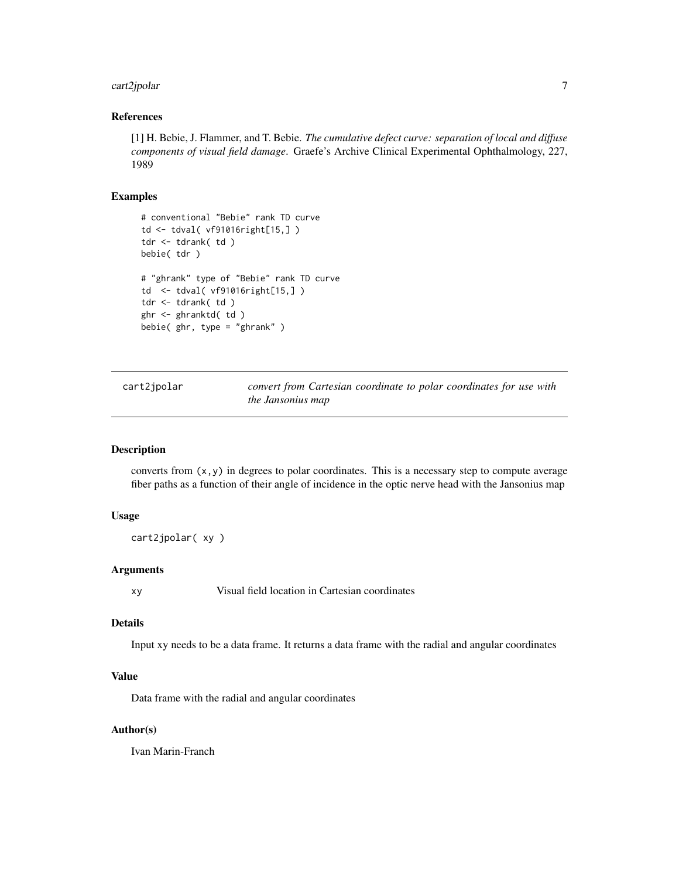### <span id="page-6-0"></span>cart2jpolar 7

### References

[1] H. Bebie, J. Flammer, and T. Bebie. *The cumulative defect curve: separation of local and diffuse components of visual field damage*. Graefe's Archive Clinical Experimental Ophthalmology, 227, 1989

### Examples

```
# conventional "Bebie" rank TD curve
td <- tdval( vf91016right[15,] )
tdr <- tdrank( td )
bebie( tdr )
# "ghrank" type of "Bebie" rank TD curve
td <- tdval( vf91016right[15,] )
tdr <- tdrank( td )
ghr <- ghranktd( td )
bebie( ghr, type = "ghrank" )
```
<span id="page-6-1"></span>cart2jpolar *convert from Cartesian coordinate to polar coordinates for use with the Jansonius map*

#### Description

converts from  $(x, y)$  in degrees to polar coordinates. This is a necessary step to compute average fiber paths as a function of their angle of incidence in the optic nerve head with the Jansonius map

### Usage

```
cart2jpolar( xy )
```
#### Arguments

xy Visual field location in Cartesian coordinates

#### Details

Input xy needs to be a data frame. It returns a data frame with the radial and angular coordinates

#### Value

Data frame with the radial and angular coordinates

### Author(s)

Ivan Marin-Franch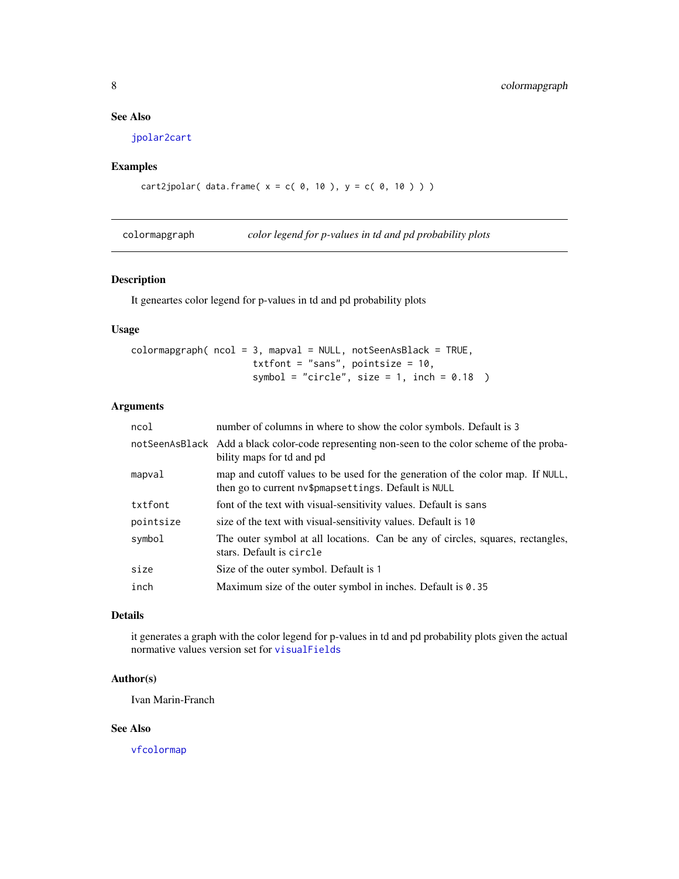### <span id="page-7-0"></span>See Also

[jpolar2cart](#page-19-1)

### Examples

```
cart2jpolar( data frame(x = c( 0, 10 ), y = c( 0, 10 ) ))
```
colormapgraph *color legend for p-values in td and pd probability plots*

#### Description

It geneartes color legend for p-values in td and pd probability plots

### Usage

```
colormap{red} colormapgraph( ncol = 3, mapval = NULL, notSeenAsBlack = TRUE,
                       txtfont = "sans", pointsize = 10,
                       symbol = "circle", size = 1, inch = 0.18)
```
### Arguments

| notSeenAsBlack Add a black color-code representing non-seen to the color scheme of the proba- |
|-----------------------------------------------------------------------------------------------|
| map and cutoff values to be used for the generation of the color map. If NULL,                |
| font of the text with visual-sensitivity values. Default is sans                              |
|                                                                                               |
| The outer symbol at all locations. Can be any of circles, squares, rectangles,                |
|                                                                                               |
| Maximum size of the outer symbol in inches. Default is 0.35                                   |
|                                                                                               |

#### Details

it generates a graph with the color legend for p-values in td and pd probability plots given the actual normative values version set for [visualFields](#page-2-1)

### Author(s)

Ivan Marin-Franch

#### See Also

[vfcolormap](#page-50-1)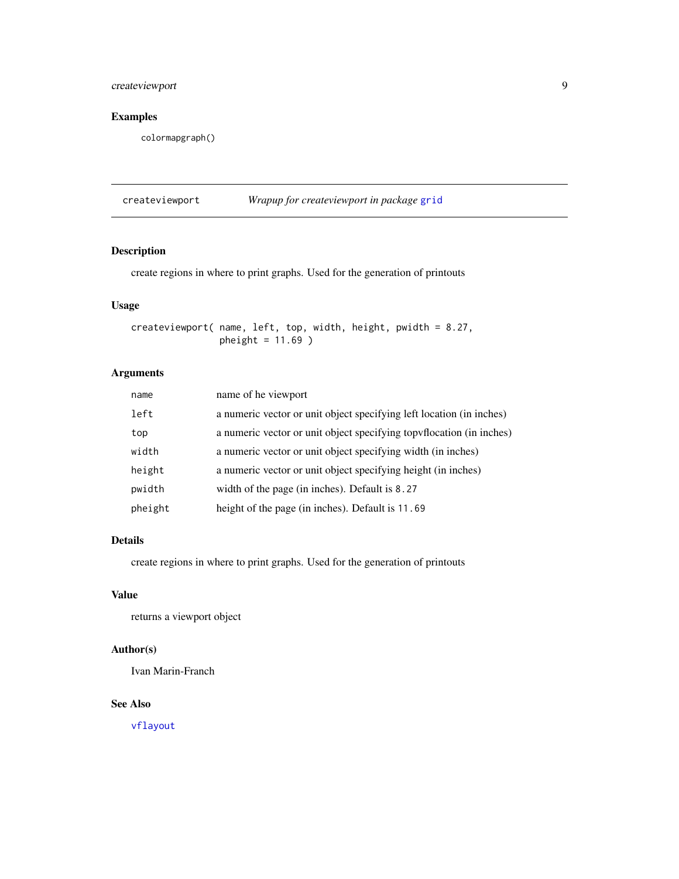### <span id="page-8-0"></span>createviewport 9

### Examples

colormapgraph()

createviewport *Wrapup for createviewport in package* [grid](#page-0-0)

### Description

create regions in where to print graphs. Used for the generation of printouts

### Usage

createviewport( name, left, top, width, height, pwidth = 8.27, pheight = 11.69 )

### Arguments

| name    | name of he viewport                                                  |
|---------|----------------------------------------------------------------------|
| left    | a numeric vector or unit object specifying left location (in inches) |
| top     | a numeric vector or unit object specifying topyflocation (in inches) |
| width   | a numeric vector or unit object specifying width (in inches)         |
| height  | a numeric vector or unit object specifying height (in inches)        |
| pwidth  | width of the page (in inches). Default is 8.27                       |
| pheight | height of the page (in inches). Default is 11.69                     |

### Details

create regions in where to print graphs. Used for the generation of printouts

#### Value

returns a viewport object

### Author(s)

Ivan Marin-Franch

### See Also

[vflayout](#page-56-1)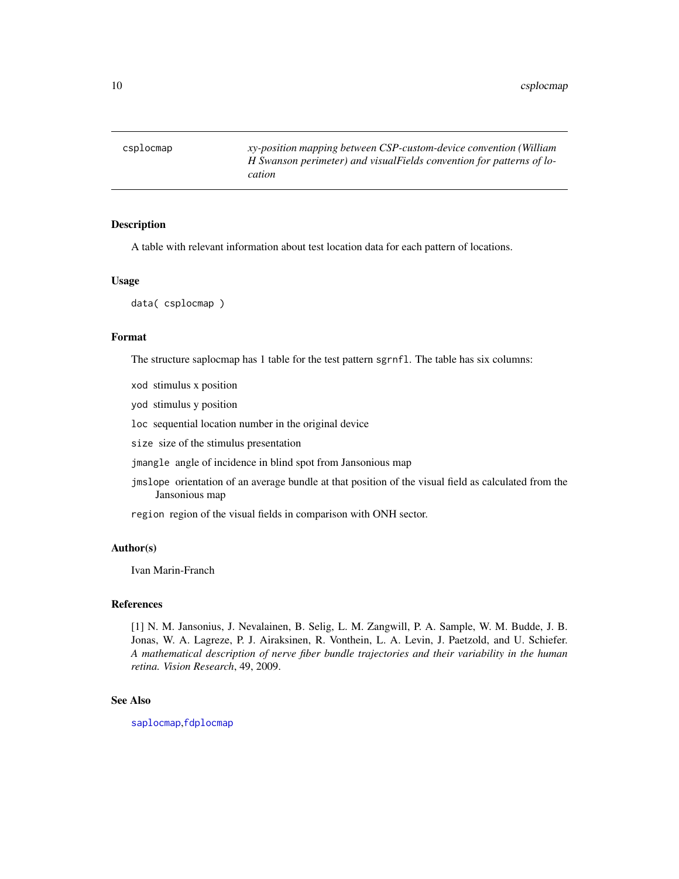<span id="page-9-0"></span>csplocmap *xy-position mapping between CSP-custom-device convention (William H Swanson perimeter) and visualFields convention for patterns of location*

### Description

A table with relevant information about test location data for each pattern of locations.

#### Usage

data( csplocmap )

#### Format

The structure saplocmap has 1 table for the test pattern sgrnfl. The table has six columns:

xod stimulus x position

yod stimulus y position

loc sequential location number in the original device

size size of the stimulus presentation

jmangle angle of incidence in blind spot from Jansonious map

jmslope orientation of an average bundle at that position of the visual field as calculated from the Jansonious map

region region of the visual fields in comparison with ONH sector.

### Author(s)

Ivan Marin-Franch

#### References

[1] N. M. Jansonius, J. Nevalainen, B. Selig, L. M. Zangwill, P. A. Sample, W. M. Budde, J. B. Jonas, W. A. Lagreze, P. J. Airaksinen, R. Vonthein, L. A. Levin, J. Paetzold, and U. Schiefer. *A mathematical description of nerve fiber bundle trajectories and their variability in the human retina. Vision Research*, 49, 2009.

#### See Also

[saplocmap](#page-36-1),[fdplocmap](#page-10-1)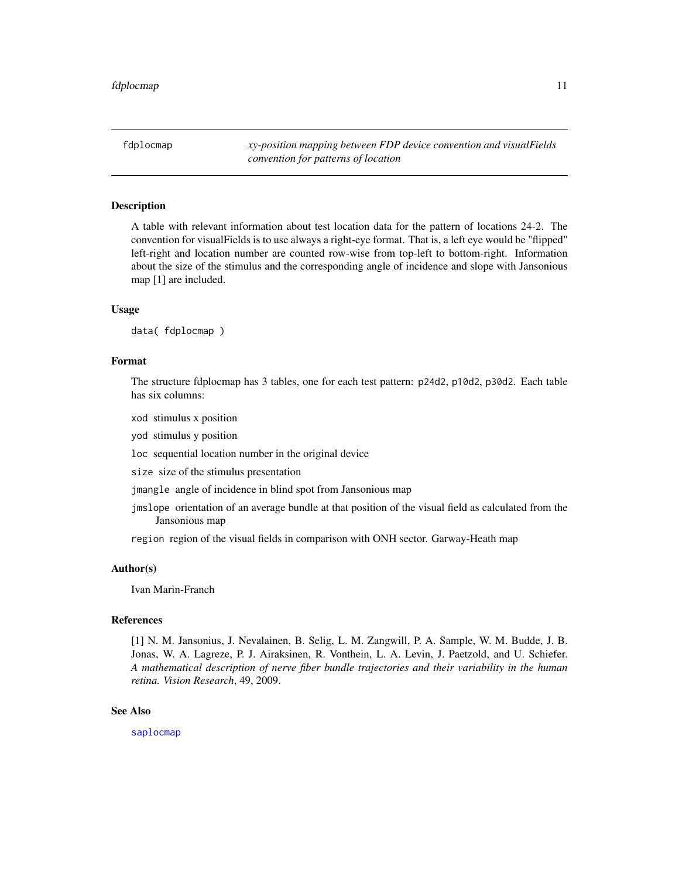<span id="page-10-1"></span><span id="page-10-0"></span>fdplocmap *xy-position mapping between FDP device convention and visualFields convention for patterns of location*

#### Description

A table with relevant information about test location data for the pattern of locations 24-2. The convention for visualFields is to use always a right-eye format. That is, a left eye would be "flipped" left-right and location number are counted row-wise from top-left to bottom-right. Information about the size of the stimulus and the corresponding angle of incidence and slope with Jansonious map [1] are included.

#### Usage

data( fdplocmap )

### Format

The structure fdplocmap has 3 tables, one for each test pattern: p24d2, p10d2, p30d2. Each table has six columns:

xod stimulus x position

yod stimulus y position

loc sequential location number in the original device

size size of the stimulus presentation

jmangle angle of incidence in blind spot from Jansonious map

jmslope orientation of an average bundle at that position of the visual field as calculated from the Jansonious map

region region of the visual fields in comparison with ONH sector. Garway-Heath map

### Author(s)

Ivan Marin-Franch

#### References

[1] N. M. Jansonius, J. Nevalainen, B. Selig, L. M. Zangwill, P. A. Sample, W. M. Budde, J. B. Jonas, W. A. Lagreze, P. J. Airaksinen, R. Vonthein, L. A. Levin, J. Paetzold, and U. Schiefer. *A mathematical description of nerve fiber bundle trajectories and their variability in the human retina. Vision Research*, 49, 2009.

### See Also

[saplocmap](#page-36-1)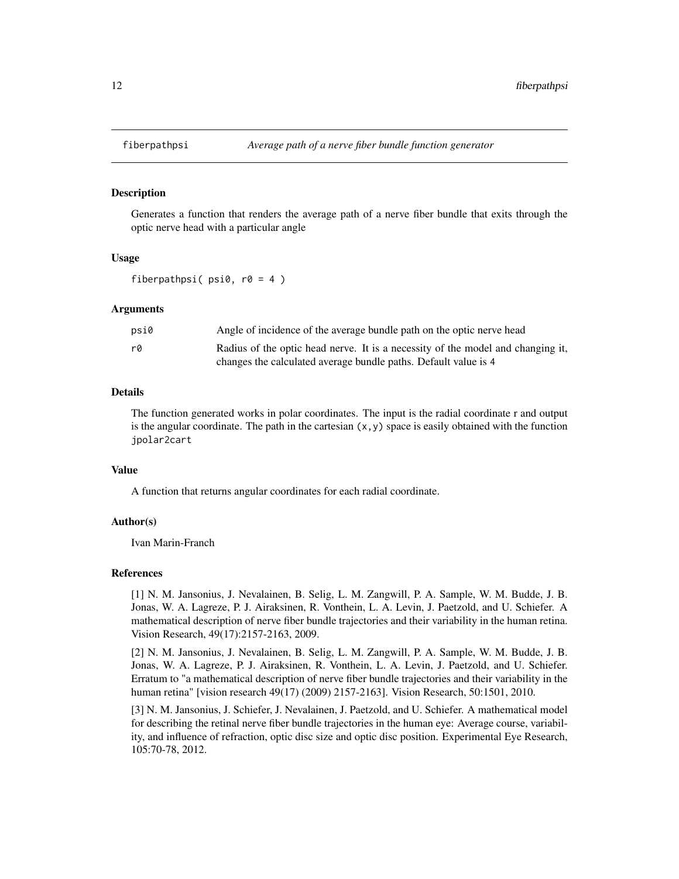<span id="page-11-1"></span><span id="page-11-0"></span>

Generates a function that renders the average path of a nerve fiber bundle that exits through the optic nerve head with a particular angle

#### Usage

fiberpathpsi(  $psi$ ,  $r0 = 4$  )

#### Arguments

| psi0 | Angle of incidence of the average bundle path on the optic nerve head           |
|------|---------------------------------------------------------------------------------|
| rØ   | Radius of the optic head nerve. It is a necessity of the model and changing it, |
|      | changes the calculated average bundle paths. Default value is 4                 |

#### Details

The function generated works in polar coordinates. The input is the radial coordinate r and output is the angular coordinate. The path in the cartesian  $(x, y)$  space is easily obtained with the function jpolar2cart

### Value

A function that returns angular coordinates for each radial coordinate.

#### Author(s)

Ivan Marin-Franch

#### References

[1] N. M. Jansonius, J. Nevalainen, B. Selig, L. M. Zangwill, P. A. Sample, W. M. Budde, J. B. Jonas, W. A. Lagreze, P. J. Airaksinen, R. Vonthein, L. A. Levin, J. Paetzold, and U. Schiefer. A mathematical description of nerve fiber bundle trajectories and their variability in the human retina. Vision Research, 49(17):2157-2163, 2009.

[2] N. M. Jansonius, J. Nevalainen, B. Selig, L. M. Zangwill, P. A. Sample, W. M. Budde, J. B. Jonas, W. A. Lagreze, P. J. Airaksinen, R. Vonthein, L. A. Levin, J. Paetzold, and U. Schiefer. Erratum to "a mathematical description of nerve fiber bundle trajectories and their variability in the human retina" [vision research 49(17) (2009) 2157-2163]. Vision Research, 50:1501, 2010.

[3] N. M. Jansonius, J. Schiefer, J. Nevalainen, J. Paetzold, and U. Schiefer. A mathematical model for describing the retinal nerve fiber bundle trajectories in the human eye: Average course, variability, and influence of refraction, optic disc size and optic disc position. Experimental Eye Research, 105:70-78, 2012.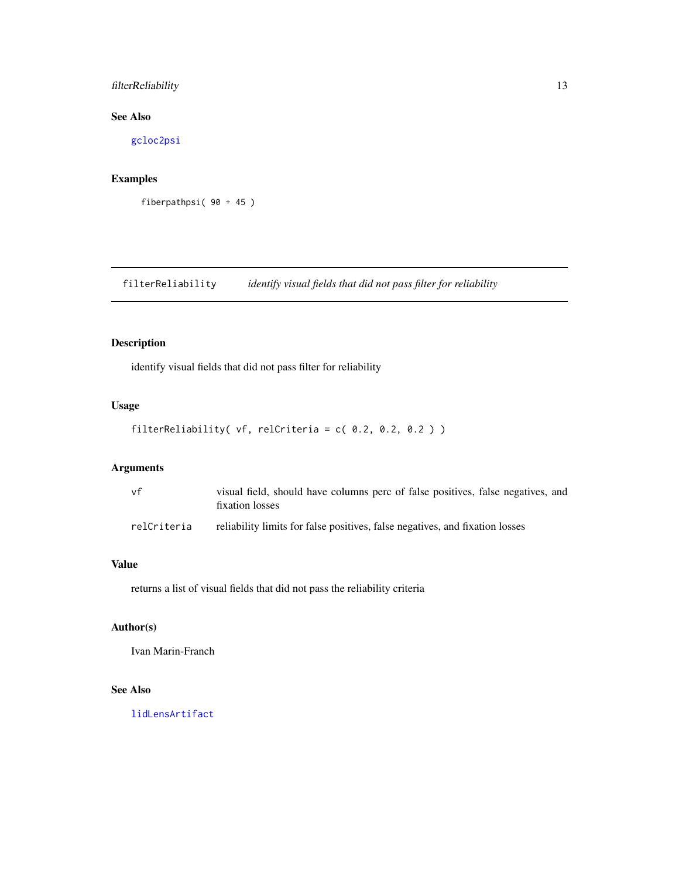### <span id="page-12-0"></span>filterReliability 13

### See Also

[gcloc2psi](#page-13-1)

### Examples

```
fiberpathpsi( 90 + 45 )
```
<span id="page-12-1"></span>filterReliability *identify visual fields that did not pass filter for reliability*

### Description

identify visual fields that did not pass filter for reliability

### Usage

```
filterReliability( vf, relCriteria = c( 0.2, 0.2, 0.2 ) )
```
### Arguments

| vf          | visual field, should have columns perc of false positives, false negatives, and<br>fixation losses |
|-------------|----------------------------------------------------------------------------------------------------|
| relCriteria | reliability limits for false positives, false negatives, and fixation losses                       |

### Value

returns a list of visual fields that did not pass the reliability criteria

### Author(s)

Ivan Marin-Franch

### See Also

[lidLensArtifact](#page-19-2)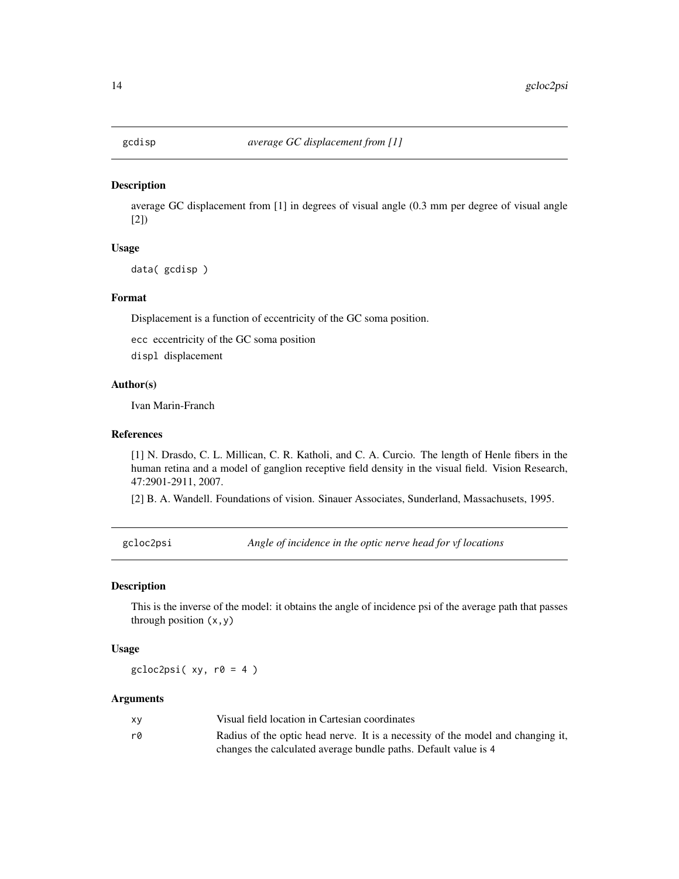<span id="page-13-0"></span>

average GC displacement from [1] in degrees of visual angle (0.3 mm per degree of visual angle [2])

#### Usage

data( gcdisp )

#### Format

Displacement is a function of eccentricity of the GC soma position.

ecc eccentricity of the GC soma position

displ displacement

### Author(s)

Ivan Marin-Franch

#### References

[1] N. Drasdo, C. L. Millican, C. R. Katholi, and C. A. Curcio. The length of Henle fibers in the human retina and a model of ganglion receptive field density in the visual field. Vision Research, 47:2901-2911, 2007.

[2] B. A. Wandell. Foundations of vision. Sinauer Associates, Sunderland, Massachusets, 1995.

<span id="page-13-1"></span>gcloc2psi *Angle of incidence in the optic nerve head for vf locations*

### Description

This is the inverse of the model: it obtains the angle of incidence psi of the average path that passes through position  $(x, y)$ 

#### Usage

 $gclock2psi(xy, r0 = 4)$ 

#### Arguments

| x٧ | Visual field location in Cartesian coordinates                                  |
|----|---------------------------------------------------------------------------------|
| rû | Radius of the optic head nerve. It is a necessity of the model and changing it, |
|    | changes the calculated average bundle paths. Default value is 4                 |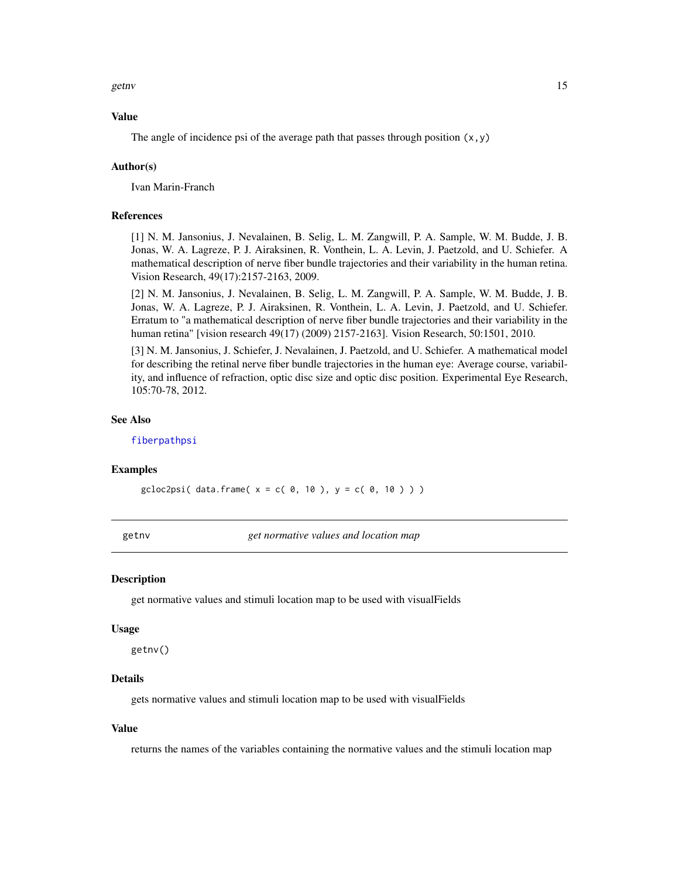<span id="page-14-0"></span>getny and the set of the set of the set of the set of the set of the set of the set of the set of the set of the set of the set of the set of the set of the set of the set of the set of the set of the set of the set of the

#### Value

The angle of incidence psi of the average path that passes through position  $(x, y)$ 

#### Author(s)

Ivan Marin-Franch

#### References

[1] N. M. Jansonius, J. Nevalainen, B. Selig, L. M. Zangwill, P. A. Sample, W. M. Budde, J. B. Jonas, W. A. Lagreze, P. J. Airaksinen, R. Vonthein, L. A. Levin, J. Paetzold, and U. Schiefer. A mathematical description of nerve fiber bundle trajectories and their variability in the human retina. Vision Research, 49(17):2157-2163, 2009.

[2] N. M. Jansonius, J. Nevalainen, B. Selig, L. M. Zangwill, P. A. Sample, W. M. Budde, J. B. Jonas, W. A. Lagreze, P. J. Airaksinen, R. Vonthein, L. A. Levin, J. Paetzold, and U. Schiefer. Erratum to "a mathematical description of nerve fiber bundle trajectories and their variability in the human retina" [vision research 49(17) (2009) 2157-2163]. Vision Research, 50:1501, 2010.

[3] N. M. Jansonius, J. Schiefer, J. Nevalainen, J. Paetzold, and U. Schiefer. A mathematical model for describing the retinal nerve fiber bundle trajectories in the human eye: Average course, variability, and influence of refraction, optic disc size and optic disc position. Experimental Eye Research, 105:70-78, 2012.

### See Also

[fiberpathpsi](#page-11-1)

#### Examples

 $gclock2psi$  (data.frame(  $x = c( 0, 10)$ ,  $y = c( 0, 10) )$ 

getnv *get normative values and location map*

#### Description

get normative values and stimuli location map to be used with visualFields

#### Usage

getnv()

### Details

gets normative values and stimuli location map to be used with visualFields

#### Value

returns the names of the variables containing the normative values and the stimuli location map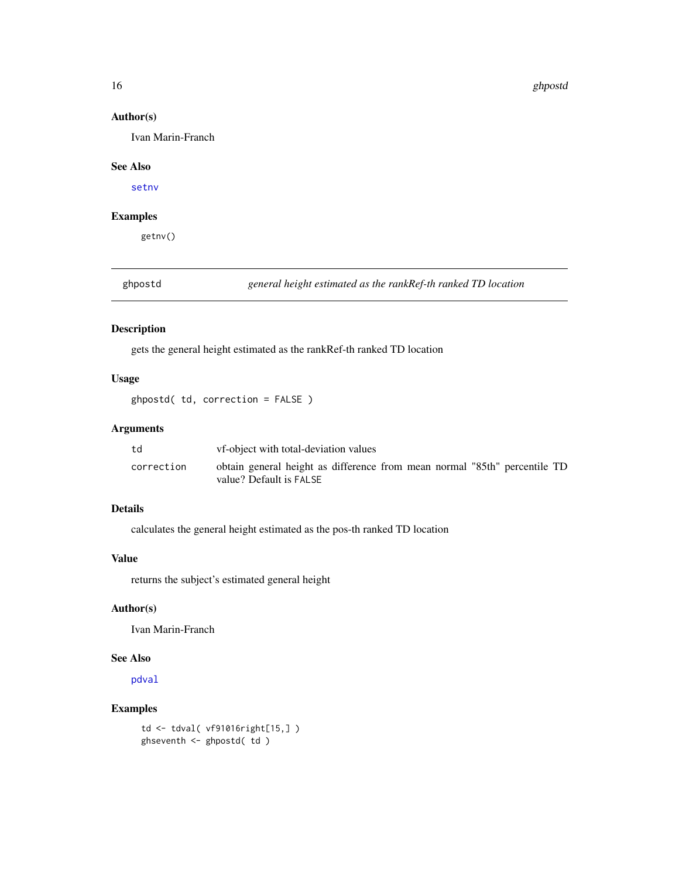#### 16 ghpostd

#### Author(s)

Ivan Marin-Franch

#### See Also

[setnv](#page-39-1)

### Examples

getnv()

<span id="page-15-1"></span>ghpostd *general height estimated as the rankRef-th ranked TD location*

### Description

gets the general height estimated as the rankRef-th ranked TD location

### Usage

ghpostd( td, correction = FALSE )

### Arguments

| td         | vf-object with total-deviation values                                                                |
|------------|------------------------------------------------------------------------------------------------------|
| correction | obtain general height as difference from mean normal "85th" percentile TD<br>value? Default is FALSE |

### Details

calculates the general height estimated as the pos-th ranked TD location

#### Value

returns the subject's estimated general height

#### Author(s)

Ivan Marin-Franch

#### See Also

[pdval](#page-28-1)

### Examples

```
td <- tdval( vf91016right[15,] )
ghseventh <- ghpostd( td )
```
<span id="page-15-0"></span>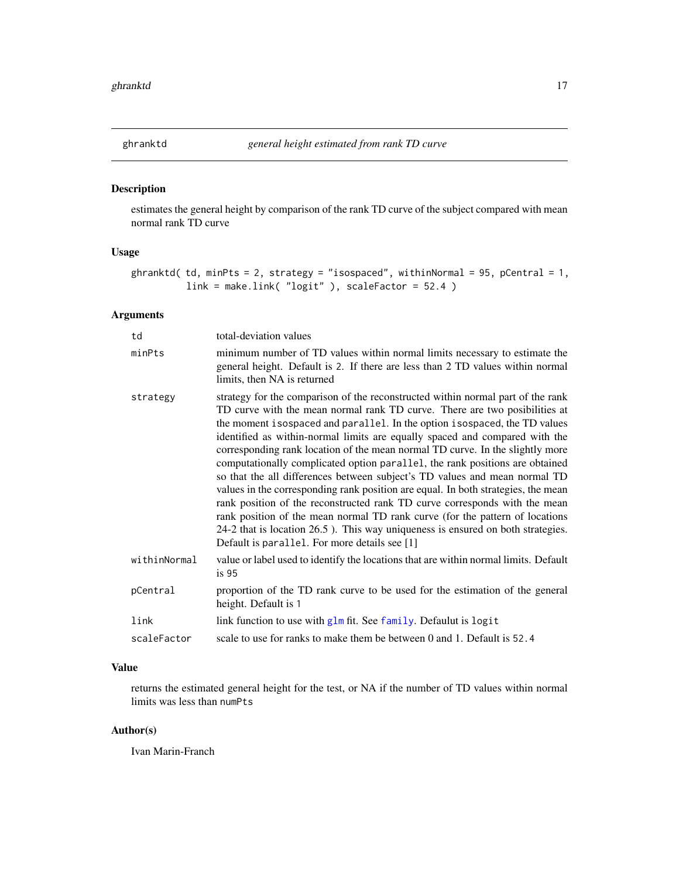<span id="page-16-0"></span>

estimates the general height by comparison of the rank TD curve of the subject compared with mean normal rank TD curve

### Usage

```
ghranktd( td, minPts = 2, strategy = "isospaced", withinNormal = 95, pCentral = 1,
          link = make.link( "logit" ), scaleFactor = 52.4 )
```
### Arguments

| td           | total-deviation values                                                                                                                                                                                                                                                                                                                                                                                                                                                                                                                                                                                                                                                                                                                                                                                                                                                                                                                                          |
|--------------|-----------------------------------------------------------------------------------------------------------------------------------------------------------------------------------------------------------------------------------------------------------------------------------------------------------------------------------------------------------------------------------------------------------------------------------------------------------------------------------------------------------------------------------------------------------------------------------------------------------------------------------------------------------------------------------------------------------------------------------------------------------------------------------------------------------------------------------------------------------------------------------------------------------------------------------------------------------------|
| minPts       | minimum number of TD values within normal limits necessary to estimate the<br>general height. Default is 2. If there are less than 2 TD values within normal<br>limits, then NA is returned                                                                                                                                                                                                                                                                                                                                                                                                                                                                                                                                                                                                                                                                                                                                                                     |
| strategy     | strategy for the comparison of the reconstructed within normal part of the rank<br>TD curve with the mean normal rank TD curve. There are two posibilities at<br>the moment isospaced and parallel. In the option isospaced, the TD values<br>identified as within-normal limits are equally spaced and compared with the<br>corresponding rank location of the mean normal TD curve. In the slightly more<br>computationally complicated option parallel, the rank positions are obtained<br>so that the all differences between subject's TD values and mean normal TD<br>values in the corresponding rank position are equal. In both strategies, the mean<br>rank position of the reconstructed rank TD curve corresponds with the mean<br>rank position of the mean normal TD rank curve (for the pattern of locations<br>24-2 that is location 26.5). This way uniqueness is ensured on both strategies.<br>Default is parallel. For more details see [1] |
| withinNormal | value or label used to identify the locations that are within normal limits. Default<br>is <sub>95</sub>                                                                                                                                                                                                                                                                                                                                                                                                                                                                                                                                                                                                                                                                                                                                                                                                                                                        |
| pCentral     | proportion of the TD rank curve to be used for the estimation of the general<br>height. Default is 1                                                                                                                                                                                                                                                                                                                                                                                                                                                                                                                                                                                                                                                                                                                                                                                                                                                            |
| link         | link function to use with glm fit. See family. Defaulut is logit                                                                                                                                                                                                                                                                                                                                                                                                                                                                                                                                                                                                                                                                                                                                                                                                                                                                                                |
| scaleFactor  | scale to use for ranks to make them be between 0 and 1. Default is 52.4                                                                                                                                                                                                                                                                                                                                                                                                                                                                                                                                                                                                                                                                                                                                                                                                                                                                                         |

### Value

returns the estimated general height for the test, or NA if the number of TD values within normal limits was less than numPts

### Author(s)

Ivan Marin-Franch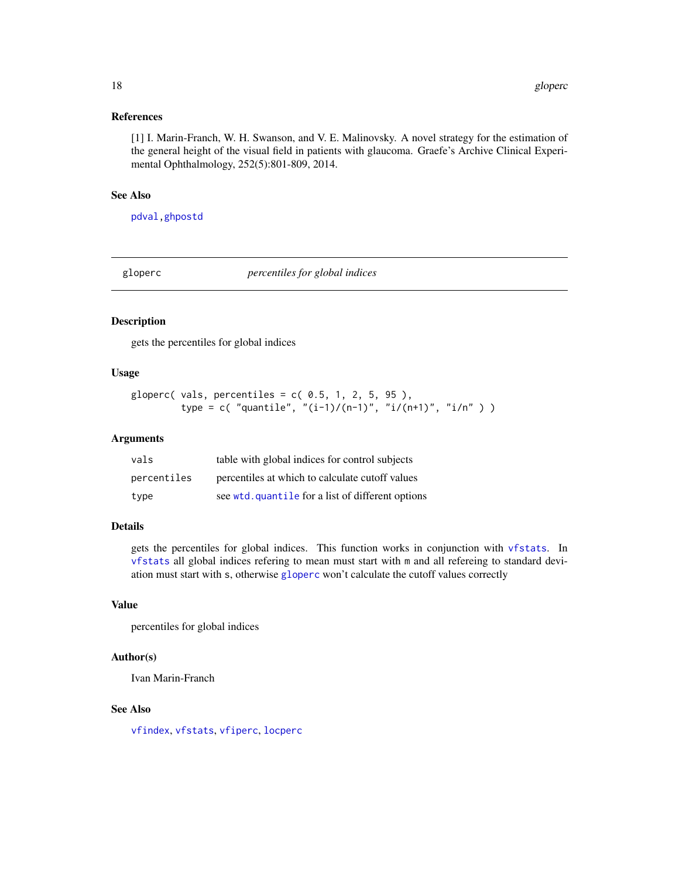#### <span id="page-17-0"></span>References

[1] I. Marin-Franch, W. H. Swanson, and V. E. Malinovsky. A novel strategy for the estimation of the general height of the visual field in patients with glaucoma. Graefe's Archive Clinical Experimental Ophthalmology, 252(5):801-809, 2014.

#### See Also

[pdval](#page-28-1)[,ghpostd](#page-15-1)

<span id="page-17-1"></span>gloperc *percentiles for global indices*

#### Description

gets the percentiles for global indices

### Usage

```
gloperc( vals, percentiles = c( 0.5, 1, 2, 5, 95),
        type = c( "quantile", "(i-1)/(n-1)", "i/(n+1)", "i/n" ) )
```
#### Arguments

| vals        | table with global indices for control subjects    |
|-------------|---------------------------------------------------|
| percentiles | percentiles at which to calculate cutoff values   |
| type        | see wtd. quantile for a list of different options |

#### Details

gets the percentiles for global indices. This function works in conjunction with [vfstats](#page-72-1). In [vfstats](#page-72-1) all global indices refering to mean must start with m and all refereing to standard deviation must start with s, otherwise [gloperc](#page-17-1) won't calculate the cutoff values correctly

#### Value

percentiles for global indices

#### Author(s)

Ivan Marin-Franch

### See Also

[vfindex](#page-53-1), [vfstats](#page-72-1), [vfiperc](#page-55-1), [locperc](#page-23-1)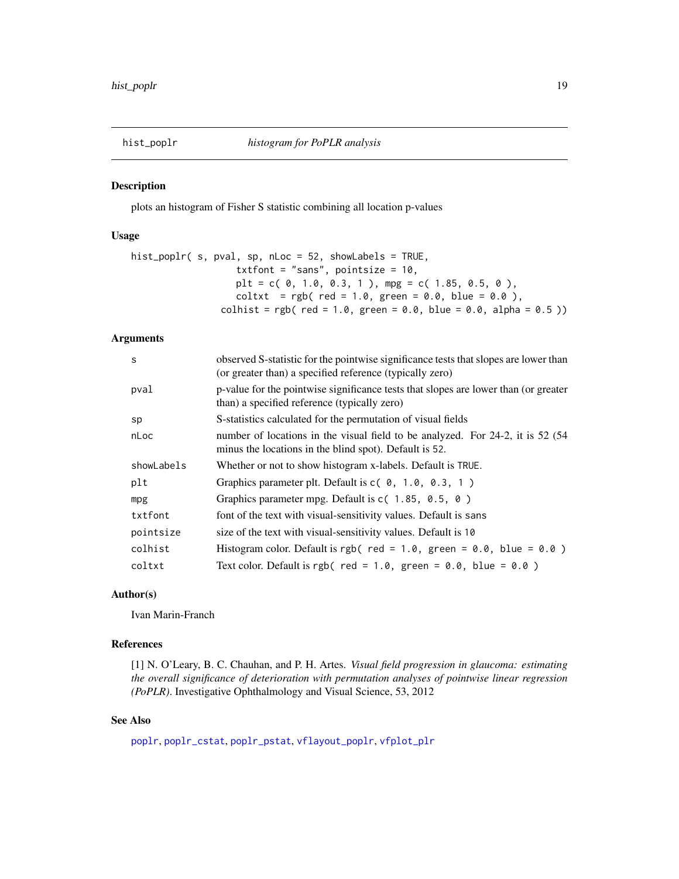<span id="page-18-0"></span>

plots an histogram of Fisher S statistic combining all location p-values

#### Usage

```
hist_poplr( s, pval, sp, nLoc = 52, showLabels = TRUE,
                     txtfont = "sans", pointsize = 10,
                     plt = c( 0, 1.0, 0.3, 1 ), mpg = c( 1.85, 0.5, 0 ),
                     coltxt = rgb( red = 1.0, green = 0.0, blue = 0.0),\text{colhist} = \text{rgb}(\text{red} = 1.0, \text{green} = 0.0, \text{blue} = 0.0, \text{alpha} = 0.5))
```
### Arguments

| S          | observed S-statistic for the pointwise significance tests that slopes are lower than<br>(or greater than) a specified reference (typically zero) |
|------------|--------------------------------------------------------------------------------------------------------------------------------------------------|
| pval       | p-value for the pointwise significance tests that slopes are lower than (or greater<br>than) a specified reference (typically zero)              |
| sp         | S-statistics calculated for the permutation of visual fields                                                                                     |
| nLoc       | number of locations in the visual field to be analyzed. For 24-2, it is 52 (54)<br>minus the locations in the blind spot). Default is 52.        |
| showLabels | Whether or not to show histogram x-labels. Default is TRUE.                                                                                      |
| plt        | Graphics parameter plt. Default is $c(0, 1.0, 0.3, 1)$                                                                                           |
| mpg        | Graphics parameter mpg. Default is $c(1.85, 0.5, 0)$                                                                                             |
| txtfont    | font of the text with visual-sensitivity values. Default is sans                                                                                 |
| pointsize  | size of the text with visual-sensitivity values. Default is 10                                                                                   |
| colhist    | Histogram color. Default is rgb( red = 1.0, green = $0.0$ , blue = $0.0$ )                                                                       |
| coltxt     | Text color. Default is rgb( red = $1.0$ , green = $0.0$ , blue = $0.0$ )                                                                         |
|            |                                                                                                                                                  |

### Author(s)

Ivan Marin-Franch

#### References

[1] N. O'Leary, B. C. Chauhan, and P. H. Artes. *Visual field progression in glaucoma: estimating the overall significance of deterioration with permutation analyses of pointwise linear regression (PoPLR)*. Investigative Ophthalmology and Visual Science, 53, 2012

#### See Also

[poplr](#page-29-1), [poplr\\_cstat](#page-30-1), [poplr\\_pstat](#page-31-1), [vflayout\\_poplr](#page-58-1), [vfplot\\_plr](#page-66-1)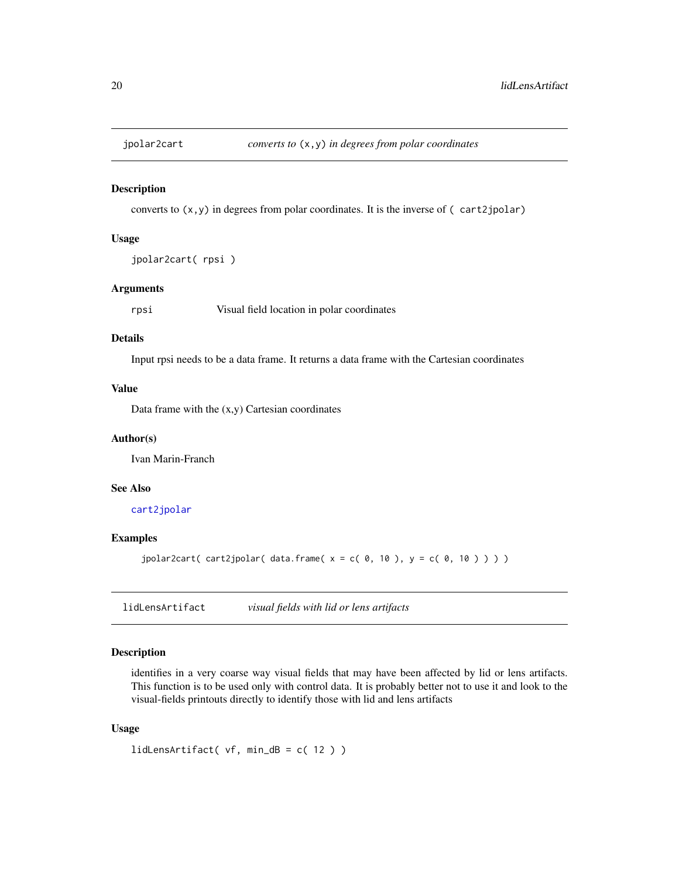<span id="page-19-1"></span><span id="page-19-0"></span>

converts to  $(x, y)$  in degrees from polar coordinates. It is the inverse of  $(\text{cart2jpolar})$ 

#### Usage

```
jpolar2cart( rpsi )
```
### Arguments

rpsi Visual field location in polar coordinates

### Details

Input rpsi needs to be a data frame. It returns a data frame with the Cartesian coordinates

### Value

Data frame with the  $(x,y)$  Cartesian coordinates

### Author(s)

Ivan Marin-Franch

### See Also

[cart2jpolar](#page-6-1)

#### Examples

jpolar2cart( cart2jpolar( data.frame(  $x = c( 0, 10)$ ,  $y = c( 0, 10) )$ )

<span id="page-19-2"></span>lidLensArtifact *visual fields with lid or lens artifacts*

### Description

identifies in a very coarse way visual fields that may have been affected by lid or lens artifacts. This function is to be used only with control data. It is probably better not to use it and look to the visual-fields printouts directly to identify those with lid and lens artifacts

#### Usage

```
lidLensArtifact( vf, min_dB = c( 12 ) )
```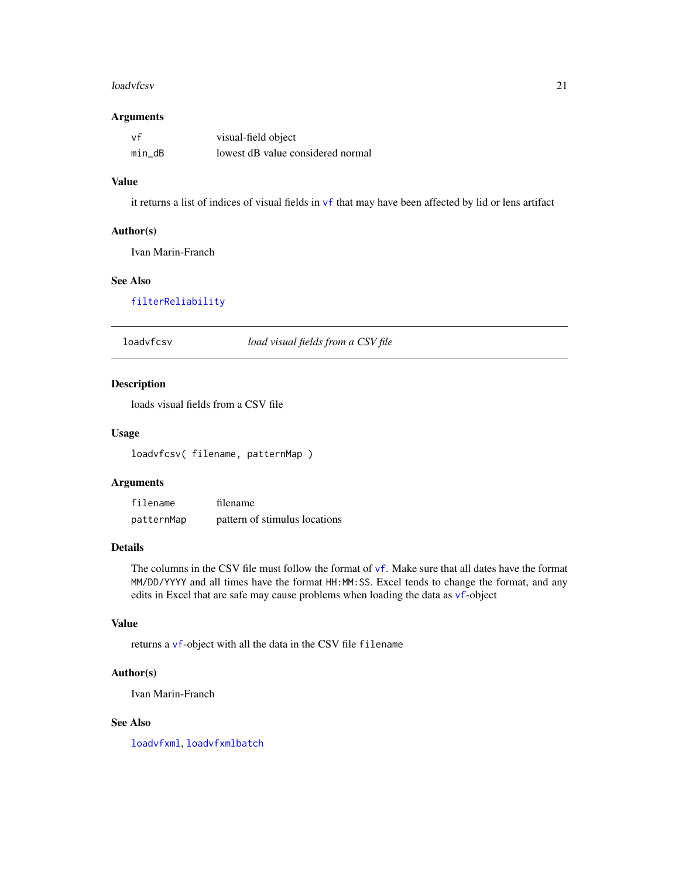#### <span id="page-20-0"></span>loadvfcsv 21

### Arguments

| vf     | visual-field object               |
|--------|-----------------------------------|
| min dB | lowest dB value considered normal |

### Value

it returns a list of indices of visual fields in [vf](#page-60-1) that may have been affected by lid or lens artifact

### Author(s)

Ivan Marin-Franch

### See Also

[filterReliability](#page-12-1)

<span id="page-20-1"></span>loadvfcsv *load visual fields from a CSV file*

### Description

loads visual fields from a CSV file

### Usage

loadvfcsv( filename, patternMap )

### Arguments

| filename   | filename                      |
|------------|-------------------------------|
| patternMap | pattern of stimulus locations |

### Details

The columns in the CSV file must follow the format of  $\vee$  f. Make sure that all dates have the format MM/DD/YYYY and all times have the format HH:MM:SS. Excel tends to change the format, and any edits in Excel that are safe may cause problems when loading the data as [vf](#page-60-1)-object

#### Value

returns a [vf](#page-60-1)-object with all the data in the CSV file filename

#### Author(s)

Ivan Marin-Franch

### See Also

[loadvfxml](#page-21-1), [loadvfxmlbatch](#page-22-1)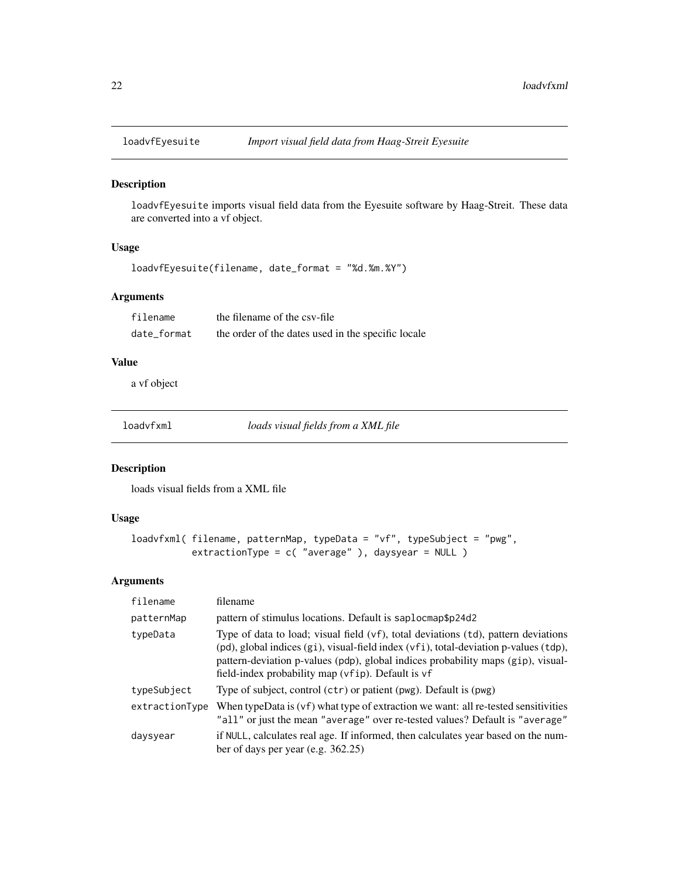<span id="page-21-0"></span>

loadvfEyesuite imports visual field data from the Eyesuite software by Haag-Streit. These data are converted into a vf object.

### Usage

```
loadvfEyesuite(filename, date_format = "%d.%m.%Y")
```
### Arguments

| filename    | the filename of the csy-file                       |
|-------------|----------------------------------------------------|
| date format | the order of the dates used in the specific locale |

### Value

a vf object

<span id="page-21-1"></span>loadvfxml *loads visual fields from a XML file*

#### Description

loads visual fields from a XML file

### Usage

```
loadvfxml( filename, patternMap, typeData = "vf", typeSubject = "pwg",
           extractionType = c( "average" ), daysyear = NULL )
```
#### Arguments

| filename       | filename                                                                                                                                                                                                                                                                                                            |
|----------------|---------------------------------------------------------------------------------------------------------------------------------------------------------------------------------------------------------------------------------------------------------------------------------------------------------------------|
| patternMap     | pattern of stimulus locations. Default is saplocmap\$p24d2                                                                                                                                                                                                                                                          |
| typeData       | Type of data to load; visual field (vf), total deviations (td), pattern deviations<br>(pd), global indices (gi), visual-field index (vfi), total-deviation p-values (tdp),<br>pattern-deviation p-values (pdp), global indices probability maps (gip), visual-<br>field-index probability map (vfip). Default is vf |
| typeSubject    | Type of subject, control (ctr) or patient (pwg). Default is (pwg)                                                                                                                                                                                                                                                   |
| extractionType | When typeData is $(vf)$ what type of extraction we want: all re-tested sensitivities<br>"all" or just the mean "average" over re-tested values? Default is "average"                                                                                                                                                |
| daysyear       | if NULL, calculates real age. If informed, then calculates year based on the num-<br>ber of days per year (e.g. $362.25$ )                                                                                                                                                                                          |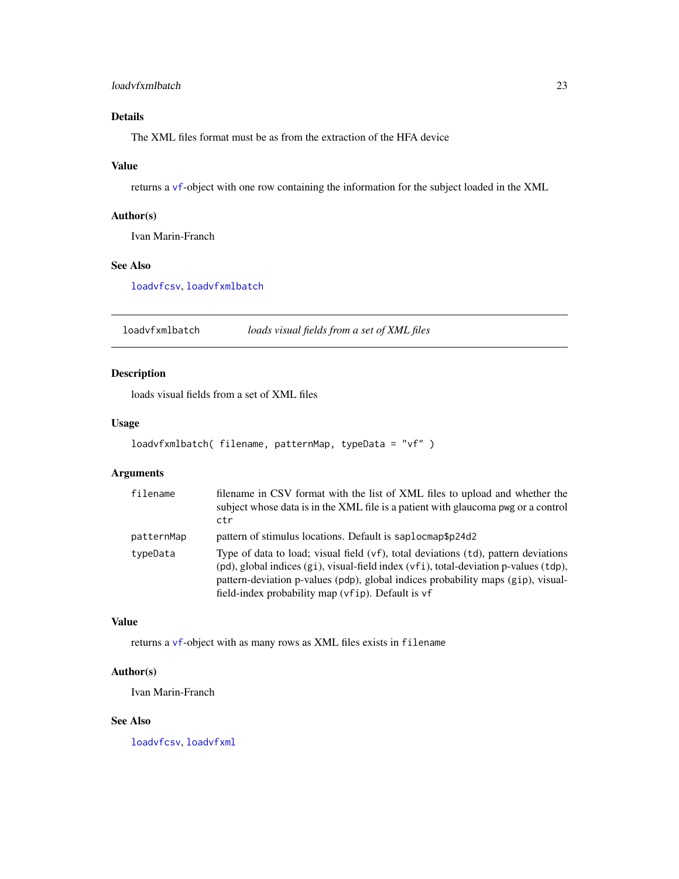### <span id="page-22-0"></span>loadvfxmlbatch 23

### Details

The XML files format must be as from the extraction of the HFA device

### Value

returns a [vf](#page-60-1)-object with one row containing the information for the subject loaded in the XML

### Author(s)

Ivan Marin-Franch

### See Also

[loadvfcsv](#page-20-1), [loadvfxmlbatch](#page-22-1)

<span id="page-22-1"></span>loadvfxmlbatch *loads visual fields from a set of XML files*

### Description

loads visual fields from a set of XML files

### Usage

```
loadvfxmlbatch( filename, patternMap, typeData = "vf" )
```
### Arguments

| filename   | filename in CSV format with the list of XML files to upload and whether the<br>subject whose data is in the XML file is a patient with glaucoma pwg or a control<br>ctr                                                                                                                                                   |
|------------|---------------------------------------------------------------------------------------------------------------------------------------------------------------------------------------------------------------------------------------------------------------------------------------------------------------------------|
| patternMap | pattern of stimulus locations. Default is saplocmap\$p24d2                                                                                                                                                                                                                                                                |
| typeData   | Type of data to load; visual field $(vf)$ , total deviations $(td)$ , pattern deviations<br>(pd), global indices (gi), visual-field index (vfi), total-deviation p-values (tdp),<br>pattern-deviation p-values (pdp), global indices probability maps (gip), visual-<br>field-index probability map (vfip). Default is vf |

### Value

returns a [vf](#page-60-1)-object with as many rows as XML files exists in filename

#### Author(s)

Ivan Marin-Franch

### See Also

[loadvfcsv](#page-20-1), [loadvfxml](#page-21-1)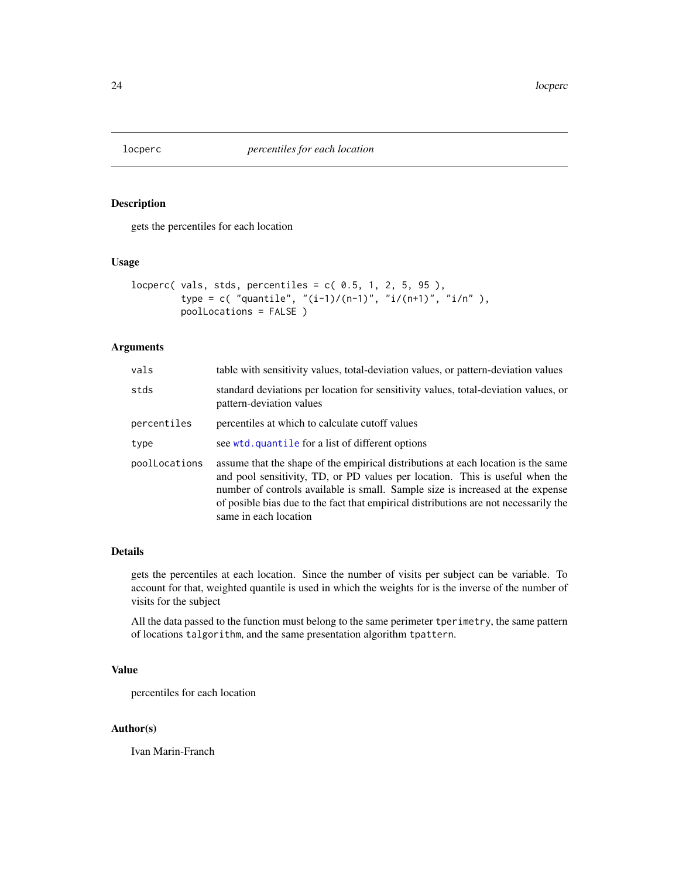<span id="page-23-1"></span><span id="page-23-0"></span>

gets the percentiles for each location

### Usage

```
locperc( vals, stds, percentiles = c( 0.5, 1, 2, 5, 95),
        type = c( "quantile", "(i-1)/(n-1)", "i/(n+1)", "i/n"),
         poolLocations = FALSE )
```
### Arguments

| vals          | table with sensitivity values, total-deviation values, or pattern-deviation values                                                                                                                                                                                                                                                                                   |
|---------------|----------------------------------------------------------------------------------------------------------------------------------------------------------------------------------------------------------------------------------------------------------------------------------------------------------------------------------------------------------------------|
| stds          | standard deviations per location for sensitivity values, total-deviation values, or<br>pattern-deviation values                                                                                                                                                                                                                                                      |
| percentiles   | percentiles at which to calculate cutoff values                                                                                                                                                                                                                                                                                                                      |
| type          | see wtd. quantile for a list of different options                                                                                                                                                                                                                                                                                                                    |
| poolLocations | assume that the shape of the empirical distributions at each location is the same<br>and pool sensitivity, TD, or PD values per location. This is useful when the<br>number of controls available is small. Sample size is increased at the expense<br>of posible bias due to the fact that empirical distributions are not necessarily the<br>same in each location |

#### Details

gets the percentiles at each location. Since the number of visits per subject can be variable. To account for that, weighted quantile is used in which the weights for is the inverse of the number of visits for the subject

All the data passed to the function must belong to the same perimeter tperimetry, the same pattern of locations talgorithm, and the same presentation algorithm tpattern.

#### Value

percentiles for each location

### Author(s)

Ivan Marin-Franch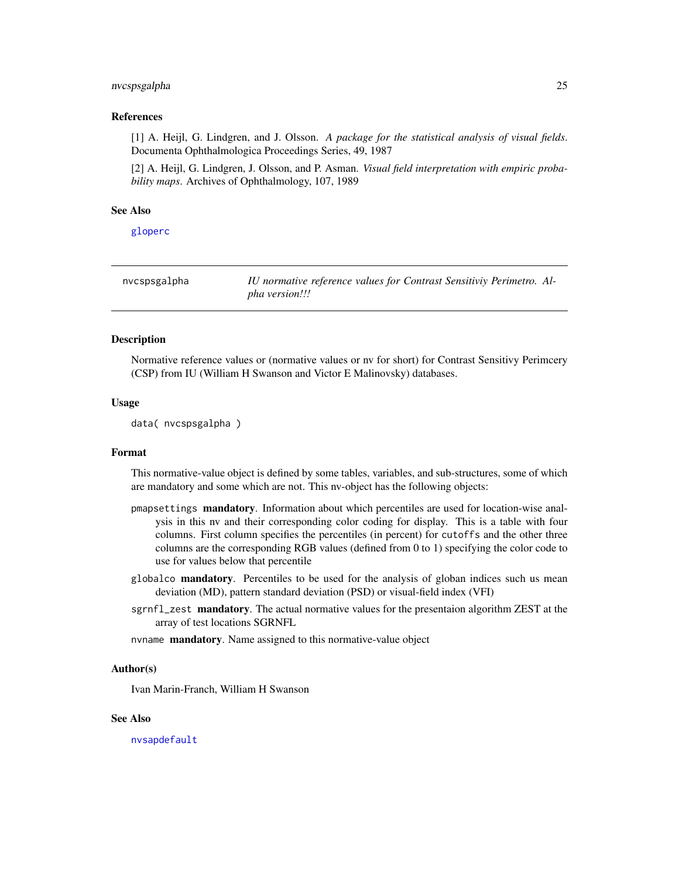#### <span id="page-24-0"></span>nvcspsgalpha 25

#### References

[1] A. Heijl, G. Lindgren, and J. Olsson. *A package for the statistical analysis of visual fields*. Documenta Ophthalmologica Proceedings Series, 49, 1987

[2] A. Heijl, G. Lindgren, J. Olsson, and P. Asman. *Visual field interpretation with empiric probability maps*. Archives of Ophthalmology, 107, 1989

#### See Also

[gloperc](#page-17-1)

| nvcspsgalpha | IU normative reference values for Contrast Sensitiviy Perimetro. Al- |
|--------------|----------------------------------------------------------------------|
|              | pha version!!!                                                       |

#### Description

Normative reference values or (normative values or nv for short) for Contrast Sensitivy Perimcery (CSP) from IU (William H Swanson and Victor E Malinovsky) databases.

#### Usage

data( nvcspsgalpha )

#### Format

This normative-value object is defined by some tables, variables, and sub-structures, some of which are mandatory and some which are not. This nv-object has the following objects:

- pmapsettings mandatory. Information about which percentiles are used for location-wise analysis in this nv and their corresponding color coding for display. This is a table with four columns. First column specifies the percentiles (in percent) for cutoffs and the other three columns are the corresponding RGB values (defined from 0 to 1) specifying the color code to use for values below that percentile
- globalco **mandatory**. Percentiles to be used for the analysis of globan indices such us mean deviation (MD), pattern standard deviation (PSD) or visual-field index (VFI)
- sgrnfl\_zest mandatory. The actual normative values for the presentaion algorithm ZEST at the array of test locations SGRNFL

nvname mandatory. Name assigned to this normative-value object

#### Author(s)

Ivan Marin-Franch, William H Swanson

#### See Also

[nvsapdefault](#page-25-1)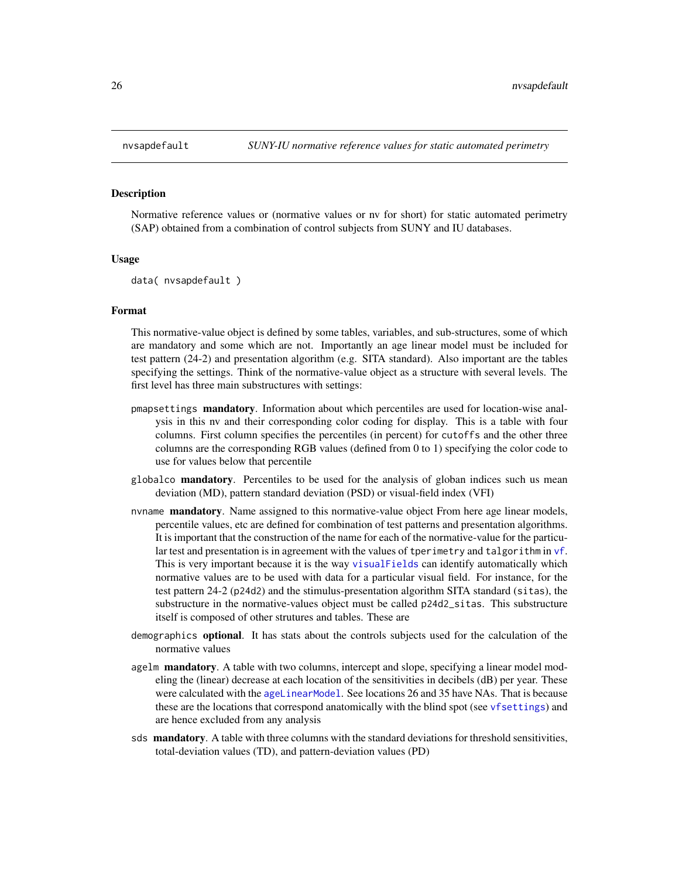<span id="page-25-1"></span><span id="page-25-0"></span>

Normative reference values or (normative values or nv for short) for static automated perimetry (SAP) obtained from a combination of control subjects from SUNY and IU databases.

#### Usage

```
data( nvsapdefault )
```
### Format

This normative-value object is defined by some tables, variables, and sub-structures, some of which are mandatory and some which are not. Importantly an age linear model must be included for test pattern (24-2) and presentation algorithm (e.g. SITA standard). Also important are the tables specifying the settings. Think of the normative-value object as a structure with several levels. The first level has three main substructures with settings:

- pmapsettings mandatory. Information about which percentiles are used for location-wise analysis in this nv and their corresponding color coding for display. This is a table with four columns. First column specifies the percentiles (in percent) for cutoffs and the other three columns are the corresponding RGB values (defined from 0 to 1) specifying the color code to use for values below that percentile
- globalco **mandatory**. Percentiles to be used for the analysis of globan indices such us mean deviation (MD), pattern standard deviation (PSD) or visual-field index (VFI)
- nvname **mandatory**. Name assigned to this normative-value object From here age linear models, percentile values, etc are defined for combination of test patterns and presentation algorithms. It is important that the construction of the name for each of the normative-value for the particular test and presentation is in agreement with the values of tperimetry and talgorithm in [vf](#page-60-1). This is very important because it is the way [visualFields](#page-2-1) can identify automatically which normative values are to be used with data for a particular visual field. For instance, for the test pattern 24-2 (p24d2) and the stimulus-presentation algorithm SITA standard (sitas), the substructure in the normative-values object must be called p24d2\_sitas. This substructure itself is composed of other strutures and tables. These are
- demographics optional. It has stats about the controls subjects used for the calculation of the normative values
- agelm mandatory. A table with two columns, intercept and slope, specifying a linear model modeling the (linear) decrease at each location of the sensitivities in decibels (dB) per year. These were calculated with the [ageLinearModel](#page-4-1). See locations 26 and 35 have NAs. That is because these are the locations that correspond anatomically with the blind spot (see [vfsettings](#page-70-1)) and are hence excluded from any analysis
- sds mandatory. A table with three columns with the standard deviations for threshold sensitivities, total-deviation values (TD), and pattern-deviation values (PD)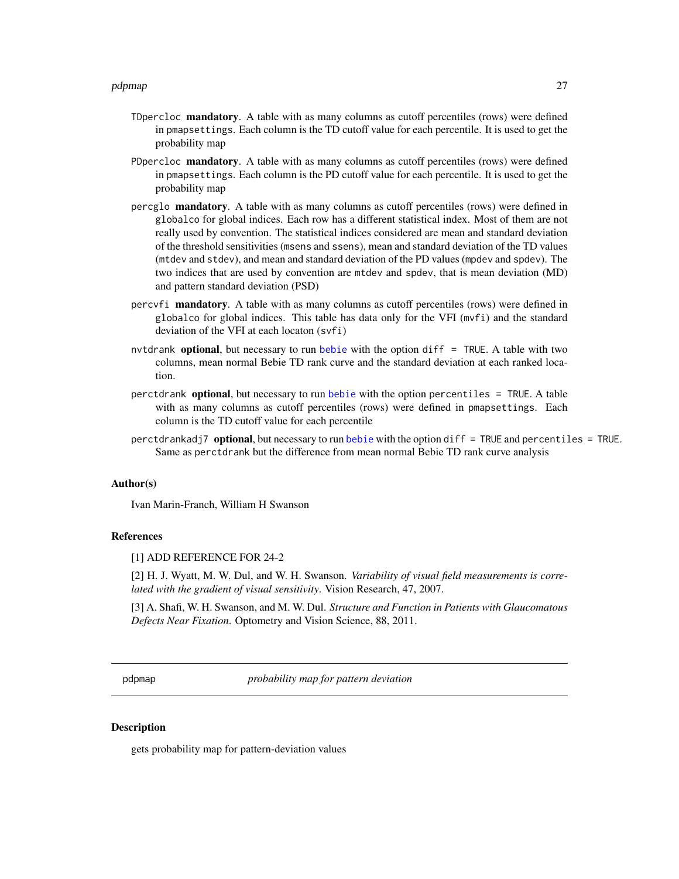- <span id="page-26-0"></span>TDpercloc mandatory. A table with as many columns as cutoff percentiles (rows) were defined in pmapsettings. Each column is the TD cutoff value for each percentile. It is used to get the probability map
- PDpercloc **mandatory**. A table with as many columns as cutoff percentiles (rows) were defined in pmapsettings. Each column is the PD cutoff value for each percentile. It is used to get the probability map
- percglo mandatory. A table with as many columns as cutoff percentiles (rows) were defined in globalco for global indices. Each row has a different statistical index. Most of them are not really used by convention. The statistical indices considered are mean and standard deviation of the threshold sensitivities (msens and ssens), mean and standard deviation of the TD values (mtdev and stdev), and mean and standard deviation of the PD values (mpdev and spdev). The two indices that are used by convention are mtdev and spdev, that is mean deviation (MD) and pattern standard deviation (PSD)
- percvfi mandatory. A table with as many columns as cutoff percentiles (rows) were defined in globalco for global indices. This table has data only for the VFI (mvfi) and the standard deviation of the VFI at each locaton (svfi)
- nvtdrank optional, but necessary to run [bebie](#page-5-1) with the option diff = TRUE. A table with two columns, mean normal Bebie TD rank curve and the standard deviation at each ranked location.
- perctdrank **optional**, but necessary to run [bebie](#page-5-1) with the option percentiles = TRUE. A table with as many columns as cutoff percentiles (rows) were defined in pmapsettings. Each column is the TD cutoff value for each percentile
- perctdrankadj7 optional, but necessary to run [bebie](#page-5-1) with the option diff = TRUE and percentiles = TRUE. Same as perctdrank but the difference from mean normal Bebie TD rank curve analysis

#### Author(s)

Ivan Marin-Franch, William H Swanson

#### References

[1] ADD REFERENCE FOR 24-2

[2] H. J. Wyatt, M. W. Dul, and W. H. Swanson. *Variability of visual field measurements is correlated with the gradient of visual sensitivity*. Vision Research, 47, 2007.

[3] A. Shafi, W. H. Swanson, and M. W. Dul. *Structure and Function in Patients with Glaucomatous Defects Near Fixation*. Optometry and Vision Science, 88, 2011.

<span id="page-26-1"></span>pdpmap *probability map for pattern deviation*

#### Description

gets probability map for pattern-deviation values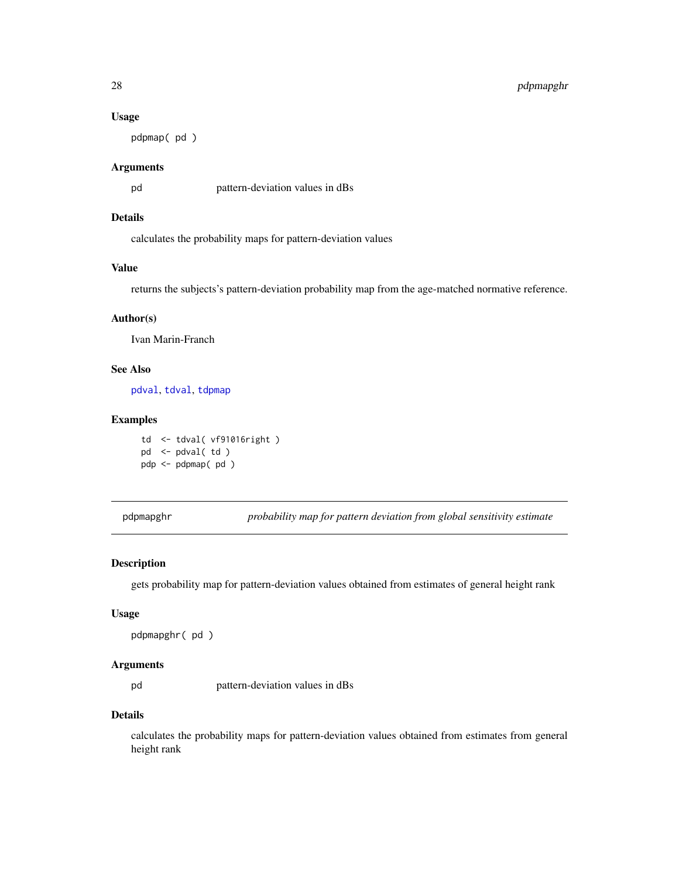### <span id="page-27-0"></span>28 pdpmapghr

#### Usage

pdpmap( pd )

### Arguments

pd pattern-deviation values in dBs

### Details

calculates the probability maps for pattern-deviation values

### Value

returns the subjects's pattern-deviation probability map from the age-matched normative reference.

### Author(s)

Ivan Marin-Franch

#### See Also

[pdval](#page-28-1), [tdval](#page-46-1), [tdpmap](#page-41-1)

### Examples

td <- tdval( vf91016right ) pd <- pdval( td ) pdp <- pdpmap( pd )

<span id="page-27-1"></span>pdpmapghr *probability map for pattern deviation from global sensitivity estimate*

#### Description

gets probability map for pattern-deviation values obtained from estimates of general height rank

#### Usage

```
pdpmapghr( pd )
```
### Arguments

pd pattern-deviation values in dBs

### Details

calculates the probability maps for pattern-deviation values obtained from estimates from general height rank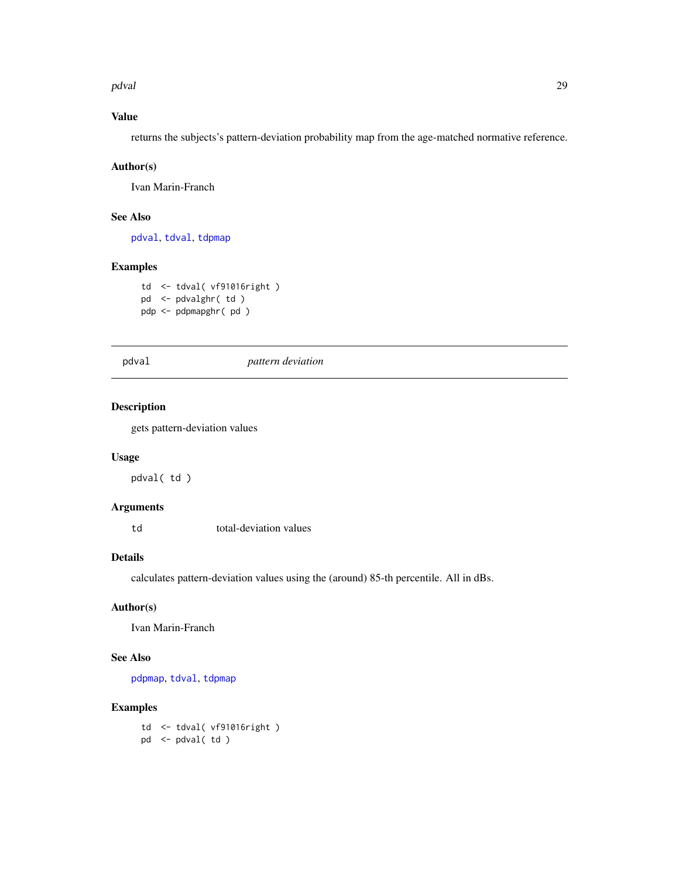<span id="page-28-0"></span>pdval i izotopisanje i starije i starije i starije i starije i starije i starije i starije i starije i starije

### Value

returns the subjects's pattern-deviation probability map from the age-matched normative reference.

#### Author(s)

Ivan Marin-Franch

### See Also

[pdval](#page-28-1), [tdval](#page-46-1), [tdpmap](#page-41-1)

### Examples

td <- tdval( vf91016right ) pd <- pdvalghr( td ) pdp <- pdpmapghr( pd )

<span id="page-28-1"></span>pdval *pattern deviation*

### Description

gets pattern-deviation values

### Usage

pdval( td )

### Arguments

td total-deviation values

#### Details

calculates pattern-deviation values using the (around) 85-th percentile. All in dBs.

### Author(s)

Ivan Marin-Franch

### See Also

[pdpmap](#page-26-1), [tdval](#page-46-1), [tdpmap](#page-41-1)

### Examples

td <- tdval( vf91016right ) pd <- pdval( td )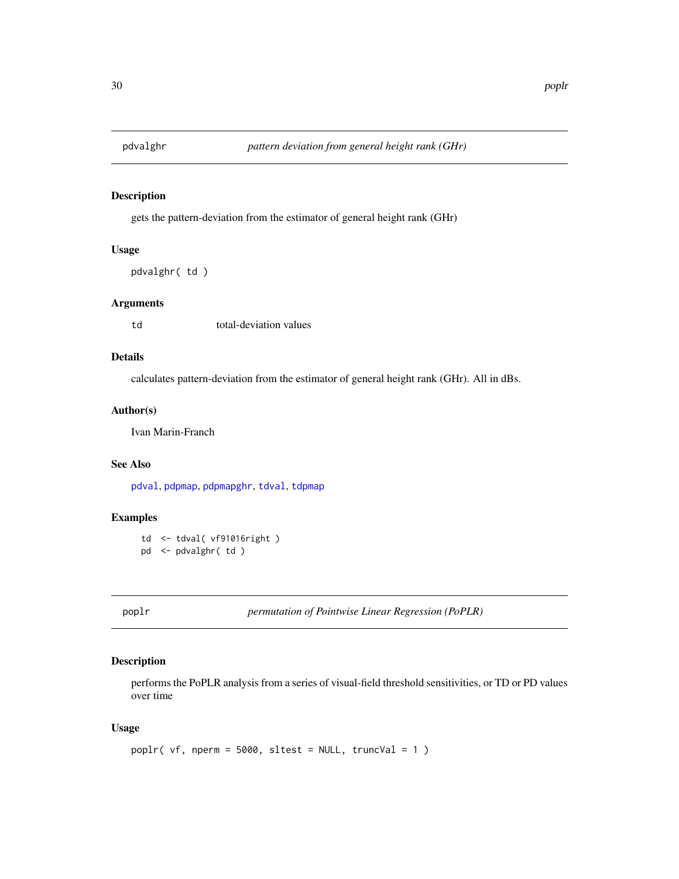<span id="page-29-0"></span>

gets the pattern-deviation from the estimator of general height rank (GHr)

### Usage

```
pdvalghr( td )
```
#### Arguments

td total-deviation values

### Details

calculates pattern-deviation from the estimator of general height rank (GHr). All in dBs.

### Author(s)

Ivan Marin-Franch

### See Also

[pdval](#page-28-1), [pdpmap](#page-26-1), [pdpmapghr](#page-27-1), [tdval](#page-46-1), [tdpmap](#page-41-1)

### Examples

td <- tdval( vf91016right ) pd <- pdvalghr( td )

<span id="page-29-1"></span>poplr *permutation of Pointwise Linear Regression (PoPLR)*

### Description

performs the PoPLR analysis from a series of visual-field threshold sensitivities, or TD or PD values over time

### Usage

```
poplr( vf, nperm = 5000, sltest = NULL, truncVal = 1)
```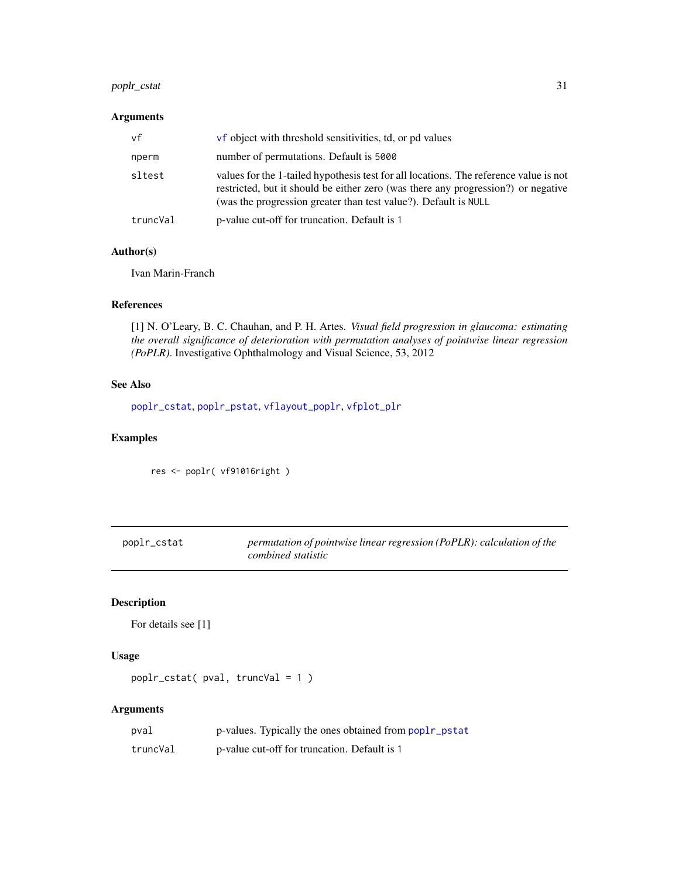### <span id="page-30-0"></span>poplr\_cstat 31

### Arguments

| vf       | <b>vf</b> object with threshold sensitivities, td, or pd values                                                                                                                                                                               |
|----------|-----------------------------------------------------------------------------------------------------------------------------------------------------------------------------------------------------------------------------------------------|
| nperm    | number of permutations. Default is 5000                                                                                                                                                                                                       |
| sltest   | values for the 1-tailed hypothesis test for all locations. The reference value is not<br>restricted, but it should be either zero (was there any progression?) or negative<br>(was the progression greater than test value?). Default is NULL |
| truncVal | p-value cut-off for truncation. Default is 1                                                                                                                                                                                                  |

### Author(s)

Ivan Marin-Franch

### References

[1] N. O'Leary, B. C. Chauhan, and P. H. Artes. *Visual field progression in glaucoma: estimating the overall significance of deterioration with permutation analyses of pointwise linear regression (PoPLR)*. Investigative Ophthalmology and Visual Science, 53, 2012

### See Also

[poplr\\_cstat](#page-30-1), [poplr\\_pstat](#page-31-1), [vflayout\\_poplr](#page-58-1), [vfplot\\_plr](#page-66-1)

### Examples

res <- poplr( vf91016right )

<span id="page-30-1"></span>

| poplr_cstat | permutation of pointwise linear regression (PoPLR): calculation of the |
|-------------|------------------------------------------------------------------------|
|             | combined statistic                                                     |

### Description

```
For details see [1]
```
### Usage

```
poplr_cstat( pval, truncVal = 1 )
```
### Arguments

| pval     | p-values. Typically the ones obtained from poplr_pstat |
|----------|--------------------------------------------------------|
| truncVal | p-value cut-off for truncation. Default is 1           |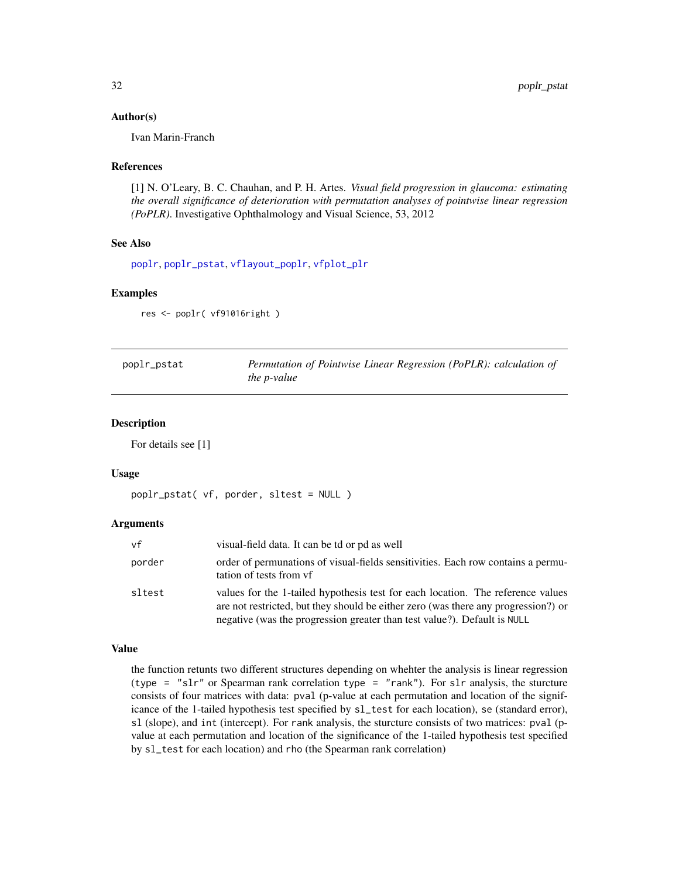#### <span id="page-31-0"></span>Author(s)

Ivan Marin-Franch

#### References

[1] N. O'Leary, B. C. Chauhan, and P. H. Artes. *Visual field progression in glaucoma: estimating the overall significance of deterioration with permutation analyses of pointwise linear regression (PoPLR)*. Investigative Ophthalmology and Visual Science, 53, 2012

### See Also

[poplr](#page-29-1), [poplr\\_pstat](#page-31-1), [vflayout\\_poplr](#page-58-1), [vfplot\\_plr](#page-66-1)

### Examples

res <- poplr( vf91016right )

<span id="page-31-1"></span>

| poplr_pstat | Permutation of Pointwise Linear Regression (PoPLR): calculation of |
|-------------|--------------------------------------------------------------------|
|             | the <i>p</i> -value                                                |

#### Description

For details see [1]

#### Usage

```
poplr_pstat( vf, porder, sltest = NULL )
```
#### Arguments

| vf     | visual-field data. It can be td or pd as well                                                                                                                                                                                                     |
|--------|---------------------------------------------------------------------------------------------------------------------------------------------------------------------------------------------------------------------------------------------------|
| porder | order of permunations of visual-fields sensitivities. Each row contains a permu-<br>tation of tests from yf                                                                                                                                       |
| sltest | values for the 1-tailed hypothesis test for each location. The reference values<br>are not restricted, but they should be either zero (was there any progression?) or<br>negative (was the progression greater than test value?). Default is NULL |

#### Value

the function retunts two different structures depending on whehter the analysis is linear regression (type = "slr" or Spearman rank correlation type = "rank"). For slr analysis, the sturcture consists of four matrices with data: pval (p-value at each permutation and location of the significance of the 1-tailed hypothesis test specified by sl\_test for each location), se (standard error), sl (slope), and int (intercept). For rank analysis, the sturcture consists of two matrices: pval (pvalue at each permutation and location of the significance of the 1-tailed hypothesis test specified by sl\_test for each location) and rho (the Spearman rank correlation)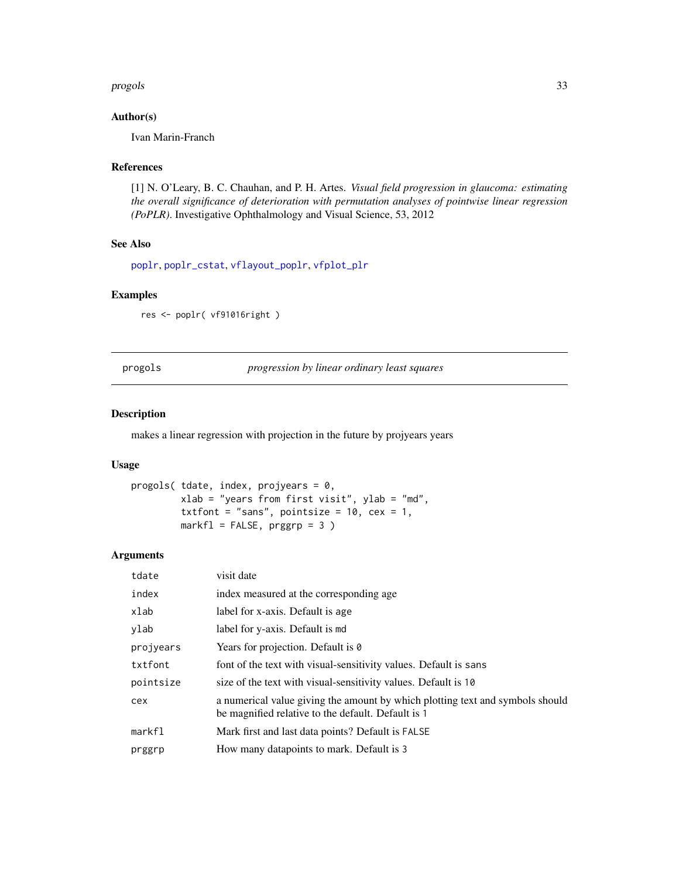#### <span id="page-32-0"></span>progols 33

### Author(s)

Ivan Marin-Franch

#### References

[1] N. O'Leary, B. C. Chauhan, and P. H. Artes. *Visual field progression in glaucoma: estimating the overall significance of deterioration with permutation analyses of pointwise linear regression (PoPLR)*. Investigative Ophthalmology and Visual Science, 53, 2012

### See Also

[poplr](#page-29-1), [poplr\\_cstat](#page-30-1), [vflayout\\_poplr](#page-58-1), [vfplot\\_plr](#page-66-1)

#### Examples

res <- poplr( vf91016right )

progols *progression by linear ordinary least squares*

### Description

makes a linear regression with projection in the future by projyears years

#### Usage

```
progols( tdate, index, projyears = 0,
         xlab = "years from first visit", ylab = "md",
         txtfont = "sans", pointsize = 10, cex = 1,
        markf1 = FALSE, prggrp = 3)
```
### Arguments

| tdate     | visit date                                                                                                                          |
|-----------|-------------------------------------------------------------------------------------------------------------------------------------|
| index     | index measured at the corresponding age                                                                                             |
| xlab      | label for x-axis. Default is age                                                                                                    |
| ylab      | label for y-axis. Default is md                                                                                                     |
| projyears | Years for projection. Default is 0                                                                                                  |
| txtfont   | font of the text with visual-sensitivity values. Default is sans                                                                    |
| pointsize | size of the text with visual-sensitivity values. Default is 10                                                                      |
| cex       | a numerical value giving the amount by which plotting text and symbols should<br>be magnified relative to the default. Default is 1 |
| markfl    | Mark first and last data points? Default is FALSE                                                                                   |
| prggrp    | How many datapoints to mark. Default is 3                                                                                           |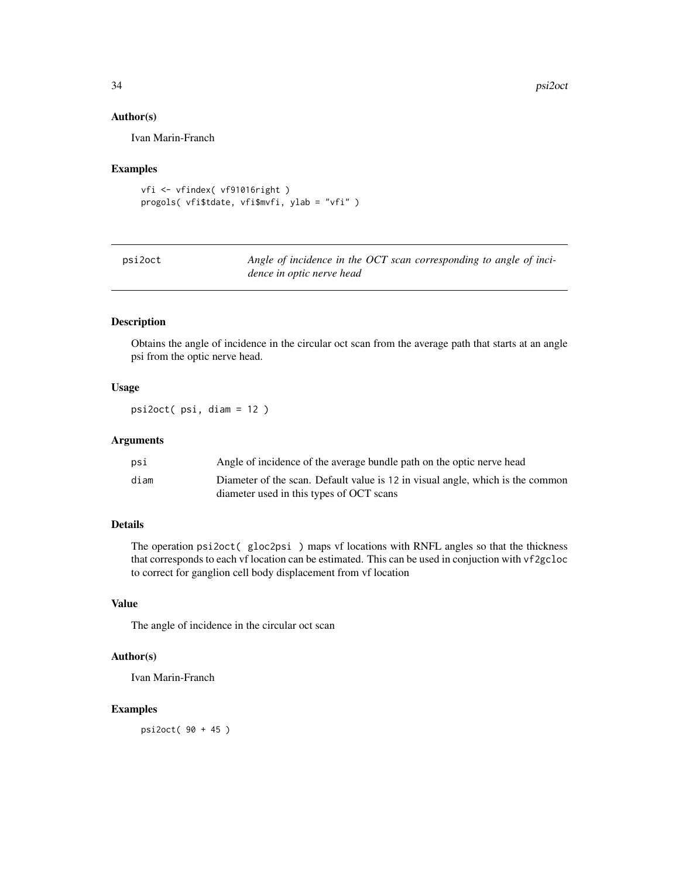### Author(s)

Ivan Marin-Franch

#### Examples

```
vfi <- vfindex( vf91016right )
progols( vfi$tdate, vfi$mvfi, ylab = "vfi" )
```

| psi2oct | Angle of incidence in the OCT scan corresponding to angle of inci- |
|---------|--------------------------------------------------------------------|
|         | dence in optic nerve head                                          |

#### Description

Obtains the angle of incidence in the circular oct scan from the average path that starts at an angle psi from the optic nerve head.

### Usage

psi2oct( psi, diam = 12 )

#### Arguments

| psi  | Angle of incidence of the average bundle path on the optic nerve head          |
|------|--------------------------------------------------------------------------------|
| diam | Diameter of the scan. Default value is 12 in visual angle, which is the common |
|      | diameter used in this types of OCT scans                                       |

### Details

The operation psi2oct( gloc2psi ) maps vf locations with RNFL angles so that the thickness that corresponds to each vf location can be estimated. This can be used in conjuction with vf2gcloc to correct for ganglion cell body displacement from vf location

### Value

The angle of incidence in the circular oct scan

#### Author(s)

Ivan Marin-Franch

### Examples

psi2oct( 90 + 45 )

<span id="page-33-0"></span>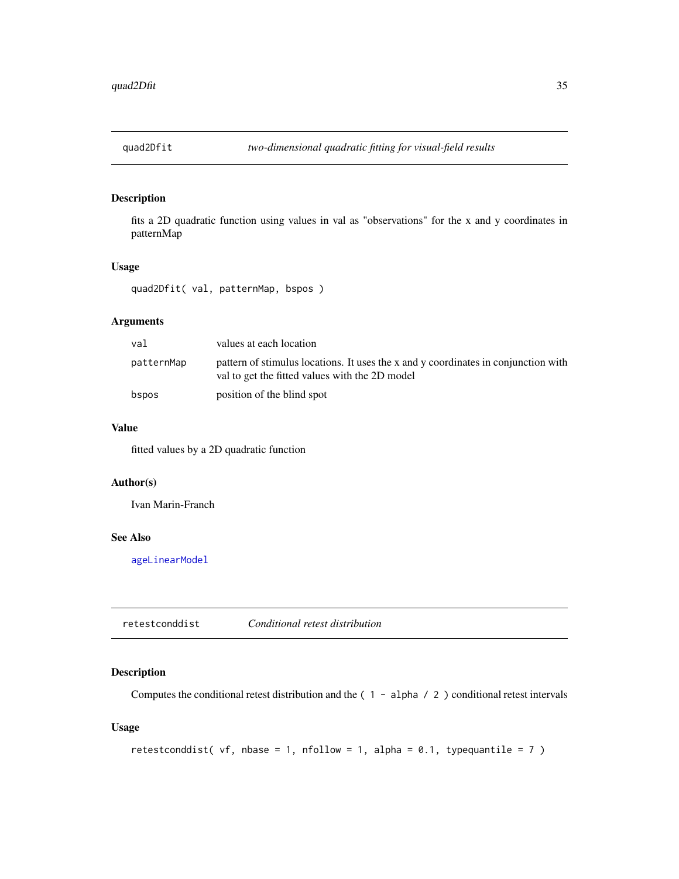<span id="page-34-1"></span><span id="page-34-0"></span>

fits a 2D quadratic function using values in val as "observations" for the x and y coordinates in patternMap

#### Usage

quad2Dfit( val, patternMap, bspos )

### Arguments

| val        | values at each location                                                                                                              |
|------------|--------------------------------------------------------------------------------------------------------------------------------------|
| patternMap | pattern of stimulus locations. It uses the x and y coordinates in conjunction with<br>val to get the fitted values with the 2D model |
| bspos      | position of the blind spot                                                                                                           |

### Value

fitted values by a 2D quadratic function

### Author(s)

Ivan Marin-Franch

### See Also

[ageLinearModel](#page-4-1)

retestconddist *Conditional retest distribution*

#### Description

Computes the conditional retest distribution and the (1 - alpha / 2) conditional retest intervals

### Usage

```
retestconddist( vf, nbase = 1, nfollow = 1, alpha = 0.1, typequantile = 7)
```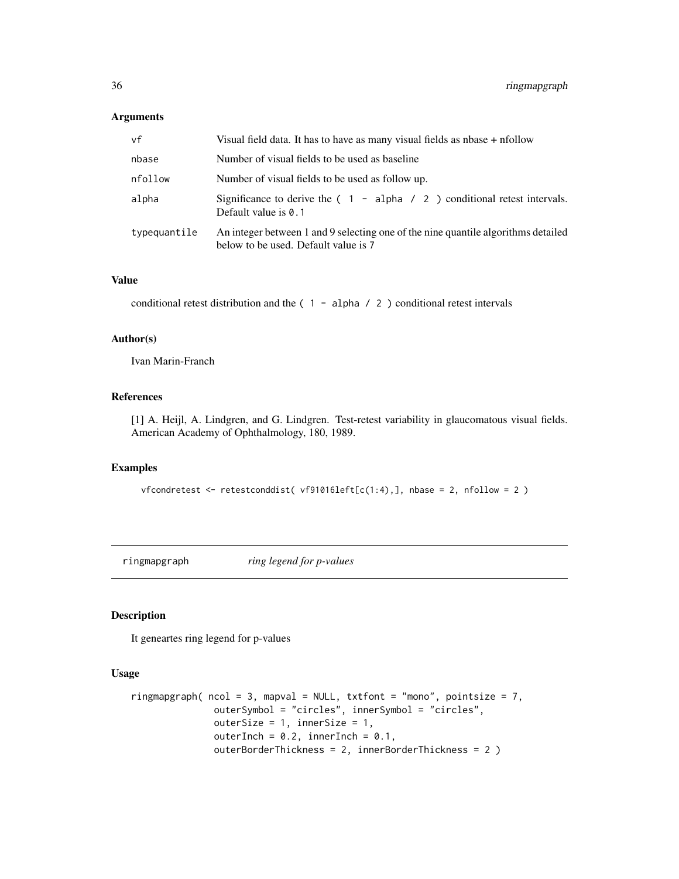#### <span id="page-35-0"></span>Arguments

| vf           | Visual field data. It has to have as many visual fields as $n$ has $n +$ nfollow                                          |
|--------------|---------------------------------------------------------------------------------------------------------------------------|
| nbase        | Number of visual fields to be used as baseline                                                                            |
| nfollow      | Number of visual fields to be used as follow up.                                                                          |
| alpha        | Significance to derive the $(1 - alpha / 2)$ conditional retest intervals.<br>Default value is $0.1$                      |
| typequantile | An integer between 1 and 9 selecting one of the nine quantile algorithms detailed<br>below to be used. Default value is 7 |

#### Value

conditional retest distribution and the  $(1 - alpha / 2)$  conditional retest intervals

#### Author(s)

Ivan Marin-Franch

### References

[1] A. Heijl, A. Lindgren, and G. Lindgren. Test-retest variability in glaucomatous visual fields. American Academy of Ophthalmology, 180, 1989.

#### Examples

vfcondretest <- retestconddist( vf91016left[c(1:4),], nbase = 2, nfollow = 2 )

ringmapgraph *ring legend for p-values*

### Description

It geneartes ring legend for p-values

#### Usage

```
ringmapgraph(ncol = 3, mapval = NULL, txtfont = "mono", pointsize = 7,
              outerSymbol = "circles", innerSymbol = "circles",
              outerSize = 1, innerSize = 1,
              outerInch = 0.2, innerInch = 0.1,
              outerBorderThickness = 2, innerBorderThickness = 2 )
```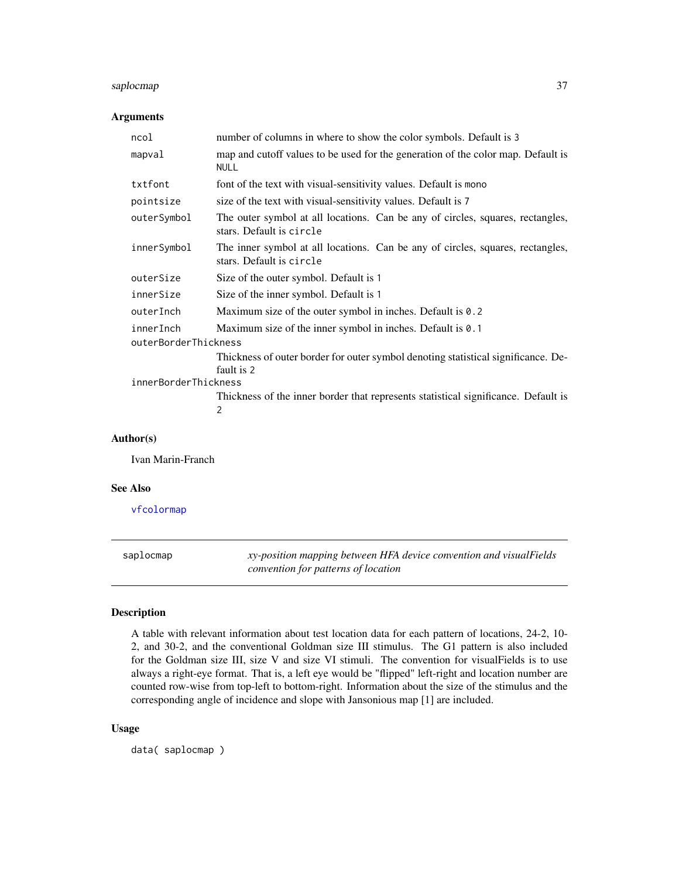# saplocmap 37

### Arguments

| ncol                 | number of columns in where to show the color symbols. Default is 3                                         |  |
|----------------------|------------------------------------------------------------------------------------------------------------|--|
| mapval               | map and cutoff values to be used for the generation of the color map. Default is<br><b>NULL</b>            |  |
| txtfont              | font of the text with visual-sensitivity values. Default is mono                                           |  |
| pointsize            | size of the text with visual-sensitivity values. Default is 7                                              |  |
| outerSymbol          | The outer symbol at all locations. Can be any of circles, squares, rectangles,<br>stars. Default is circle |  |
| innerSymbol          | The inner symbol at all locations. Can be any of circles, squares, rectangles,<br>stars. Default is circle |  |
| outerSize            | Size of the outer symbol. Default is 1                                                                     |  |
| innerSize            | Size of the inner symbol. Default is 1                                                                     |  |
| outerInch            | Maximum size of the outer symbol in inches. Default is 0.2                                                 |  |
| innerInch            | Maximum size of the inner symbol in inches. Default is 0.1                                                 |  |
| outerBorderThickness |                                                                                                            |  |
|                      | Thickness of outer border for outer symbol denoting statistical significance. De-<br>fault is 2            |  |
| innerBorderThickness |                                                                                                            |  |
|                      | Thickness of the inner border that represents statistical significance. Default is<br>$\overline{2}$       |  |

## Author(s)

Ivan Marin-Franch

### See Also

[vfcolormap](#page-50-0)

<span id="page-36-0"></span>saplocmap *xy-position mapping between HFA device convention and visualFields convention for patterns of location*

# Description

A table with relevant information about test location data for each pattern of locations, 24-2, 10- 2, and 30-2, and the conventional Goldman size III stimulus. The G1 pattern is also included for the Goldman size III, size V and size VI stimuli. The convention for visualFields is to use always a right-eye format. That is, a left eye would be "flipped" left-right and location number are counted row-wise from top-left to bottom-right. Information about the size of the stimulus and the corresponding angle of incidence and slope with Jansonious map [1] are included.

#### Usage

data( saplocmap )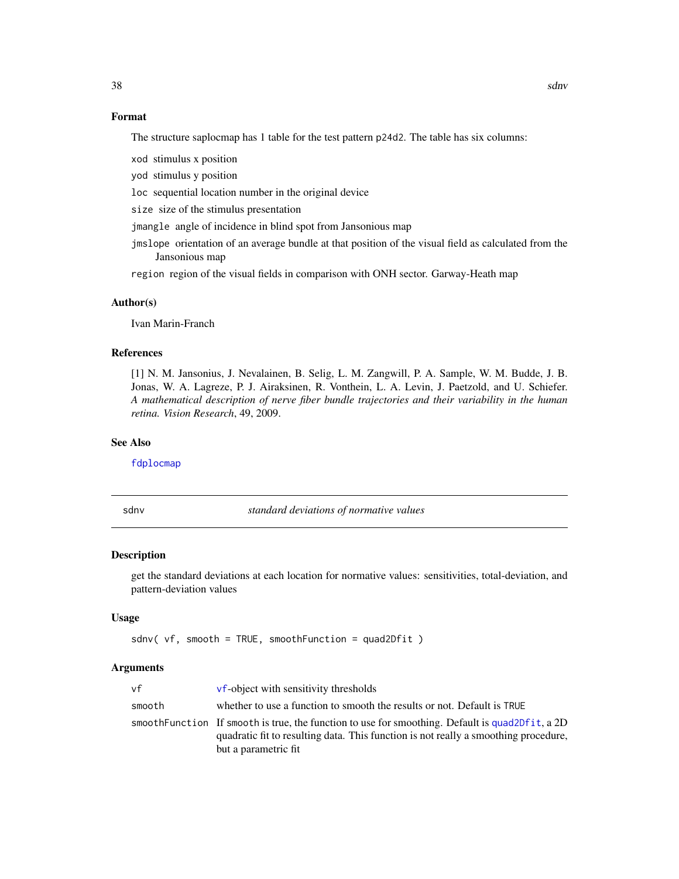### Format

The structure saplocmap has 1 table for the test pattern p24d2. The table has six columns:

xod stimulus x position

yod stimulus y position

loc sequential location number in the original device

size size of the stimulus presentation

jmangle angle of incidence in blind spot from Jansonious map

jmslope orientation of an average bundle at that position of the visual field as calculated from the Jansonious map

region region of the visual fields in comparison with ONH sector. Garway-Heath map

#### Author(s)

Ivan Marin-Franch

### References

[1] N. M. Jansonius, J. Nevalainen, B. Selig, L. M. Zangwill, P. A. Sample, W. M. Budde, J. B. Jonas, W. A. Lagreze, P. J. Airaksinen, R. Vonthein, L. A. Levin, J. Paetzold, and U. Schiefer. *A mathematical description of nerve fiber bundle trajectories and their variability in the human retina. Vision Research*, 49, 2009.

#### See Also

[fdplocmap](#page-10-0)

sdnv *standard deviations of normative values*

#### Description

get the standard deviations at each location for normative values: sensitivities, total-deviation, and pattern-deviation values

### Usage

```
sdnv( vf, smooth = TRUE, smoothFunction = quad2Dfit )
```
#### Arguments

| vf     | vf-object with sensitivity thresholds                                                                                                                                                                           |
|--------|-----------------------------------------------------------------------------------------------------------------------------------------------------------------------------------------------------------------|
| smooth | whether to use a function to smooth the results or not. Default is TRUE                                                                                                                                         |
|        | smooth Function If smooth is true, the function to use for smoothing. Default is quad2Dfit, a 2D<br>quadratic fit to resulting data. This function is not really a smoothing procedure,<br>but a parametric fit |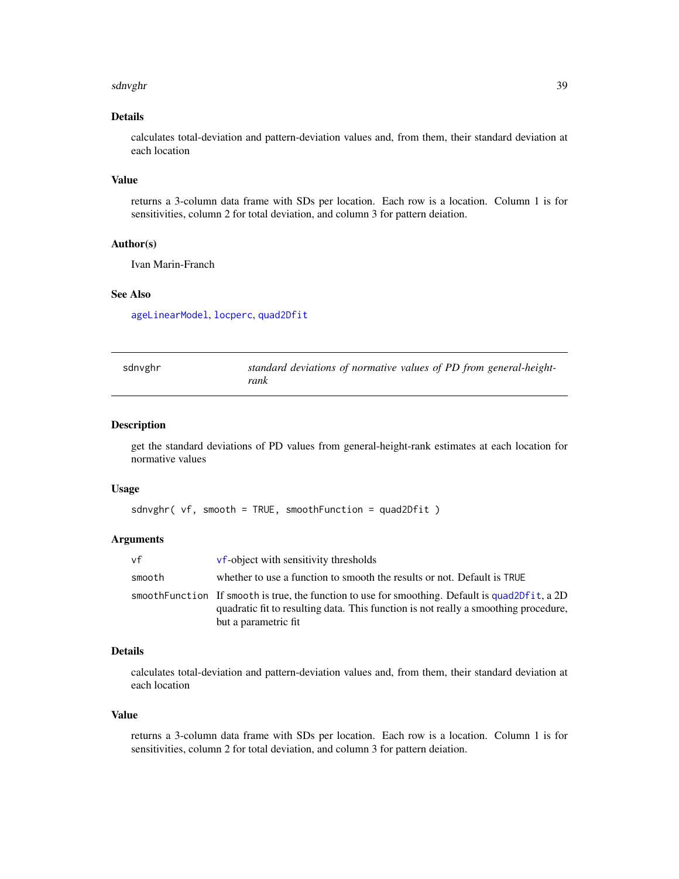#### sdnvghr 39

## Details

calculates total-deviation and pattern-deviation values and, from them, their standard deviation at each location

#### Value

returns a 3-column data frame with SDs per location. Each row is a location. Column 1 is for sensitivities, column 2 for total deviation, and column 3 for pattern deiation.

## Author(s)

Ivan Marin-Franch

### See Also

[ageLinearModel](#page-4-0), [locperc](#page-23-0), [quad2Dfit](#page-34-0)

| sdnvghr | standard deviations of normative values of PD from general-height- |
|---------|--------------------------------------------------------------------|
|         | rank                                                               |

### Description

get the standard deviations of PD values from general-height-rank estimates at each location for normative values

#### Usage

```
sdnvghr( vf, smooth = TRUE, smoothFunction = quad2Dfit )
```
### Arguments

| vf     | <b>vf-object with sensitivity thresholds</b>                                                                                                                                                                    |
|--------|-----------------------------------------------------------------------------------------------------------------------------------------------------------------------------------------------------------------|
| smooth | whether to use a function to smooth the results or not. Default is TRUE                                                                                                                                         |
|        | smooth Function If smooth is true, the function to use for smoothing. Default is quad2Dfit, a 2D<br>quadratic fit to resulting data. This function is not really a smoothing procedure,<br>but a parametric fit |

#### Details

calculates total-deviation and pattern-deviation values and, from them, their standard deviation at each location

#### Value

returns a 3-column data frame with SDs per location. Each row is a location. Column 1 is for sensitivities, column 2 for total deviation, and column 3 for pattern deiation.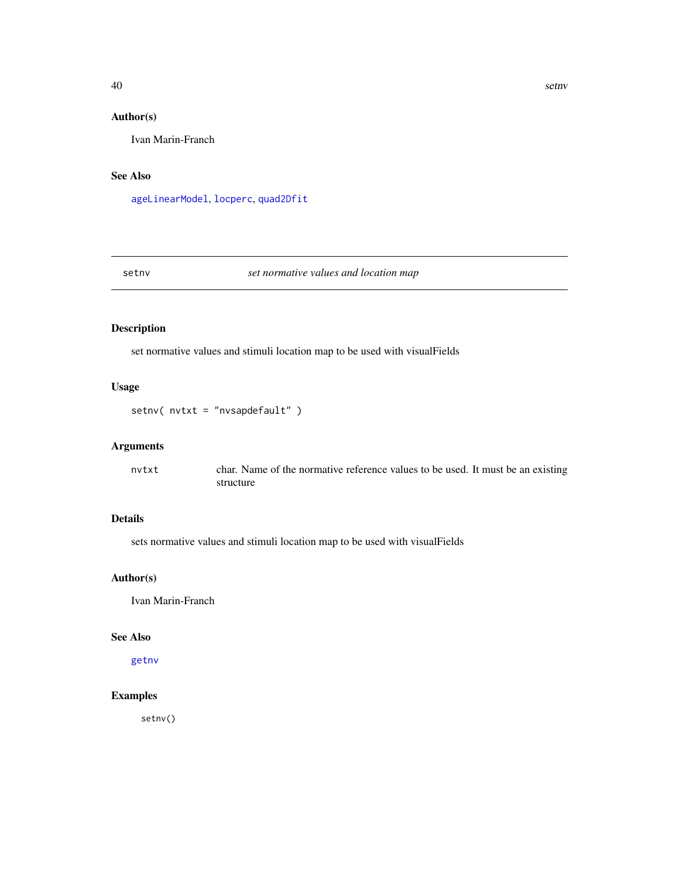# Author(s)

Ivan Marin-Franch

### See Also

[ageLinearModel](#page-4-0), [locperc](#page-23-0), [quad2Dfit](#page-34-0)

### <span id="page-39-0"></span>setnv *set normative values and location map*

# Description

set normative values and stimuli location map to be used with visualFields

# Usage

setnv( nvtxt = "nvsapdefault" )

### Arguments

nvtxt char. Name of the normative reference values to be used. It must be an existing structure

# Details

sets normative values and stimuli location map to be used with visualFields

### Author(s)

Ivan Marin-Franch

# See Also

[getnv](#page-14-0)

# Examples

setnv()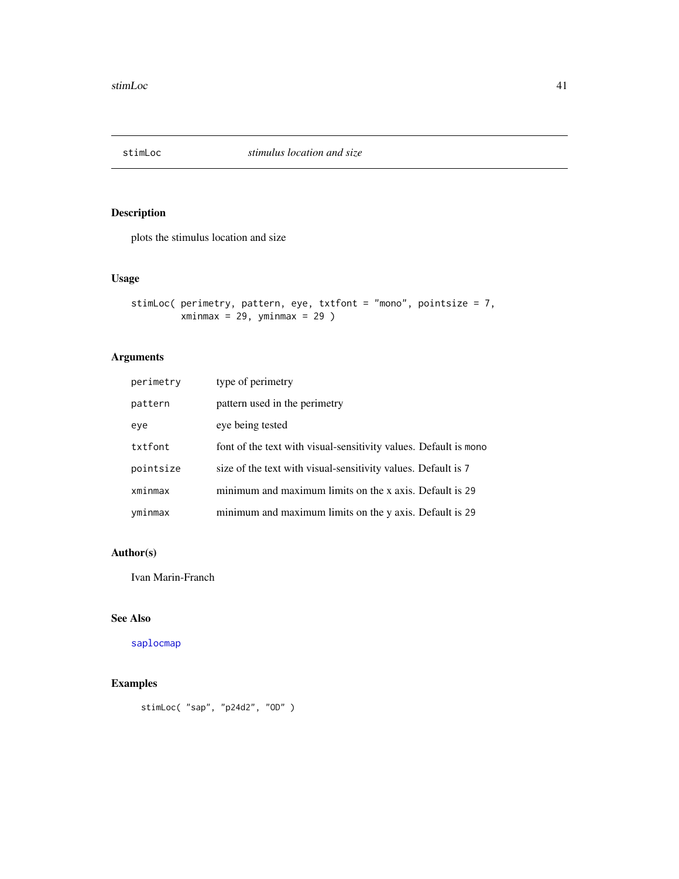plots the stimulus location and size

# Usage

```
stimLoc( perimetry, pattern, eye, txtfont = "mono", pointsize = 7,
        xminmax = 29, yminmax = 29)
```
# Arguments

| perimetry | type of perimetry                                                  |
|-----------|--------------------------------------------------------------------|
| pattern   | pattern used in the perimetry                                      |
| eye       | eye being tested                                                   |
| txtfont   | font of the text with visual-sensitivity values. Default is monor- |
| pointsize | size of the text with visual-sensitivity values. Default is 7      |
| xminmax   | minimum and maximum limits on the x axis. Default is 29            |
| yminmax   | minimum and maximum limits on the y axis. Default is 29            |

### Author(s)

Ivan Marin-Franch

# See Also

[saplocmap](#page-36-0)

# Examples

```
stimLoc( "sap", "p24d2", "OD" )
```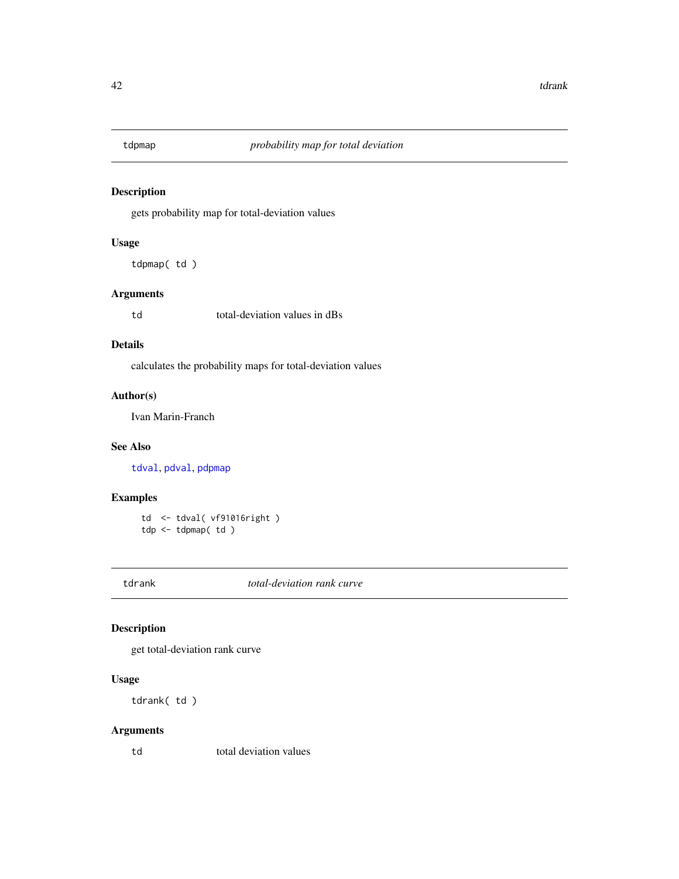<span id="page-41-1"></span>

gets probability map for total-deviation values

#### Usage

tdpmap( td )

### Arguments

td total-deviation values in dBs

### Details

calculates the probability maps for total-deviation values

# Author(s)

Ivan Marin-Franch

# See Also

[tdval](#page-46-0), [pdval](#page-28-0), [pdpmap](#page-26-0)

# Examples

td <- tdval( vf91016right ) tdp <- tdpmap( td )

<span id="page-41-0"></span>tdrank *total-deviation rank curve*

# Description

get total-deviation rank curve

# Usage

tdrank( td )

# Arguments

td total deviation values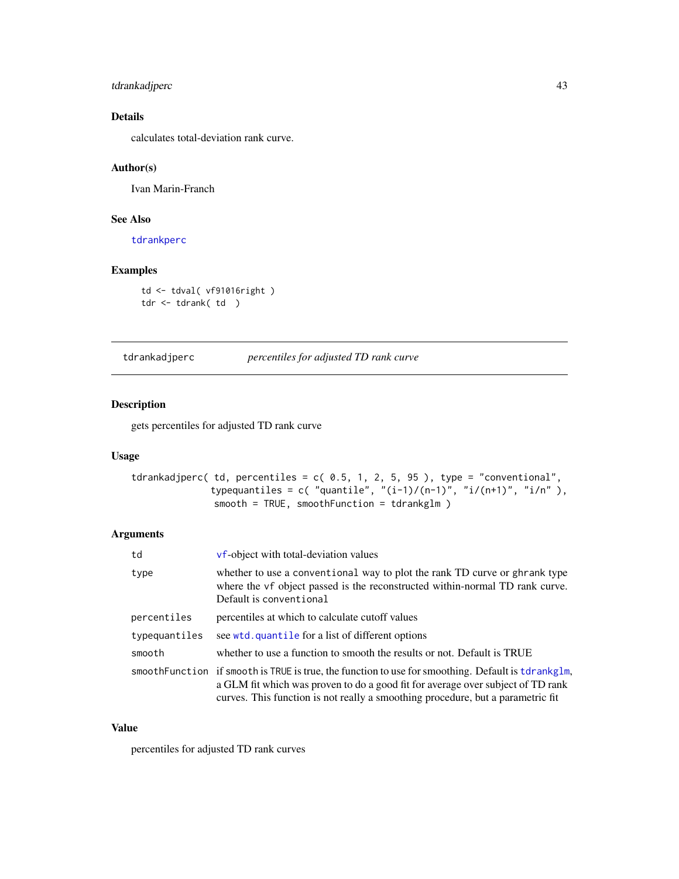# tdrankadjperc 43

# Details

calculates total-deviation rank curve.

# Author(s)

Ivan Marin-Franch

# See Also

[tdrankperc](#page-45-0)

## Examples

td <- tdval( vf91016right ) tdr <- tdrank( td )

tdrankadjperc *percentiles for adjusted TD rank curve*

## Description

gets percentiles for adjusted TD rank curve

# Usage

```
tdrankadjperc( td, percentiles = c( 0.5, 1, 2, 5, 95), type = "conventional",
              typequantiles = c( "quantile", "(i-1)/(n-1)", "i/(n+1)", "i/n"),
              smooth = TRUE, smoothFunction = tdrankglm )
```
## Arguments

| td            | vf-object with total-deviation values                                                                                                                                                                                                                                    |
|---------------|--------------------------------------------------------------------------------------------------------------------------------------------------------------------------------------------------------------------------------------------------------------------------|
| type          | whether to use a conventional way to plot the rank TD curve or ghrank type<br>where the vf object passed is the reconstructed within-normal TD rank curve.<br>Default is conventional                                                                                    |
| percentiles   | percentiles at which to calculate cutoff values                                                                                                                                                                                                                          |
| typequantiles | see wtd. quantile for a list of different options                                                                                                                                                                                                                        |
| smooth        | whether to use a function to smooth the results or not. Default is TRUE                                                                                                                                                                                                  |
|               | smoothFunction if smooth is TRUE is true, the function to use for smoothing. Default is tdrankglm,<br>a GLM fit which was proven to do a good fit for average over subject of TD rank<br>curves. This function is not really a smoothing procedure, but a parametric fit |

# Value

percentiles for adjusted TD rank curves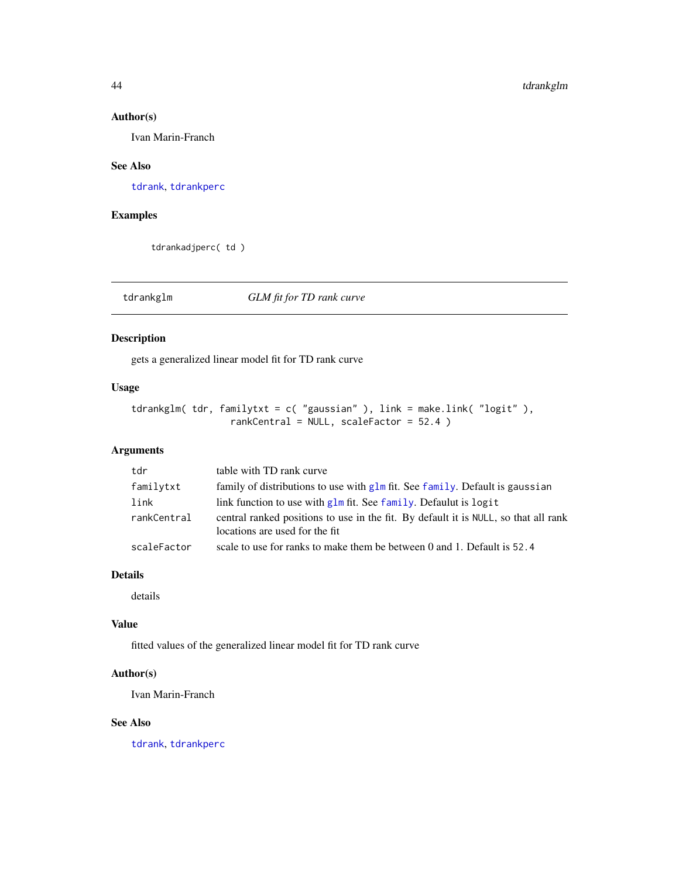### Author(s)

Ivan Marin-Franch

### See Also

[tdrank](#page-41-0), [tdrankperc](#page-45-0)

# Examples

tdrankadjperc( td )

# <span id="page-43-0"></span>tdrankglm *GLM fit for TD rank curve*

### Description

gets a generalized linear model fit for TD rank curve

# Usage

```
tdrankglm( tdr, familytxt = c( "gaussian" ), link = make.link( "logit" ),
                  rankCentral = NULL, scaleFactor = 52.4 )
```
# Arguments

| tdr         | table with TD rank curve                                                                                              |
|-------------|-----------------------------------------------------------------------------------------------------------------------|
| familytxt   | family of distributions to use with $glm$ fit. See family. Default is gaussian                                        |
| link        | link function to use with glm fit. See family. Defaulut is logit                                                      |
| rankCentral | central ranked positions to use in the fit. By default it is NULL, so that all rank<br>locations are used for the fit |
| scaleFactor | scale to use for ranks to make them be between 0 and 1. Default is $52.4$                                             |

# Details

details

### Value

fitted values of the generalized linear model fit for TD rank curve

### Author(s)

Ivan Marin-Franch

# See Also

[tdrank](#page-41-0), [tdrankperc](#page-45-0)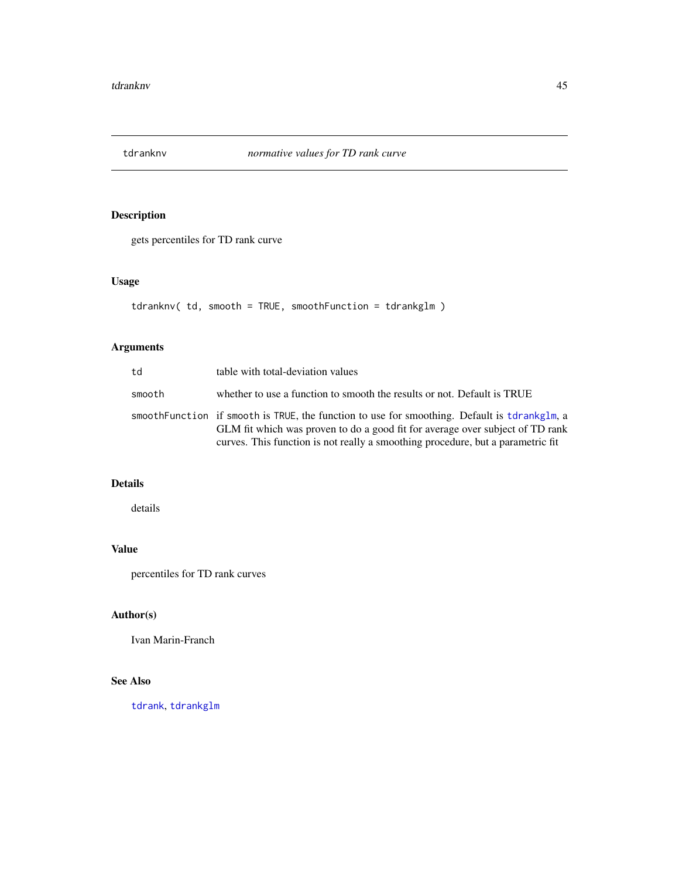gets percentiles for TD rank curve

# Usage

```
tdranknv( td, smooth = TRUE, smoothFunction = tdrankglm )
```
# Arguments

| td     | table with total-deviation values                                                                                                                                                                                                                                |
|--------|------------------------------------------------------------------------------------------------------------------------------------------------------------------------------------------------------------------------------------------------------------------|
| smooth | whether to use a function to smooth the results or not. Default is TRUE                                                                                                                                                                                          |
|        | smoothFunction if smooth is TRUE, the function to use for smoothing. Default is tdrankglm, a<br>GLM fit which was proven to do a good fit for average over subject of TD rank<br>curves. This function is not really a smoothing procedure, but a parametric fit |

# Details

details

# Value

percentiles for TD rank curves

# Author(s)

Ivan Marin-Franch

# See Also

[tdrank](#page-41-0), [tdrankglm](#page-43-0)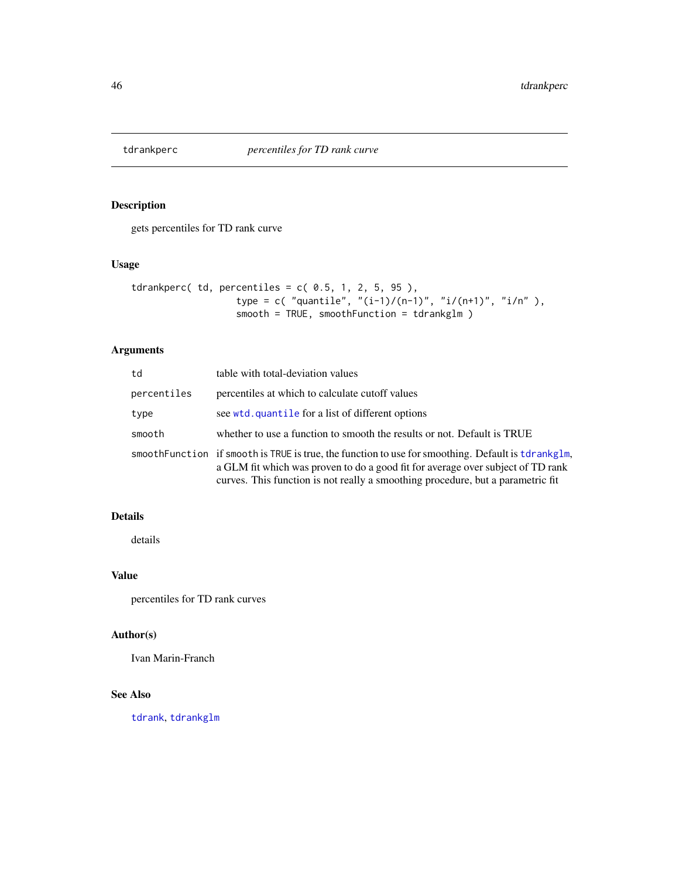<span id="page-45-0"></span>

gets percentiles for TD rank curve

# Usage

```
tdrankperc(td, percentiles = c(0.5, 1, 2, 5, 95),type = c( "quantile", "(i-1)/(n-1)", "i/(n+1)", "i/n"),
                  smooth = TRUE, smoothFunction = tdrankglm )
```
# Arguments

| td          | table with total-deviation values                                                                                                                                                                                                                                        |
|-------------|--------------------------------------------------------------------------------------------------------------------------------------------------------------------------------------------------------------------------------------------------------------------------|
| percentiles | percentiles at which to calculate cutoff values                                                                                                                                                                                                                          |
| type        | see wtd. quantile for a list of different options                                                                                                                                                                                                                        |
| smooth      | whether to use a function to smooth the results or not. Default is TRUE                                                                                                                                                                                                  |
|             | smoothFunction if smooth is TRUE is true, the function to use for smoothing. Default is tdrankglm,<br>a GLM fit which was proven to do a good fit for average over subject of TD rank<br>curves. This function is not really a smoothing procedure, but a parametric fit |

# Details

details

# Value

percentiles for TD rank curves

# Author(s)

Ivan Marin-Franch

### See Also

[tdrank](#page-41-0), [tdrankglm](#page-43-0)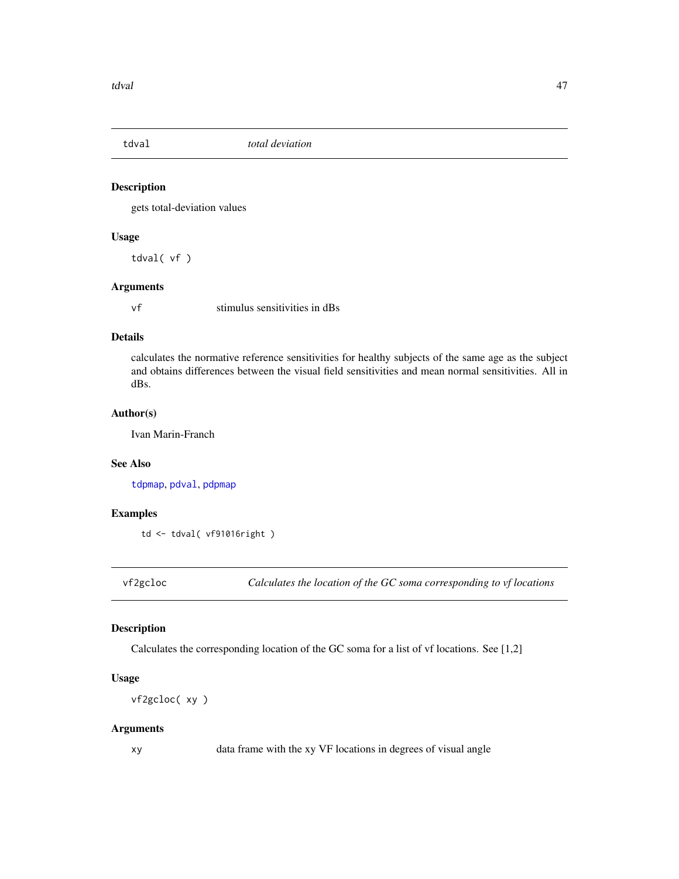<span id="page-46-0"></span>

gets total-deviation values

## Usage

tdval( vf )

# Arguments

vf stimulus sensitivities in dBs

### Details

calculates the normative reference sensitivities for healthy subjects of the same age as the subject and obtains differences between the visual field sensitivities and mean normal sensitivities. All in dBs.

### Author(s)

Ivan Marin-Franch

### See Also

[tdpmap](#page-41-1), [pdval](#page-28-0), [pdpmap](#page-26-0)

# Examples

td <- tdval( vf91016right )

vf2gcloc *Calculates the location of the GC soma corresponding to vf locations*

# Description

Calculates the corresponding location of the GC soma for a list of vf locations. See [1,2]

### Usage

```
vf2gcloc( xy )
```
### Arguments

xy data frame with the xy VF locations in degrees of visual angle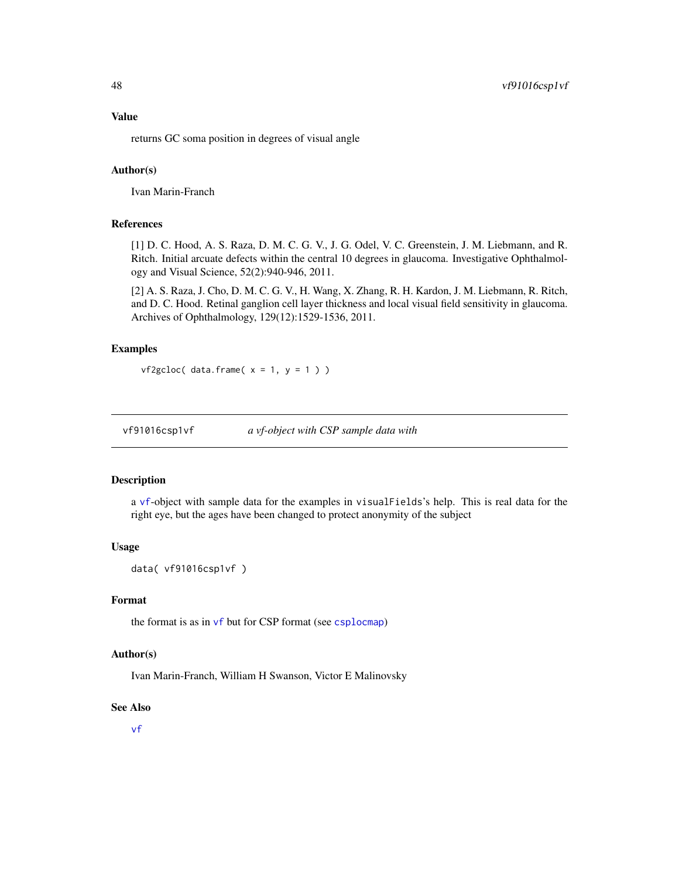### Value

returns GC soma position in degrees of visual angle

# Author(s)

Ivan Marin-Franch

# References

[1] D. C. Hood, A. S. Raza, D. M. C. G. V., J. G. Odel, V. C. Greenstein, J. M. Liebmann, and R. Ritch. Initial arcuate defects within the central 10 degrees in glaucoma. Investigative Ophthalmology and Visual Science, 52(2):940-946, 2011.

[2] A. S. Raza, J. Cho, D. M. C. G. V., H. Wang, X. Zhang, R. H. Kardon, J. M. Liebmann, R. Ritch, and D. C. Hood. Retinal ganglion cell layer thickness and local visual field sensitivity in glaucoma. Archives of Ophthalmology, 129(12):1529-1536, 2011.

### Examples

```
vf2gcloc( data frame(x = 1, y = 1))
```
vf91016csp1vf *a vf-object with CSP sample data with*

#### Description

a [vf](#page-60-0)-object with sample data for the examples in visualFields's help. This is real data for the right eye, but the ages have been changed to protect anonymity of the subject

#### Usage

```
data( vf91016csp1vf )
```
#### Format

the format is as in [vf](#page-60-0) but for CSP format (see [csplocmap](#page-9-0))

### Author(s)

Ivan Marin-Franch, William H Swanson, Victor E Malinovsky

### See Also

[vf](#page-60-0)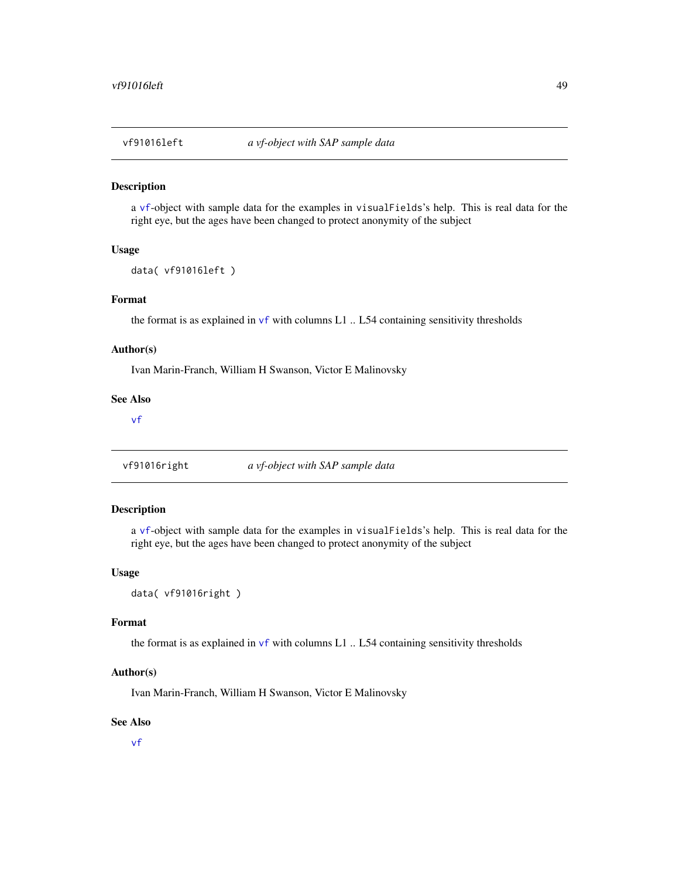a [vf](#page-60-0)-object with sample data for the examples in visualFields's help. This is real data for the right eye, but the ages have been changed to protect anonymity of the subject

## Usage

```
data( vf91016left )
```
# Format

the format is as explained in  $\mathsf{v}\mathsf{f}$  with columns L1 .. L54 containing sensitivity thresholds

## Author(s)

Ivan Marin-Franch, William H Swanson, Victor E Malinovsky

### See Also

[vf](#page-60-0)

vf91016right *a vf-object with SAP sample data*

### Description

a [vf](#page-60-0)-object with sample data for the examples in visualFields's help. This is real data for the right eye, but the ages have been changed to protect anonymity of the subject

#### Usage

```
data( vf91016right )
```
### Format

the format is as explained in  $\mathsf{v}\mathsf{f}$  with columns L1 .. L54 containing sensitivity thresholds

#### Author(s)

Ivan Marin-Franch, William H Swanson, Victor E Malinovsky

#### See Also

[vf](#page-60-0)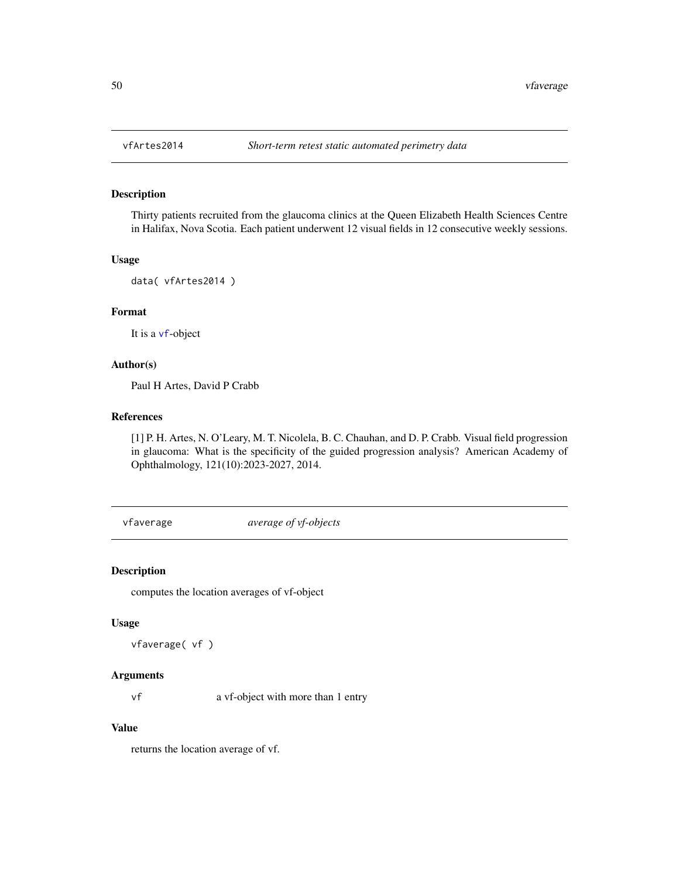Thirty patients recruited from the glaucoma clinics at the Queen Elizabeth Health Sciences Centre in Halifax, Nova Scotia. Each patient underwent 12 visual fields in 12 consecutive weekly sessions.

#### Usage

```
data( vfArtes2014 )
```
# Format

It is a [vf](#page-60-0)-object

# Author(s)

Paul H Artes, David P Crabb

### References

[1] P. H. Artes, N. O'Leary, M. T. Nicolela, B. C. Chauhan, and D. P. Crabb. Visual field progression in glaucoma: What is the specificity of the guided progression analysis? American Academy of Ophthalmology, 121(10):2023-2027, 2014.

vfaverage *average of vf-objects*

### Description

computes the location averages of vf-object

#### Usage

```
vfaverage( vf )
```
#### Arguments

vf a vf-object with more than 1 entry

# Value

returns the location average of vf.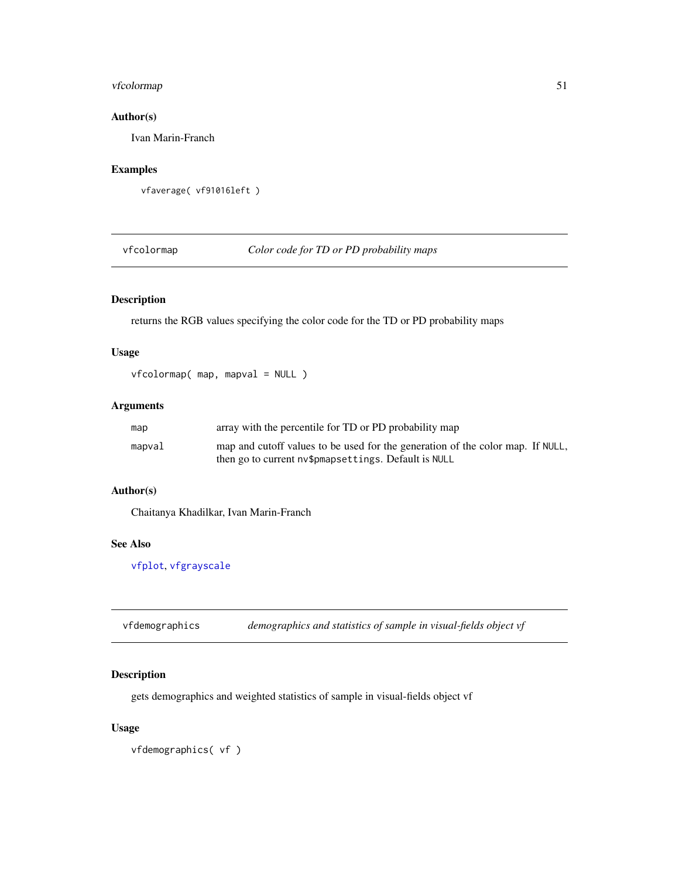# vfcolormap 51

# Author(s)

Ivan Marin-Franch

### Examples

vfaverage( vf91016left )

<span id="page-50-0"></span>vfcolormap *Color code for TD or PD probability maps*

# Description

returns the RGB values specifying the color code for the TD or PD probability maps

# Usage

vfcolormap( map, mapval = NULL )

## Arguments

| map    | array with the percentile for TD or PD probability map                         |
|--------|--------------------------------------------------------------------------------|
| mapval | map and cutoff values to be used for the generation of the color map. If NULL, |
|        | then go to current ny \$pmapsettings. Default is NULL                          |

### Author(s)

Chaitanya Khadilkar, Ivan Marin-Franch

# See Also

[vfplot](#page-62-0), [vfgrayscale](#page-52-0)

vfdemographics *demographics and statistics of sample in visual-fields object vf*

### Description

gets demographics and weighted statistics of sample in visual-fields object vf

## Usage

vfdemographics( vf )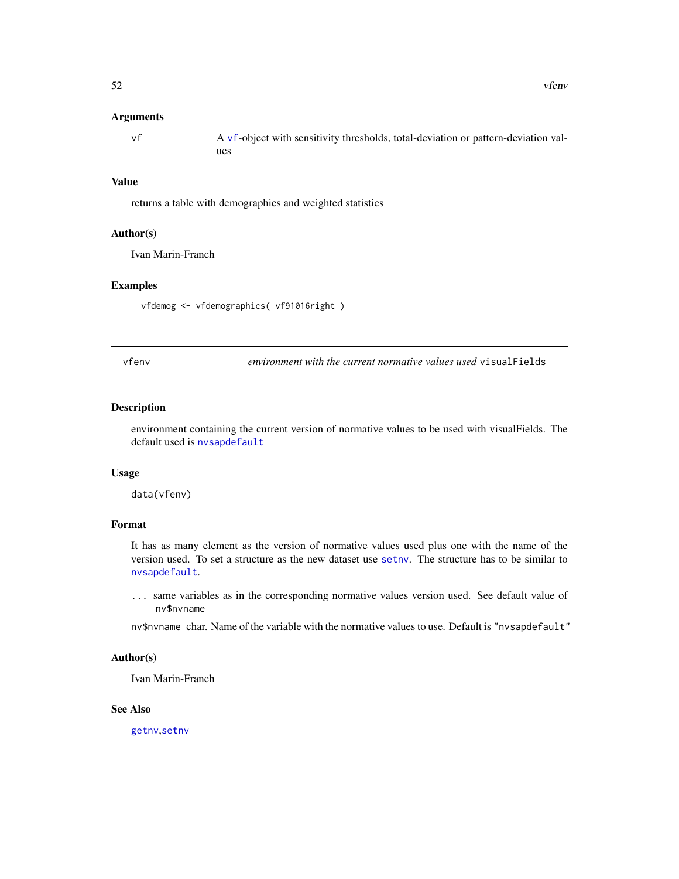#### Arguments

| vf | A vf-object with sensitivity thresholds, total-deviation or pattern-deviation val- |
|----|------------------------------------------------------------------------------------|
|    | ues                                                                                |

### Value

returns a table with demographics and weighted statistics

### Author(s)

Ivan Marin-Franch

### Examples

vfdemog <- vfdemographics( vf91016right )

vfenv *environment with the current normative values used* visualFields

#### Description

environment containing the current version of normative values to be used with visualFields. The default used is [nvsapdefault](#page-25-0)

### Usage

data(vfenv)

### Format

It has as many element as the version of normative values used plus one with the name of the version used. To set a structure as the new dataset use [setnv](#page-39-0). The structure has to be similar to [nvsapdefault](#page-25-0).

... same variables as in the corresponding normative values version used. See default value of nv\$nvname

nv\$nvname char. Name of the variable with the normative values to use. Default is "nvsapdefault"

## Author(s)

Ivan Marin-Franch

### See Also

[getnv](#page-14-0),[setnv](#page-39-0)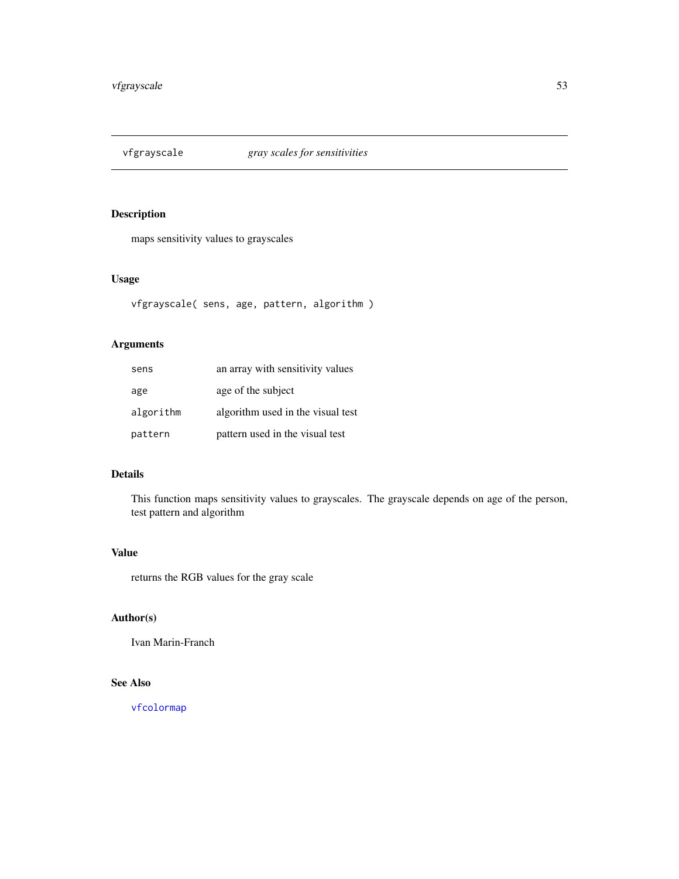<span id="page-52-0"></span>

maps sensitivity values to grayscales

# Usage

```
vfgrayscale( sens, age, pattern, algorithm )
```
# Arguments

| sens      | an array with sensitivity values  |
|-----------|-----------------------------------|
| age       | age of the subject                |
| algorithm | algorithm used in the visual test |
| pattern   | pattern used in the visual test   |

# Details

This function maps sensitivity values to grayscales. The grayscale depends on age of the person, test pattern and algorithm

# Value

returns the RGB values for the gray scale

# Author(s)

Ivan Marin-Franch

### See Also

[vfcolormap](#page-50-0)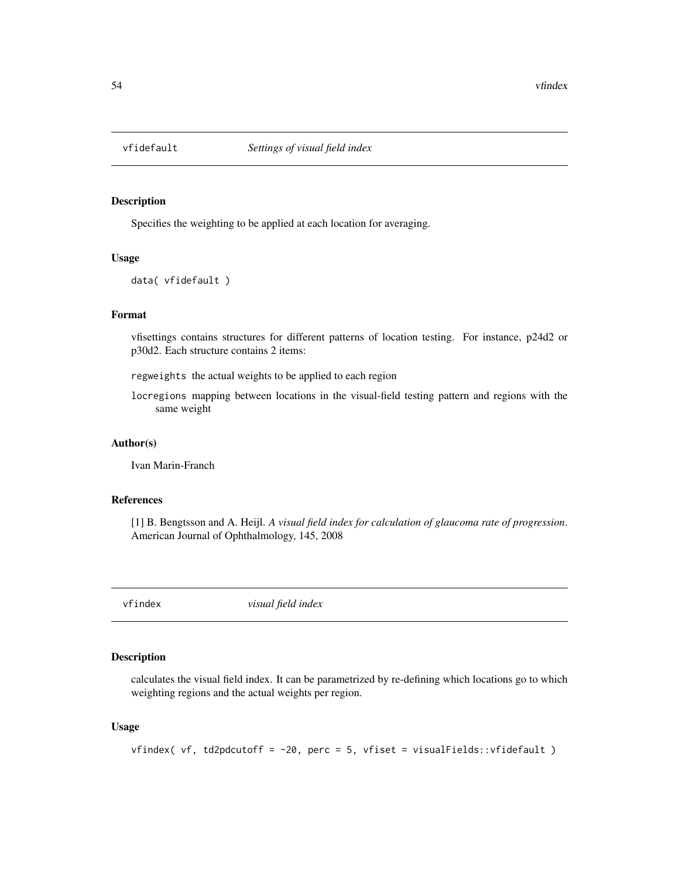Specifies the weighting to be applied at each location for averaging.

#### Usage

```
data( vfidefault )
```
## Format

vfisettings contains structures for different patterns of location testing. For instance, p24d2 or p30d2. Each structure contains 2 items:

regweights the actual weights to be applied to each region

locregions mapping between locations in the visual-field testing pattern and regions with the same weight

#### Author(s)

Ivan Marin-Franch

### References

[1] B. Bengtsson and A. Heijl. *A visual field index for calculation of glaucoma rate of progression*. American Journal of Ophthalmology, 145, 2008

<span id="page-53-0"></span>vfindex *visual field index*

### Description

calculates the visual field index. It can be parametrized by re-defining which locations go to which weighting regions and the actual weights per region.

## Usage

vfindex( vf, td2pdcutoff = -20, perc = 5, vfiset = visualFields::vfidefault )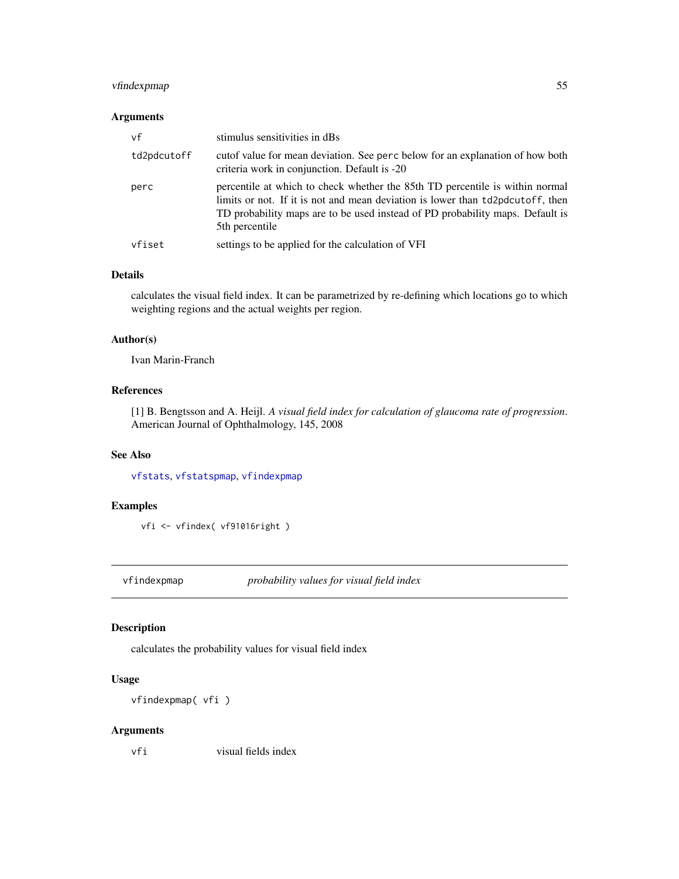# vfindexpmap 55

### Arguments

| vf          | stimulus sensitivities in dBs                                                                                                                                                                                                                                     |
|-------------|-------------------------------------------------------------------------------------------------------------------------------------------------------------------------------------------------------------------------------------------------------------------|
| td2pdcutoff | cutof value for mean deviation. See perc below for an explanation of how both<br>criteria work in conjunction. Default is -20                                                                                                                                     |
| perc        | percentile at which to check whether the 85th TD percentile is within normal<br>limits or not. If it is not and mean deviation is lower than td2pdcutoff, then<br>TD probability maps are to be used instead of PD probability maps. Default is<br>5th percentile |
| vfiset      | settings to be applied for the calculation of VFI                                                                                                                                                                                                                 |

### Details

calculates the visual field index. It can be parametrized by re-defining which locations go to which weighting regions and the actual weights per region.

### Author(s)

Ivan Marin-Franch

# References

[1] B. Bengtsson and A. Heijl. *A visual field index for calculation of glaucoma rate of progression*. American Journal of Ophthalmology, 145, 2008

### See Also

[vfstats](#page-72-0), [vfstatspmap](#page-73-0), [vfindexpmap](#page-54-0)

### Examples

vfi <- vfindex( vf91016right )

<span id="page-54-0"></span>vfindexpmap *probability values for visual field index*

# Description

calculates the probability values for visual field index

### Usage

vfindexpmap( vfi )

# Arguments

vfi visual fields index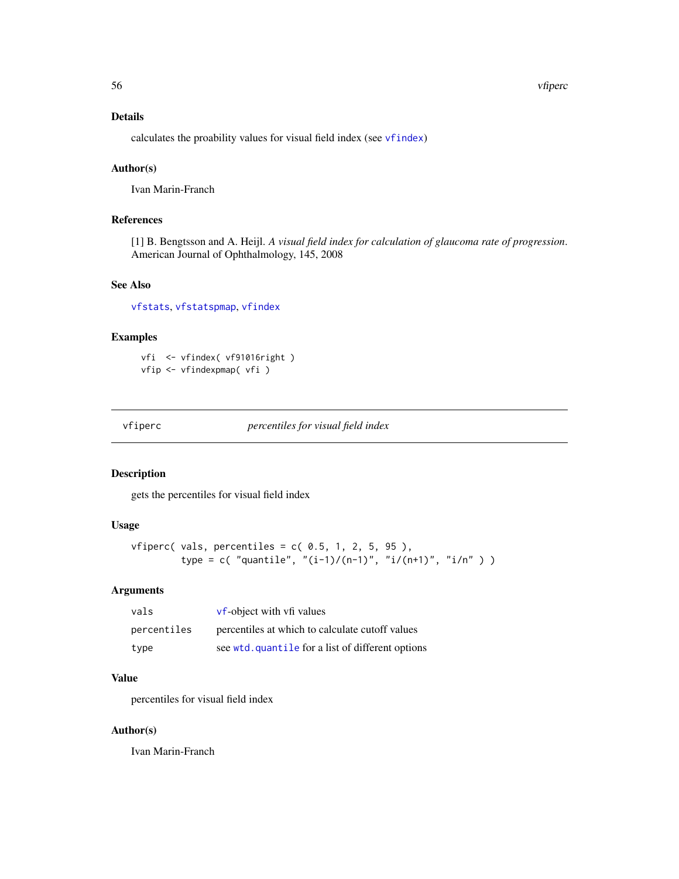#### 56 vfiperc

## Details

calculates the proability values for visual field index (see [vfindex](#page-53-0))

### Author(s)

Ivan Marin-Franch

# References

[1] B. Bengtsson and A. Heijl. *A visual field index for calculation of glaucoma rate of progression*. American Journal of Ophthalmology, 145, 2008

# See Also

[vfstats](#page-72-0), [vfstatspmap](#page-73-0), [vfindex](#page-53-0)

## Examples

vfi <- vfindex( vf91016right ) vfip <- vfindexpmap( vfi )

vfiperc *percentiles for visual field index*

### Description

gets the percentiles for visual field index

# Usage

```
vfiperc( vals, percentiles = c( 0.5, 1, 2, 5, 95),
         type = c( "quantile", "(i-1)/(n-1)", "i/(n+1)", "i/n" ) )
```
### Arguments

| vals        | vf-object with vfi values                         |
|-------------|---------------------------------------------------|
| percentiles | percentiles at which to calculate cutoff values   |
| type        | see wtd. quantile for a list of different options |

# Value

percentiles for visual field index

## Author(s)

Ivan Marin-Franch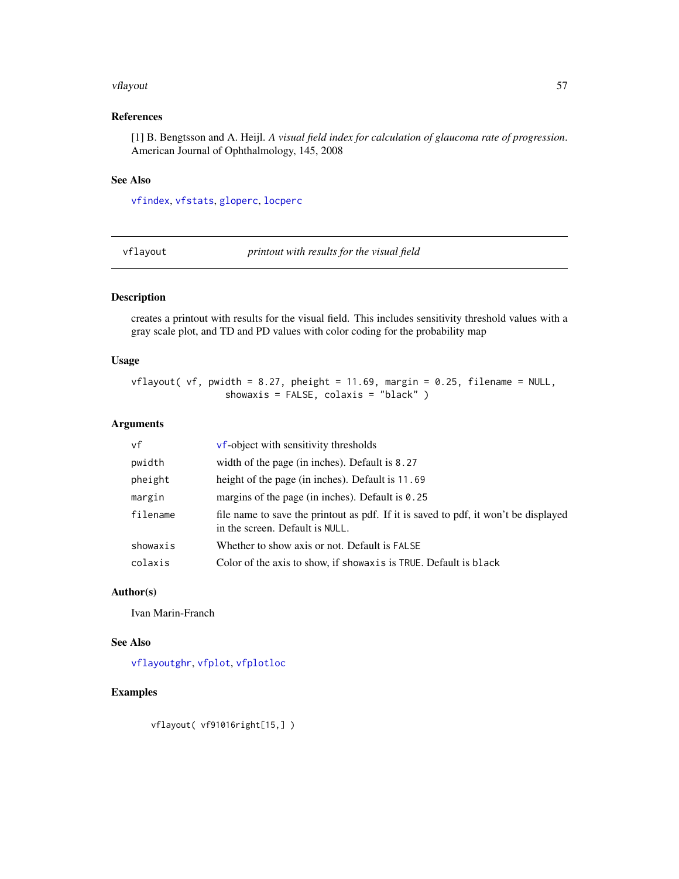#### vflayout 57

## References

[1] B. Bengtsson and A. Heijl. *A visual field index for calculation of glaucoma rate of progression*. American Journal of Ophthalmology, 145, 2008

### See Also

[vfindex](#page-53-0), [vfstats](#page-72-0), [gloperc](#page-17-0), [locperc](#page-23-0)

<span id="page-56-0"></span>vflayout *printout with results for the visual field*

# Description

creates a printout with results for the visual field. This includes sensitivity threshold values with a gray scale plot, and TD and PD values with color coding for the probability map

## Usage

vflayout( vf, pwidth = 8.27, pheight = 11.69, margin = 0.25, filename = NULL, showaxis = FALSE, colaxis = "black" )

### Arguments

| vf       | <b>vf-object</b> with sensitivity thresholds                                                                           |
|----------|------------------------------------------------------------------------------------------------------------------------|
| pwidth   | width of the page (in inches). Default is 8.27                                                                         |
| pheight  | height of the page (in inches). Default is 11.69                                                                       |
| margin   | margins of the page (in inches). Default is $0.25$                                                                     |
| filename | file name to save the printout as pdf. If it is saved to pdf, it won't be displayed<br>in the screen. Default is NULL. |
| showaxis | Whether to show axis or not. Default is FALSE                                                                          |
| colaxis  | Color of the axis to show, if showax is is TRUE. Default is black                                                      |

### Author(s)

Ivan Marin-Franch

### See Also

[vflayoutghr](#page-57-0), [vfplot](#page-62-0), [vfplotloc](#page-64-0)

# Examples

vflayout( vf91016right[15,] )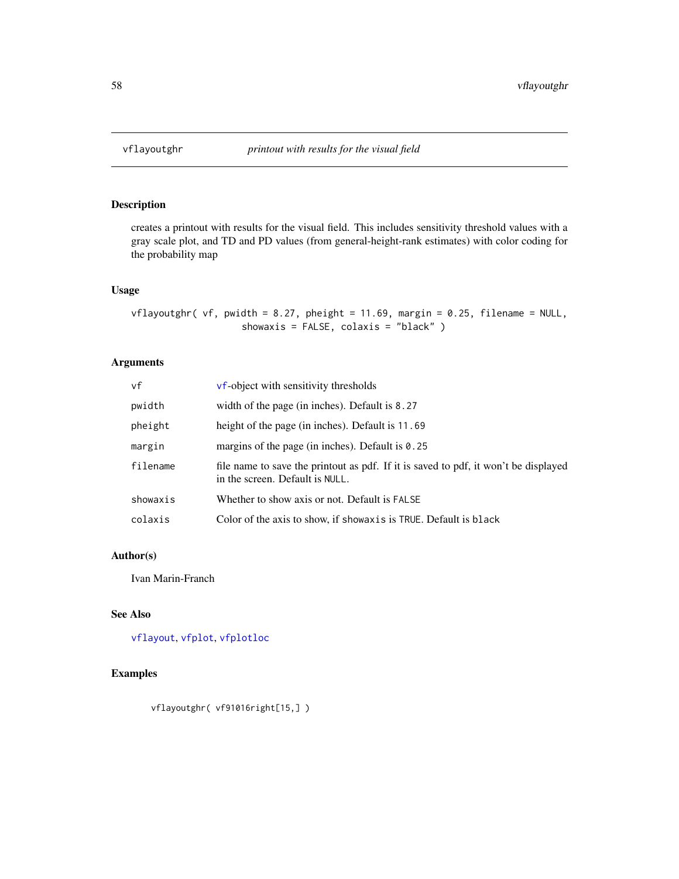<span id="page-57-0"></span>

creates a printout with results for the visual field. This includes sensitivity threshold values with a gray scale plot, and TD and PD values (from general-height-rank estimates) with color coding for the probability map

# Usage

 $v$ flayoutghr( vf, pwidth = 8.27, pheight = 11.69, margin = 0.25, filename = NULL, showaxis = FALSE, colaxis = "black" )

# Arguments

| vf       | <b>vf-object</b> with sensitivity thresholds                                                                           |
|----------|------------------------------------------------------------------------------------------------------------------------|
| pwidth   | width of the page (in inches). Default is 8.27                                                                         |
| pheight  | height of the page (in inches). Default is 11.69                                                                       |
| margin   | margins of the page (in inches). Default is $0.25$                                                                     |
| filename | file name to save the printout as pdf. If it is saved to pdf, it won't be displayed<br>in the screen. Default is NULL. |
| showaxis | Whether to show axis or not. Default is FALSE                                                                          |
| colaxis  | Color of the axis to show, if showax is is TRUE. Default is black                                                      |

# Author(s)

Ivan Marin-Franch

### See Also

[vflayout](#page-56-0), [vfplot](#page-62-0), [vfplotloc](#page-64-0)

# Examples

vflayoutghr( vf91016right[15,] )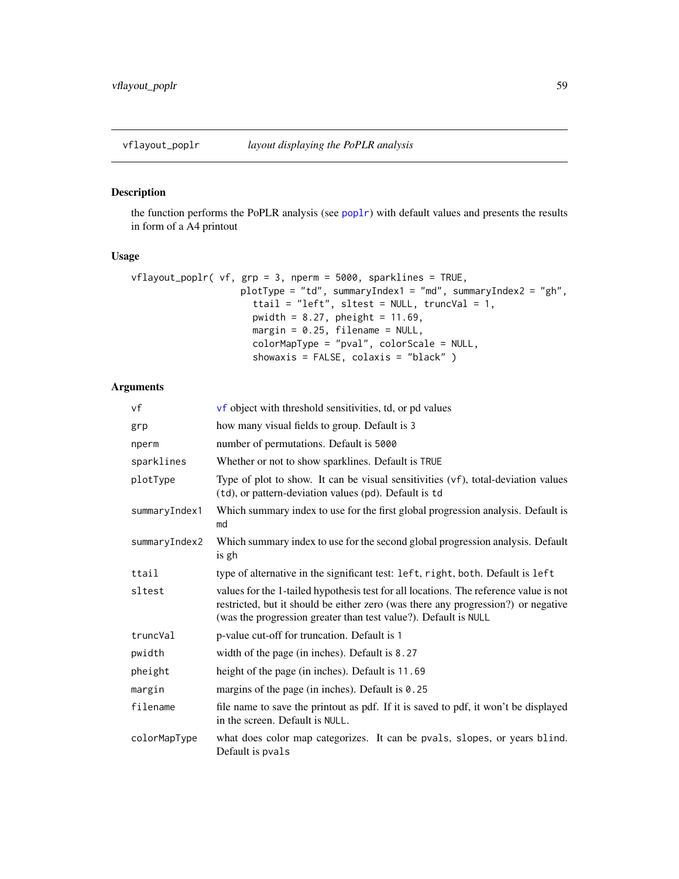<span id="page-58-0"></span>

the function performs the PoPLR analysis (see [poplr](#page-29-0)) with default values and presents the results in form of a A4 printout

# Usage

```
vflayout_poplr( vf, grp = 3, nperm = 5000, sparklines = TRUE,
                   plotType = "td", summaryIndex1 = "md", summaryIndex2 = "gh",
                      ttail = "left", sltest = NULL, truncVal = 1,
                      pwidth = 8.27, pheight = 11.69,
                      margin = 0.25, filename = NULL,
                      colorMapType = "pval", colorScale = NULL,
                      showaxis = FALSE, colaxis = "black" )
```
# Arguments

| vf            | vf object with threshold sensitivities, td, or pd values                                                                                                                                                                                      |
|---------------|-----------------------------------------------------------------------------------------------------------------------------------------------------------------------------------------------------------------------------------------------|
| grp           | how many visual fields to group. Default is 3                                                                                                                                                                                                 |
| nperm         | number of permutations. Default is 5000                                                                                                                                                                                                       |
| sparklines    | Whether or not to show sparklines. Default is TRUE                                                                                                                                                                                            |
| plotType      | Type of plot to show. It can be visual sensitivities (vf), total-deviation values<br>(td), or pattern-deviation values (pd). Default is td                                                                                                    |
| summaryIndex1 | Which summary index to use for the first global progression analysis. Default is<br>md                                                                                                                                                        |
| summaryIndex2 | Which summary index to use for the second global progression analysis. Default<br>is gh                                                                                                                                                       |
| ttail         | type of alternative in the significant test: left, right, both. Default is left                                                                                                                                                               |
| sltest        | values for the 1-tailed hypothesis test for all locations. The reference value is not<br>restricted, but it should be either zero (was there any progression?) or negative<br>(was the progression greater than test value?). Default is NULL |
| truncVal      | p-value cut-off for truncation. Default is 1                                                                                                                                                                                                  |
| pwidth        | width of the page (in inches). Default is 8.27                                                                                                                                                                                                |
| pheight       | height of the page (in inches). Default is 11.69                                                                                                                                                                                              |
| margin        | margins of the page (in inches). Default is 0.25                                                                                                                                                                                              |
| filename      | file name to save the printout as pdf. If it is saved to pdf, it won't be displayed<br>in the screen. Default is NULL.                                                                                                                        |
| colorMapType  | what does color map categorizes. It can be pvals, slopes, or years blind.<br>Default is pvals                                                                                                                                                 |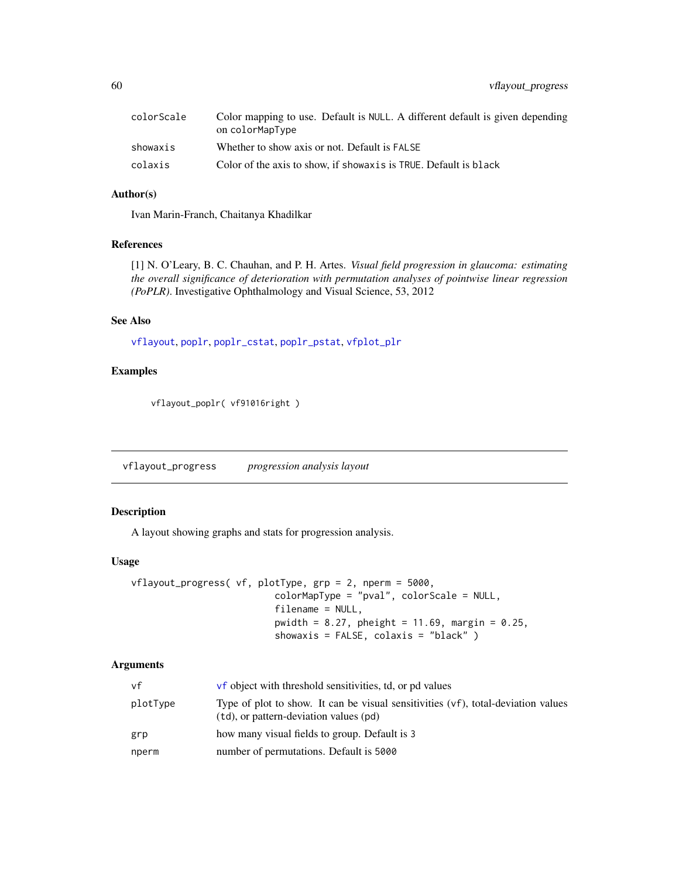| colorScale | Color mapping to use. Default is NULL. A different default is given depending<br>on colorMapType |
|------------|--------------------------------------------------------------------------------------------------|
| showaxis   | Whether to show axis or not. Default is FALSE                                                    |
| colaxis    | Color of the axis to show, if showax is is TRUE. Default is black                                |

# Author(s)

Ivan Marin-Franch, Chaitanya Khadilkar

# References

[1] N. O'Leary, B. C. Chauhan, and P. H. Artes. *Visual field progression in glaucoma: estimating the overall significance of deterioration with permutation analyses of pointwise linear regression (PoPLR)*. Investigative Ophthalmology and Visual Science, 53, 2012

### See Also

[vflayout](#page-56-0), [poplr](#page-29-0), [poplr\\_cstat](#page-30-0), [poplr\\_pstat](#page-31-0), [vfplot\\_plr](#page-66-0)

### Examples

vflayout\_poplr( vf91016right )

vflayout\_progress *progression analysis layout*

# Description

A layout showing graphs and stats for progression analysis.

#### Usage

```
vflayout_progress( vf, plotType, grp = 2, nperm = 5000,
                          colorMapType = "pval", colorScale = NULL,
                          filename = NULL,
                          pwidth = 8.27, pheight = 11.69, margin = 0.25,
                          showaxis = FALSE, colaxis = "black" )
```
# Arguments

| vf       | <b>vf</b> object with threshold sensitivities, td, or pd values                                                                |
|----------|--------------------------------------------------------------------------------------------------------------------------------|
| plotType | Type of plot to show. It can be visual sensitivities $(vf)$ , total-deviation values<br>(td), or pattern-deviation values (pd) |
| grp      | how many visual fields to group. Default is 3                                                                                  |
| nperm    | number of permutations. Default is 5000                                                                                        |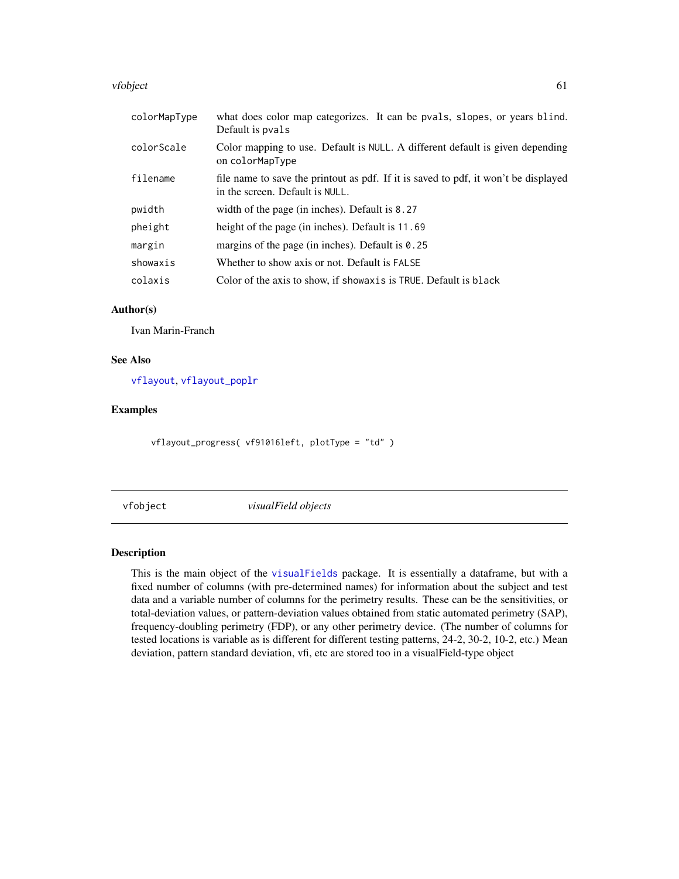#### vfobject 61

| colorMapType | what does color map categorizes. It can be pvals, slopes, or years blind.<br>Default is pvals                          |
|--------------|------------------------------------------------------------------------------------------------------------------------|
| colorScale   | Color mapping to use. Default is NULL. A different default is given depending<br>on colorMapType                       |
| filename     | file name to save the printout as pdf. If it is saved to pdf, it won't be displayed<br>in the screen. Default is NULL. |
| pwidth       | width of the page (in inches). Default is 8.27                                                                         |
| pheight      | height of the page (in inches). Default is 11.69                                                                       |
| margin       | margins of the page (in inches). Default is $0.25$                                                                     |
| showaxis     | Whether to show axis or not. Default is FALSE                                                                          |
| colaxis      | Color of the axis to show, if showax is is TRUE. Default is black                                                      |

# Author(s)

Ivan Marin-Franch

## See Also

[vflayout](#page-56-0), [vflayout\\_poplr](#page-58-0)

# Examples

vflayout\_progress( vf91016left, plotType = "td" )

vfobject *visualField objects*

### <span id="page-60-0"></span>Description

This is the main object of the [visualFields](#page-2-0) package. It is essentially a dataframe, but with a fixed number of columns (with pre-determined names) for information about the subject and test data and a variable number of columns for the perimetry results. These can be the sensitivities, or total-deviation values, or pattern-deviation values obtained from static automated perimetry (SAP), frequency-doubling perimetry (FDP), or any other perimetry device. (The number of columns for tested locations is variable as is different for different testing patterns, 24-2, 30-2, 10-2, etc.) Mean deviation, pattern standard deviation, vfi, etc are stored too in a visualField-type object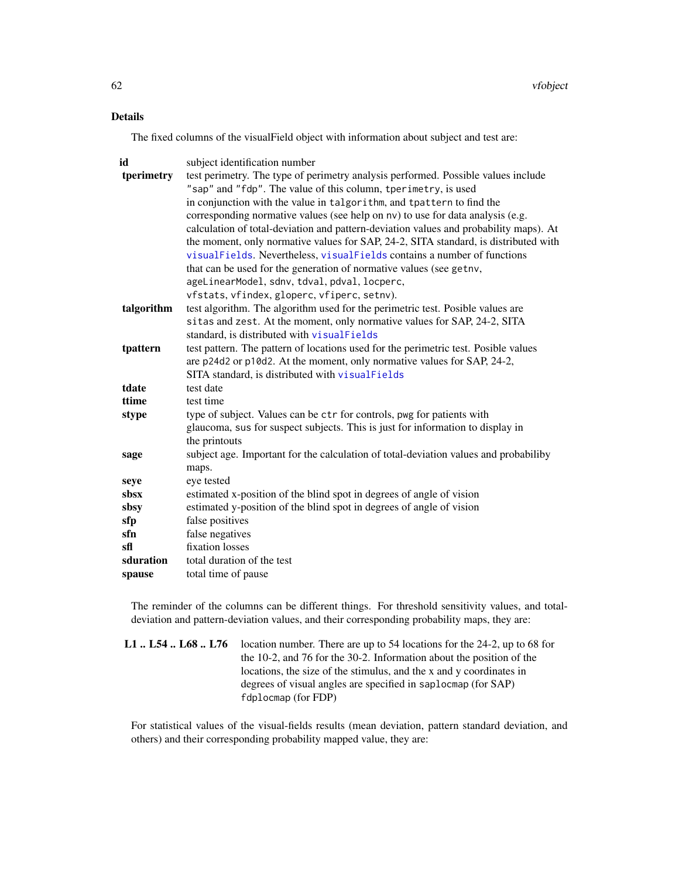# Details

The fixed columns of the visualField object with information about subject and test are:

| id         | subject identification number                                                         |
|------------|---------------------------------------------------------------------------------------|
| tperimetry | test perimetry. The type of perimetry analysis performed. Possible values include     |
|            | "sap" and "fdp". The value of this column, tperimetry, is used                        |
|            | in conjunction with the value in talgorithm, and tpattern to find the                 |
|            | corresponding normative values (see help on nv) to use for data analysis (e.g.        |
|            | calculation of total-deviation and pattern-deviation values and probability maps). At |
|            | the moment, only normative values for SAP, 24-2, SITA standard, is distributed with   |
|            | visualFields. Nevertheless, visualFields contains a number of functions               |
|            | that can be used for the generation of normative values (see getny,                   |
|            | ageLinearModel, sdnv, tdval, pdval, locperc,                                          |
|            | vfstats, vfindex, gloperc, vfiperc, setnv).                                           |
| talgorithm | test algorithm. The algorithm used for the perimetric test. Posible values are        |
|            | sitas and zest. At the moment, only normative values for SAP, 24-2, SITA              |
|            | standard, is distributed with visualFields                                            |
| tpattern   | test pattern. The pattern of locations used for the perimetric test. Posible values   |
|            | are p24d2 or p10d2. At the moment, only normative values for SAP, 24-2,               |
|            | SITA standard, is distributed with visualFields                                       |
| tdate      | test date                                                                             |
| ttime      | test time                                                                             |
| stype      | type of subject. Values can be ctr for controls, pwg for patients with                |
|            | glaucoma, sus for suspect subjects. This is just for information to display in        |
|            | the printouts                                                                         |
| sage       | subject age. Important for the calculation of total-deviation values and probabiliby  |
|            | maps.                                                                                 |
| seye       | eye tested                                                                            |
| sbsx       | estimated x-position of the blind spot in degrees of angle of vision                  |
| sbsy       | estimated y-position of the blind spot in degrees of angle of vision                  |
| sfp        | false positives                                                                       |
| sfn        | false negatives                                                                       |
| sfl        | fixation losses                                                                       |
| sduration  | total duration of the test                                                            |
| spause     | total time of pause                                                                   |

The reminder of the columns can be different things. For threshold sensitivity values, and totaldeviation and pattern-deviation values, and their corresponding probability maps, they are:

| <b>L1</b> L54 L68 L76 location number. There are up to 54 locations for the 24-2, up to 68 for |
|------------------------------------------------------------------------------------------------|
| the 10-2, and 76 for the 30-2. Information about the position of the                           |
| locations, the size of the stimulus, and the x and y coordinates in                            |
| degrees of visual angles are specified in saplocmap (for SAP)                                  |
| fdplocmap (for FDP)                                                                            |

For statistical values of the visual-fields results (mean deviation, pattern standard deviation, and others) and their corresponding probability mapped value, they are: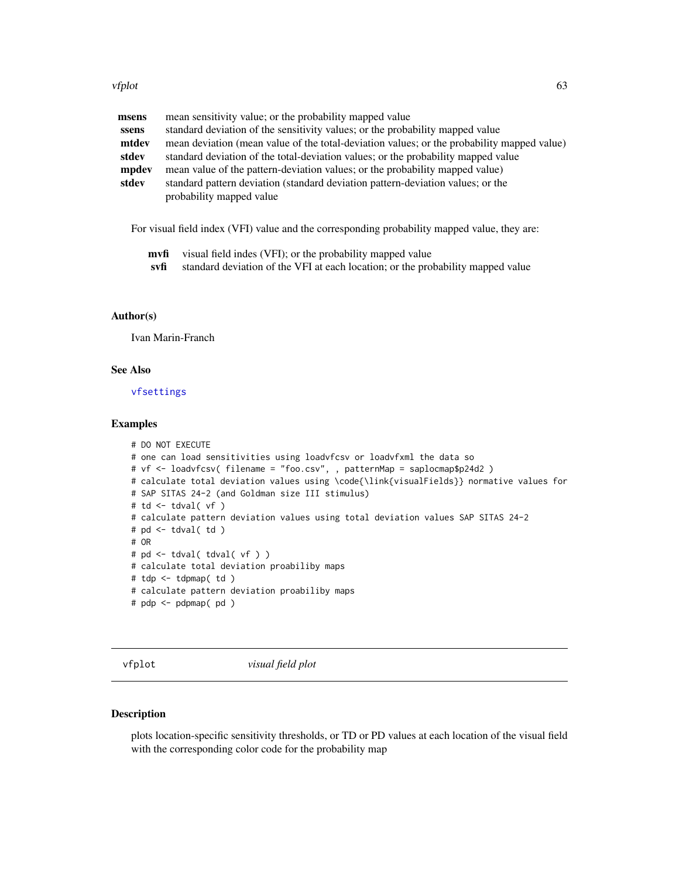#### vfplot 63

| msens | mean sensitivity value; or the probability mapped value                                    |
|-------|--------------------------------------------------------------------------------------------|
| ssens | standard deviation of the sensitivity values; or the probability mapped value              |
| mtdev | mean deviation (mean value of the total-deviation values; or the probability mapped value) |
| stdev | standard deviation of the total-deviation values; or the probability mapped value          |
| mpdev | mean value of the pattern-deviation values; or the probability mapped value)               |
| stdev | standard pattern deviation (standard deviation pattern-deviation values; or the            |
|       | probability mapped value                                                                   |

For visual field index (VFI) value and the corresponding probability mapped value, they are:

- mvfi visual field indes (VFI); or the probability mapped value
- svfi standard deviation of the VFI at each location; or the probability mapped value

### Author(s)

Ivan Marin-Franch

## See Also

[vfsettings](#page-70-0)

#### Examples

```
# DO NOT EXECUTE
# one can load sensitivities using loadvfcsv or loadvfxml the data so
# vf <- loadvfcsv( filename = "foo.csv", , patternMap = saplocmap$p24d2 )
# calculate total deviation values using \code{\link{visualFields}} normative values for
# SAP SITAS 24-2 (and Goldman size III stimulus)
# td <- tdval( vf )
# calculate pattern deviation values using total deviation values SAP SITAS 24-2
# pd <- tdval( td )
# OR
# pd <- tdval( tdval( vf ) )
# calculate total deviation proabiliby maps
# tdp <- tdpmap( td )
# calculate pattern deviation proabiliby maps
# pdp <- pdpmap( pd )
```
<span id="page-62-0"></span>vfplot *visual field plot*

### Description

plots location-specific sensitivity thresholds, or TD or PD values at each location of the visual field with the corresponding color code for the probability map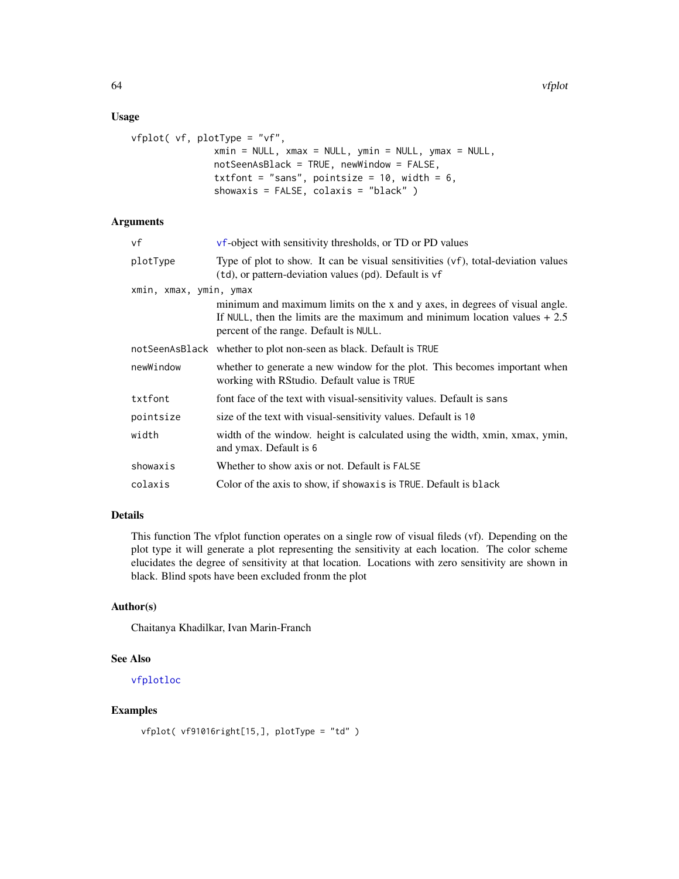### Usage

```
vfplot( vf, plotType = "vf",
               xmin = NULL, xmax = NULL, ymin = NULL, ymax = NULL,
               notSeenAsBlack = TRUE, newWindow = FALSE,
               txtfont = "sans", pointsize = 10, width = 6,
               showaxis = FALSE, colaxis = "black" )
```
## Arguments

| vf                     | vf-object with sensitivity thresholds, or TD or PD values                                                                                                                                            |
|------------------------|------------------------------------------------------------------------------------------------------------------------------------------------------------------------------------------------------|
| plotType               | Type of plot to show. It can be visual sensitivities (vf), total-deviation values<br>(td), or pattern-deviation values (pd). Default is vf                                                           |
| xmin, xmax, ymin, ymax |                                                                                                                                                                                                      |
|                        | minimum and maximum limits on the x and y axes, in degrees of visual angle.<br>If NULL, then the limits are the maximum and minimum location values $+2.5$<br>percent of the range. Default is NULL. |
|                        | notSeenAsBlack whether to plot non-seen as black. Default is TRUE                                                                                                                                    |
| newWindow              | whether to generate a new window for the plot. This becomes important when<br>working with RStudio. Default value is TRUE                                                                            |
| txtfont                | font face of the text with visual-sensitivity values. Default is sans                                                                                                                                |
| pointsize              | size of the text with visual-sensitivity values. Default is 10                                                                                                                                       |
| width                  | width of the window, height is calculated using the width, xmin, xmax, ymin,<br>and ymax. Default is 6                                                                                               |
| showaxis               | Whether to show axis or not. Default is FALSE                                                                                                                                                        |
| colaxis                | Color of the axis to show, if showax is is TRUE. Default is black                                                                                                                                    |
|                        |                                                                                                                                                                                                      |

# Details

This function The vfplot function operates on a single row of visual fileds (vf). Depending on the plot type it will generate a plot representing the sensitivity at each location. The color scheme elucidates the degree of sensitivity at that location. Locations with zero sensitivity are shown in black. Blind spots have been excluded fronm the plot

### Author(s)

Chaitanya Khadilkar, Ivan Marin-Franch

## See Also

#### [vfplotloc](#page-64-0)

# Examples

```
vfplot( vf91016right[15,], plotType = "td" )
```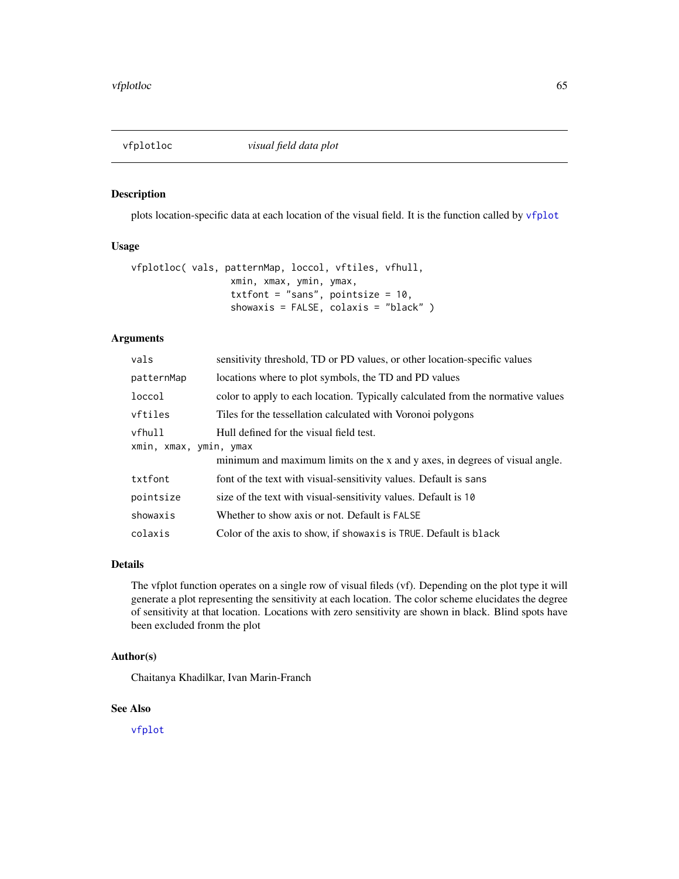<span id="page-64-0"></span>

plots location-specific data at each location of the visual field. It is the function called by [vfplot](#page-62-0)

### Usage

```
vfplotloc( vals, patternMap, loccol, vftiles, vfhull,
                  xmin, xmax, ymin, ymax,
                  txtfont = "sans", pointsize = 10,
                  showaxis = FALSE, colaxis = "black" )
```
# Arguments

| sensitivity threshold, TD or PD values, or other location-specific values       |
|---------------------------------------------------------------------------------|
| locations where to plot symbols, the TD and PD values                           |
| color to apply to each location. Typically calculated from the normative values |
| Tiles for the tessellation calculated with Voronoi polygons                     |
| Hull defined for the visual field test.<br>xmin, xmax, ymin, ymax               |
| minimum and maximum limits on the x and y axes, in degrees of visual angle.     |
| font of the text with visual-sensitivity values. Default is sans                |
| size of the text with visual-sensitivity values. Default is 10                  |
| Whether to show axis or not. Default is FALSE                                   |
| Color of the axis to show, if showax is is TRUE. Default is black               |
|                                                                                 |

### Details

The vfplot function operates on a single row of visual fileds (vf). Depending on the plot type it will generate a plot representing the sensitivity at each location. The color scheme elucidates the degree of sensitivity at that location. Locations with zero sensitivity are shown in black. Blind spots have been excluded fronm the plot

## Author(s)

Chaitanya Khadilkar, Ivan Marin-Franch

### See Also

[vfplot](#page-62-0)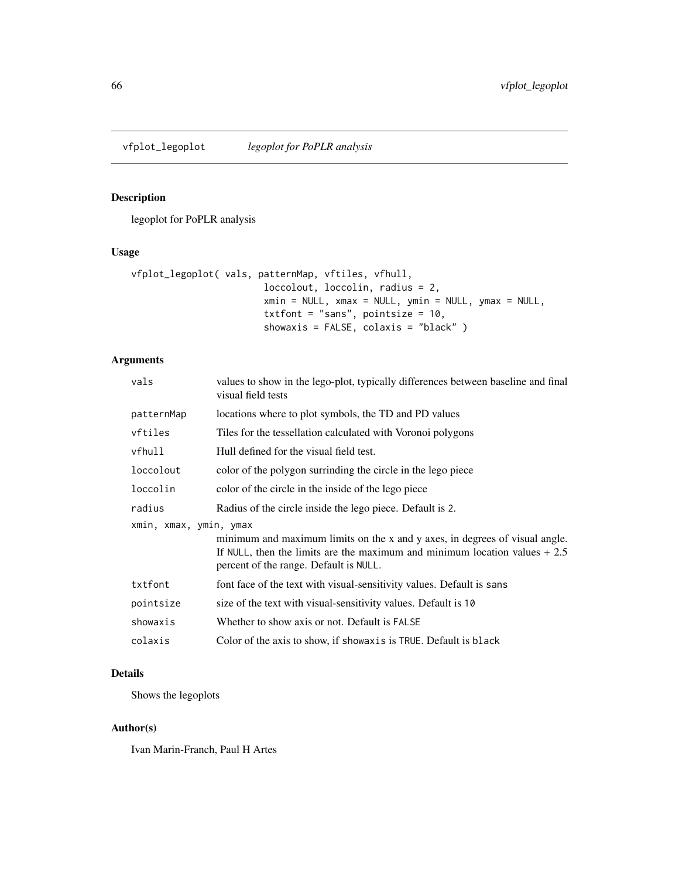legoplot for PoPLR analysis

# Usage

```
vfplot_legoplot( vals, patternMap, vftiles, vfhull,
                        loccolout, loccolin, radius = 2,
                       xmin = NULL, xmax = NULL, ymin = NULL, ymax = NULL,txtfont = "sans", pointsize = 10,
                       showaxis = FALSE, colaxis = "black" )
```
# Arguments

| vals                   | values to show in the lego-plot, typically differences between baseline and final<br>visual field tests                                                                                              |  |
|------------------------|------------------------------------------------------------------------------------------------------------------------------------------------------------------------------------------------------|--|
| patternMap             | locations where to plot symbols, the TD and PD values                                                                                                                                                |  |
| vftiles                | Tiles for the tessellation calculated with Voronoi polygons                                                                                                                                          |  |
| vfhull                 | Hull defined for the visual field test.                                                                                                                                                              |  |
| loccolout              | color of the polygon surrinding the circle in the lego piece                                                                                                                                         |  |
| loccolin               | color of the circle in the inside of the lego piece                                                                                                                                                  |  |
| radius                 | Radius of the circle inside the lego piece. Default is 2.                                                                                                                                            |  |
| xmin, xmax, ymin, ymax | minimum and maximum limits on the x and y axes, in degrees of visual angle.<br>If NULL, then the limits are the maximum and minimum location values $+2.5$<br>percent of the range. Default is NULL. |  |
| txtfont                | font face of the text with visual-sensitivity values. Default is sans                                                                                                                                |  |
| pointsize              | size of the text with visual-sensitivity values. Default is 10                                                                                                                                       |  |
| showaxis               | Whether to show axis or not. Default is FALSE                                                                                                                                                        |  |
| colaxis                | Color of the axis to show, if showax is is TRUE. Default is black                                                                                                                                    |  |

# Details

Shows the legoplots

### Author(s)

Ivan Marin-Franch, Paul H Artes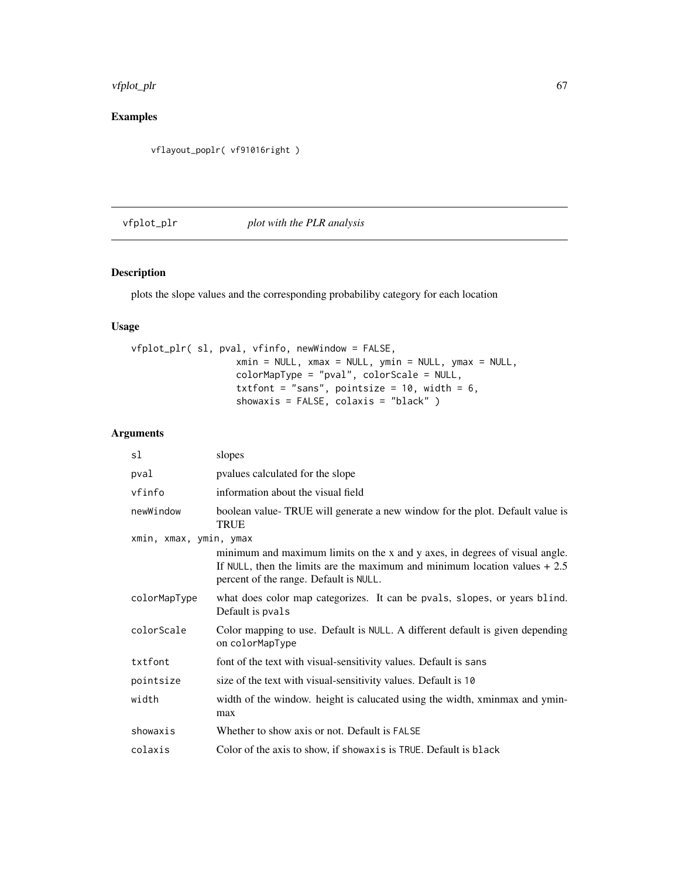#### vfplot\_plr 67

# Examples

vflayout\_poplr( vf91016right )

# <span id="page-66-0"></span>vfplot\_plr *plot with the PLR analysis*

# Description

plots the slope values and the corresponding probabiliby category for each location

# Usage

```
vfplot_plr( sl, pval, vfinfo, newWindow = FALSE,
                   xmin = NULL, xmax = NULL, ymin = NULL, ymax = NULL,
                  colorMapType = "pval", colorScale = NULL,
                   txtfont = "sans", pointsize = 10, width = 6,
                   showaxis = FALSE, colaxis = "black" )
```
# Arguments

| sl                     | slopes                                                                                                                                                                                               |  |
|------------------------|------------------------------------------------------------------------------------------------------------------------------------------------------------------------------------------------------|--|
| pval                   | pyalues calculated for the slope                                                                                                                                                                     |  |
| vfinfo                 | information about the visual field                                                                                                                                                                   |  |
| newWindow              | boolean value-TRUE will generate a new window for the plot. Default value is<br><b>TRUE</b>                                                                                                          |  |
| xmin, xmax, ymin, ymax |                                                                                                                                                                                                      |  |
|                        | minimum and maximum limits on the x and y axes, in degrees of visual angle.<br>If NULL, then the limits are the maximum and minimum location values $+2.5$<br>percent of the range. Default is NULL. |  |
| colorMapType           | what does color map categorizes. It can be pvals, slopes, or years blind.<br>Default is pvals                                                                                                        |  |
| colorScale             | Color mapping to use. Default is NULL. A different default is given depending<br>on colorMapType                                                                                                     |  |
| txtfont                | font of the text with visual-sensitivity values. Default is sans                                                                                                                                     |  |
| pointsize              | size of the text with visual-sensitivity values. Default is 10                                                                                                                                       |  |
| width                  | width of the window. height is calucated using the width, xminmax and ymin-<br>max                                                                                                                   |  |
| showaxis               | Whether to show axis or not. Default is FALSE                                                                                                                                                        |  |
| colaxis                | Color of the axis to show, if showaxis is TRUE. Default is black                                                                                                                                     |  |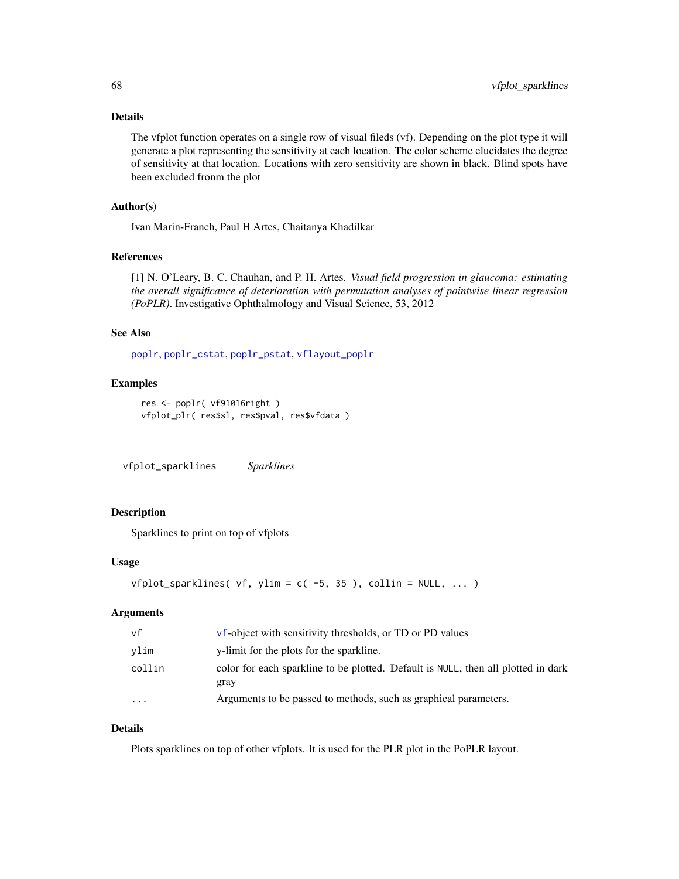### Details

The vfplot function operates on a single row of visual fileds (vf). Depending on the plot type it will generate a plot representing the sensitivity at each location. The color scheme elucidates the degree of sensitivity at that location. Locations with zero sensitivity are shown in black. Blind spots have been excluded fronm the plot

### Author(s)

Ivan Marin-Franch, Paul H Artes, Chaitanya Khadilkar

#### References

[1] N. O'Leary, B. C. Chauhan, and P. H. Artes. *Visual field progression in glaucoma: estimating the overall significance of deterioration with permutation analyses of pointwise linear regression (PoPLR)*. Investigative Ophthalmology and Visual Science, 53, 2012

#### See Also

[poplr](#page-29-0), [poplr\\_cstat](#page-30-0), [poplr\\_pstat](#page-31-0), [vflayout\\_poplr](#page-58-0)

# Examples

```
res <- poplr( vf91016right )
vfplot_plr( res$sl, res$pval, res$vfdata )
```
vfplot\_sparklines *Sparklines*

### Description

Sparklines to print on top of vfplots

#### Usage

```
vfplot_sparklines( vf, ylim = c(-5, 35), collin = NULL, ... )
```
### Arguments

| vf                      | <b>vf</b> -object with sensitivity thresholds, or TD or PD values                         |
|-------------------------|-------------------------------------------------------------------------------------------|
| vlim                    | y-limit for the plots for the sparkline.                                                  |
| collin                  | color for each sparkline to be plotted. Default is NULL, then all plotted in dark<br>gray |
| $\cdot$ $\cdot$ $\cdot$ | Arguments to be passed to methods, such as graphical parameters.                          |

## Details

Plots sparklines on top of other vfplots. It is used for the PLR plot in the PoPLR layout.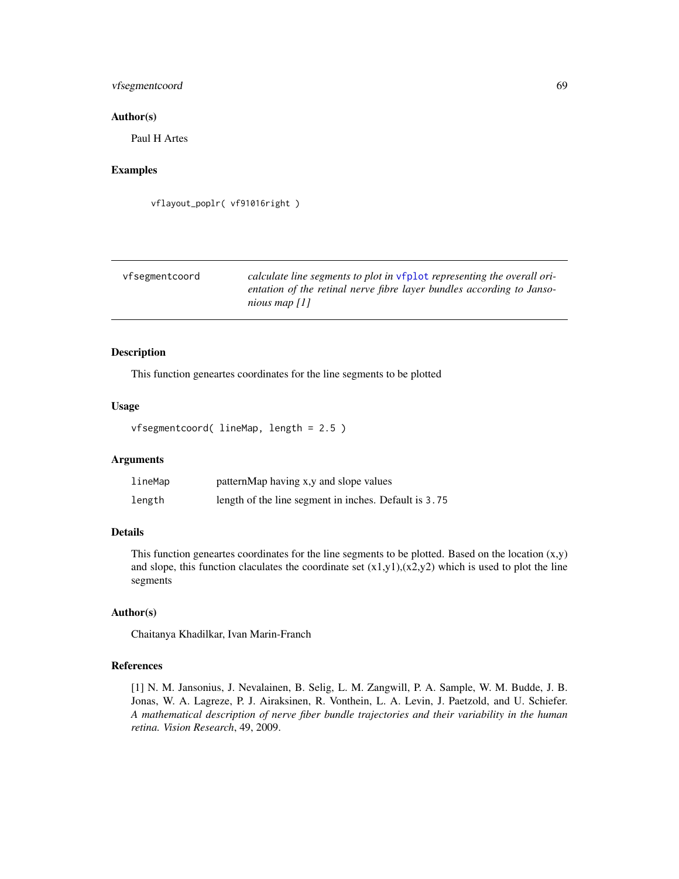# vfsegmentcoord 69

### Author(s)

Paul H Artes

# Examples

```
vflayout_poplr( vf91016right )
```

| vfsegmentcoord | calculate line segments to plot in vfplot representing the overall ori-                  |
|----------------|------------------------------------------------------------------------------------------|
|                | entation of the retinal nerve fibre layer bundles according to Janso-<br>nious map $[1]$ |

# Description

This function geneartes coordinates for the line segments to be plotted

## Usage

```
vfsegmentcoord( lineMap, length = 2.5 )
```
# Arguments

| lineMap | patternMap having x,y and slope values                |
|---------|-------------------------------------------------------|
| length  | length of the line segment in inches. Default is 3.75 |

### Details

This function geneartes coordinates for the line segments to be plotted. Based on the location  $(x,y)$ and slope, this function claculates the coordinate set  $(x1,y1),(x2,y2)$  which is used to plot the line segments

### Author(s)

Chaitanya Khadilkar, Ivan Marin-Franch

### References

[1] N. M. Jansonius, J. Nevalainen, B. Selig, L. M. Zangwill, P. A. Sample, W. M. Budde, J. B. Jonas, W. A. Lagreze, P. J. Airaksinen, R. Vonthein, L. A. Levin, J. Paetzold, and U. Schiefer. *A mathematical description of nerve fiber bundle trajectories and their variability in the human retina. Vision Research*, 49, 2009.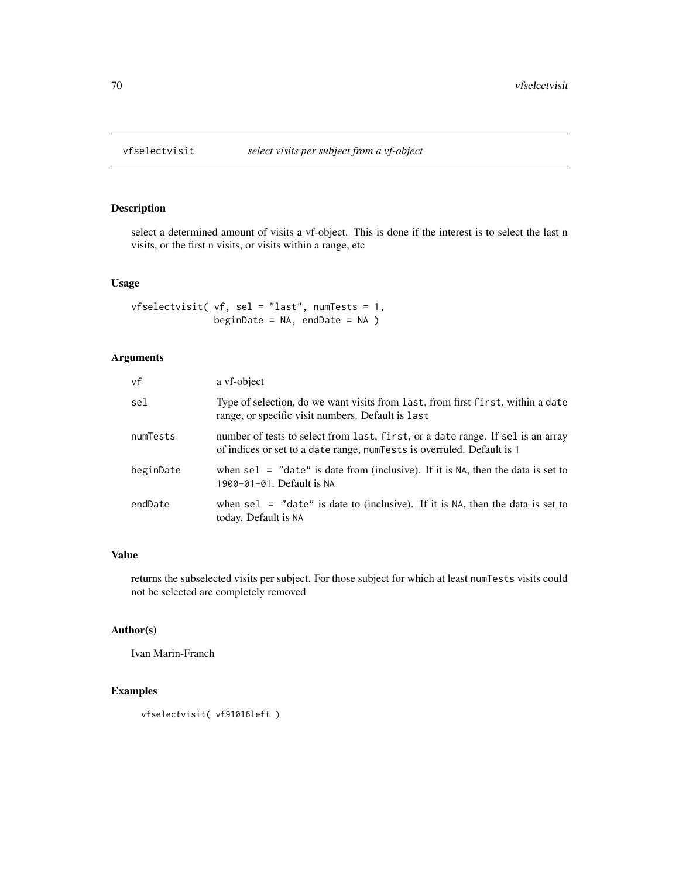select a determined amount of visits a vf-object. This is done if the interest is to select the last n visits, or the first n visits, or visits within a range, etc

### Usage

```
vfselectvisit( vf, sel = "last", numTests = 1,
               beginDate = NA, endDate = NA )
```
# Arguments

| vf        | a vf-object                                                                                                                                                |
|-----------|------------------------------------------------------------------------------------------------------------------------------------------------------------|
| sel       | Type of selection, do we want visits from last, from first first, within a date<br>range, or specific visit numbers. Default is last                       |
| numTests  | number of tests to select from last, first, or a date range. If sel is an array<br>of indices or set to a date range, num Tests is overruled. Default is 1 |
| beginDate | when sel $=$ "date" is date from (inclusive). If it is NA, then the data is set to<br>1900-01-01. Default is NA                                            |
| endDate   | when sel $=$ "date" is date to (inclusive). If it is NA, then the data is set to<br>today. Default is NA                                                   |

### Value

returns the subselected visits per subject. For those subject for which at least numTests visits could not be selected are completely removed

## Author(s)

Ivan Marin-Franch

### Examples

vfselectvisit( vf91016left )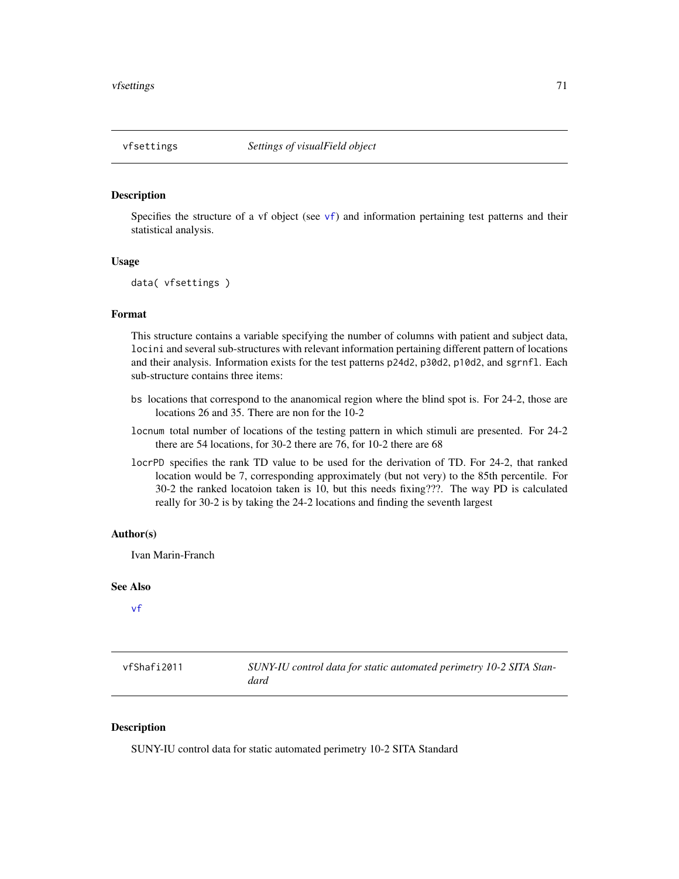<span id="page-70-0"></span>Specifies the structure of a [vf](#page-60-0) object (see  $vf$ ) and information pertaining test patterns and their statistical analysis.

### Usage

```
data( vfsettings )
```
## Format

This structure contains a variable specifying the number of columns with patient and subject data, locini and several sub-structures with relevant information pertaining different pattern of locations and their analysis. Information exists for the test patterns p24d2, p30d2, p10d2, and sgrnfl. Each sub-structure contains three items:

- bs locations that correspond to the ananomical region where the blind spot is. For 24-2, those are locations 26 and 35. There are non for the 10-2
- locnum total number of locations of the testing pattern in which stimuli are presented. For 24-2 there are 54 locations, for 30-2 there are 76, for 10-2 there are 68
- locrPD specifies the rank TD value to be used for the derivation of TD. For 24-2, that ranked location would be 7, corresponding approximately (but not very) to the 85th percentile. For 30-2 the ranked locatoion taken is 10, but this needs fixing???. The way PD is calculated really for 30-2 is by taking the 24-2 locations and finding the seventh largest

#### Author(s)

Ivan Marin-Franch

### See Also

[vf](#page-60-0)

| vfShafi2011 | SUNY-IU control data for static automated perimetry 10-2 SITA Stan- |
|-------------|---------------------------------------------------------------------|
|             | dard                                                                |

## Description

SUNY-IU control data for static automated perimetry 10-2 SITA Standard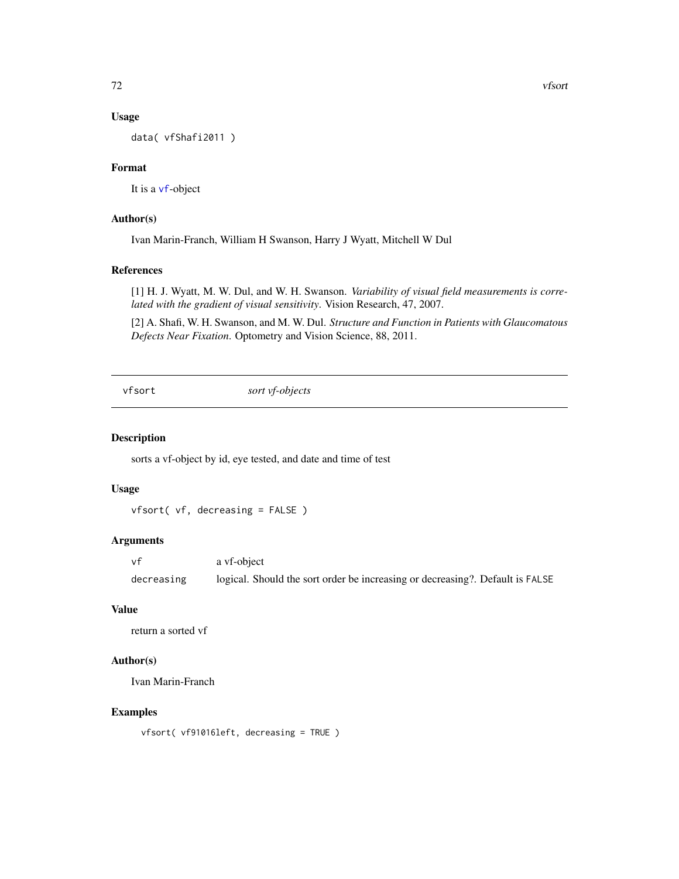### Usage

data( vfShafi2011 )

## Format

It is a [vf](#page-60-0)-object

# Author(s)

Ivan Marin-Franch, William H Swanson, Harry J Wyatt, Mitchell W Dul

### References

[1] H. J. Wyatt, M. W. Dul, and W. H. Swanson. *Variability of visual field measurements is correlated with the gradient of visual sensitivity*. Vision Research, 47, 2007.

[2] A. Shafi, W. H. Swanson, and M. W. Dul. *Structure and Function in Patients with Glaucomatous Defects Near Fixation*. Optometry and Vision Science, 88, 2011.

vfsort *sort vf-objects*

#### Description

sorts a vf-object by id, eye tested, and date and time of test

### Usage

vfsort( vf, decreasing = FALSE )

### Arguments

vf a vf-object decreasing logical. Should the sort order be increasing or decreasing?. Default is FALSE

### Value

return a sorted vf

# Author(s)

Ivan Marin-Franch

#### Examples

vfsort( vf91016left, decreasing = TRUE )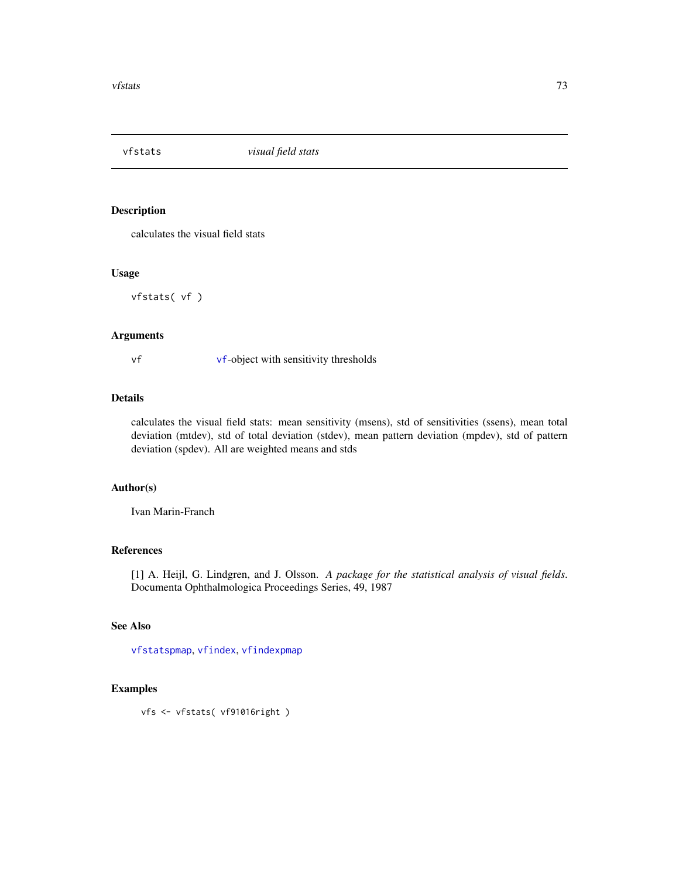<span id="page-72-1"></span><span id="page-72-0"></span>

#### Description

calculates the visual field stats

#### Usage

vfstats( vf )

## Arguments

vf [vf](#page-60-0)-object with sensitivity thresholds

## Details

calculates the visual field stats: mean sensitivity (msens), std of sensitivities (ssens), mean total deviation (mtdev), std of total deviation (stdev), mean pattern deviation (mpdev), std of pattern deviation (spdev). All are weighted means and stds

## Author(s)

Ivan Marin-Franch

#### References

[1] A. Heijl, G. Lindgren, and J. Olsson. *A package for the statistical analysis of visual fields*. Documenta Ophthalmologica Proceedings Series, 49, 1987

#### See Also

[vfstatspmap](#page-73-0), [vfindex](#page-53-0), [vfindexpmap](#page-54-0)

#### Examples

vfs <- vfstats( vf91016right )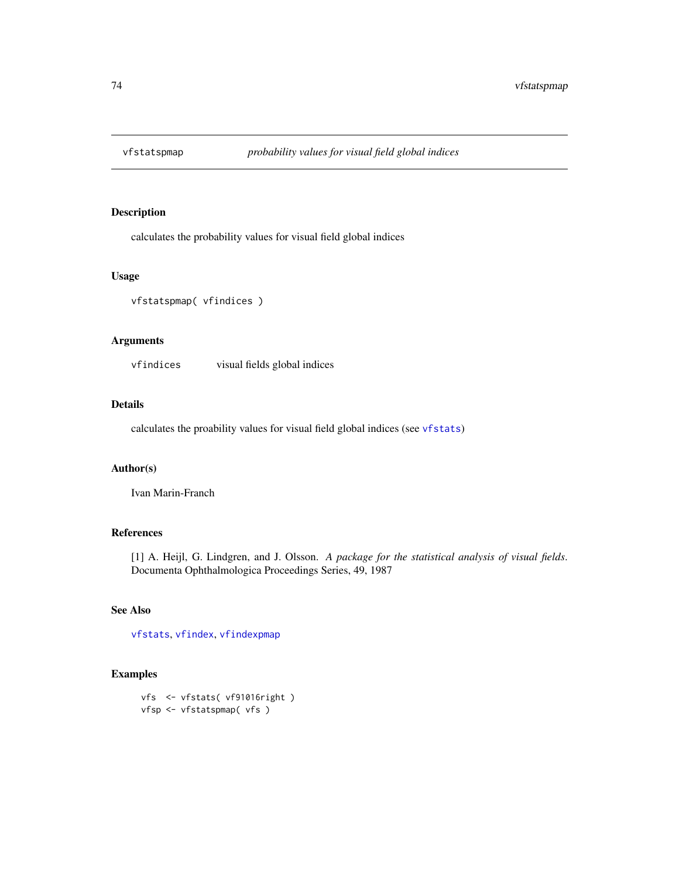<span id="page-73-1"></span><span id="page-73-0"></span>

## Description

calculates the probability values for visual field global indices

#### Usage

```
vfstatspmap( vfindices )
```
#### Arguments

vfindices visual fields global indices

#### Details

calculates the proability values for visual field global indices (see [vfstats](#page-72-0))

#### Author(s)

Ivan Marin-Franch

#### References

[1] A. Heijl, G. Lindgren, and J. Olsson. *A package for the statistical analysis of visual fields*. Documenta Ophthalmologica Proceedings Series, 49, 1987

#### See Also

[vfstats](#page-72-0), [vfindex](#page-53-0), [vfindexpmap](#page-54-0)

#### Examples

```
vfs <- vfstats( vf91016right )
vfsp <- vfstatspmap( vfs )
```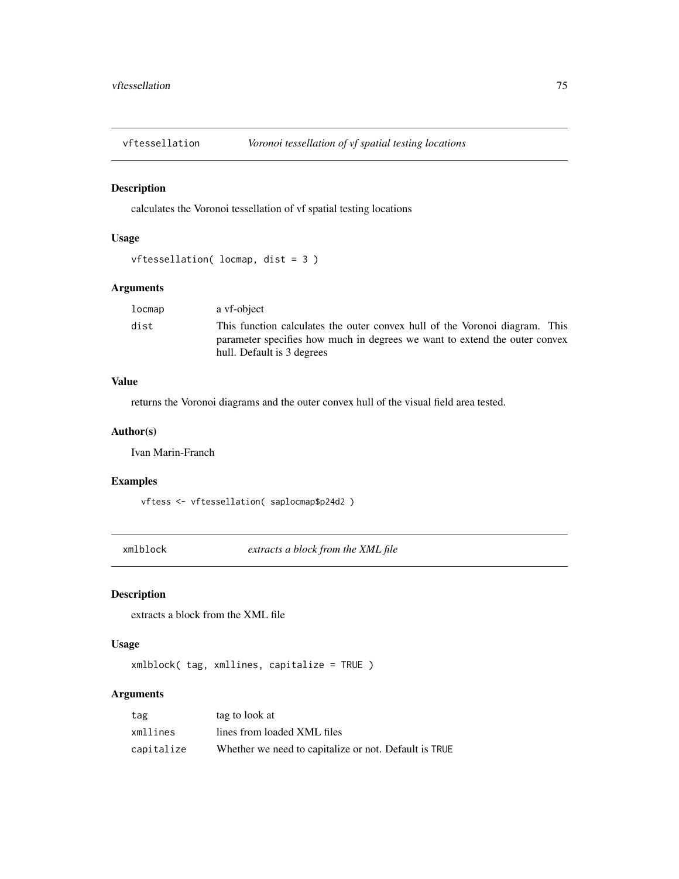<span id="page-74-1"></span>

## Description

calculates the Voronoi tessellation of vf spatial testing locations

# Usage

```
vftessellation( locmap, dist = 3 )
```
#### Arguments

| This function calculates the outer convex hull of the Voronoi diagram. This<br>parameter specifies how much in degrees we want to extend the outer convex |
|-----------------------------------------------------------------------------------------------------------------------------------------------------------|
|                                                                                                                                                           |

## Value

returns the Voronoi diagrams and the outer convex hull of the visual field area tested.

#### Author(s)

Ivan Marin-Franch

## Examples

vftess <- vftessellation( saplocmap\$p24d2 )

<span id="page-74-0"></span>xmlblock *extracts a block from the XML file*

# Description

extracts a block from the XML file

#### Usage

xmlblock( tag, xmllines, capitalize = TRUE )

#### Arguments

| tag        | tag to look at                                        |
|------------|-------------------------------------------------------|
| xmllines   | lines from loaded XML files                           |
| capitalize | Whether we need to capitalize or not. Default is TRUE |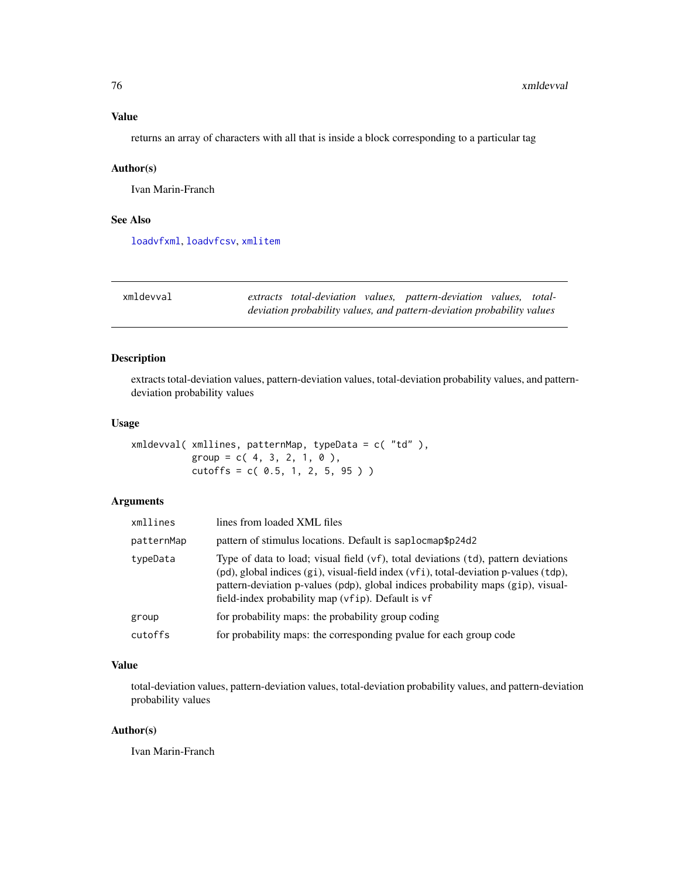<span id="page-75-1"></span>returns an array of characters with all that is inside a block corresponding to a particular tag

#### Author(s)

Ivan Marin-Franch

#### See Also

[loadvfxml](#page-21-0), [loadvfcsv](#page-20-0), [xmlitem](#page-76-0)

<span id="page-75-0"></span>

| xmldevval |  | extracts total-deviation values, pattern-deviation values, total-      |  |
|-----------|--|------------------------------------------------------------------------|--|
|           |  | deviation probability values, and pattern-deviation probability values |  |

## Description

extracts total-deviation values, pattern-deviation values, total-deviation probability values, and patterndeviation probability values

#### Usage

xmldevval( xmllines, patternMap, typeData = c( "td" ),  $group = c( 4, 3, 2, 1, 0 ),$  $cutoffs = c( 0.5, 1, 2, 5, 95 )$ 

## Arguments

| xmllines   | lines from loaded XML files                                                                                                                                                                                                                                                                                         |
|------------|---------------------------------------------------------------------------------------------------------------------------------------------------------------------------------------------------------------------------------------------------------------------------------------------------------------------|
| patternMap | pattern of stimulus locations. Default is saplocmap\$p24d2                                                                                                                                                                                                                                                          |
| typeData   | Type of data to load; visual field (vf), total deviations (td), pattern deviations<br>(pd), global indices (gi), visual-field index (vfi), total-deviation p-values (tdp),<br>pattern-deviation p-values (pdp), global indices probability maps (gip), visual-<br>field-index probability map (vfip). Default is vf |
| group      | for probability maps: the probability group coding                                                                                                                                                                                                                                                                  |
| cutoffs    | for probability maps: the corresponding pvalue for each group code                                                                                                                                                                                                                                                  |
|            |                                                                                                                                                                                                                                                                                                                     |

#### Value

total-deviation values, pattern-deviation values, total-deviation probability values, and pattern-deviation probability values

#### Author(s)

Ivan Marin-Franch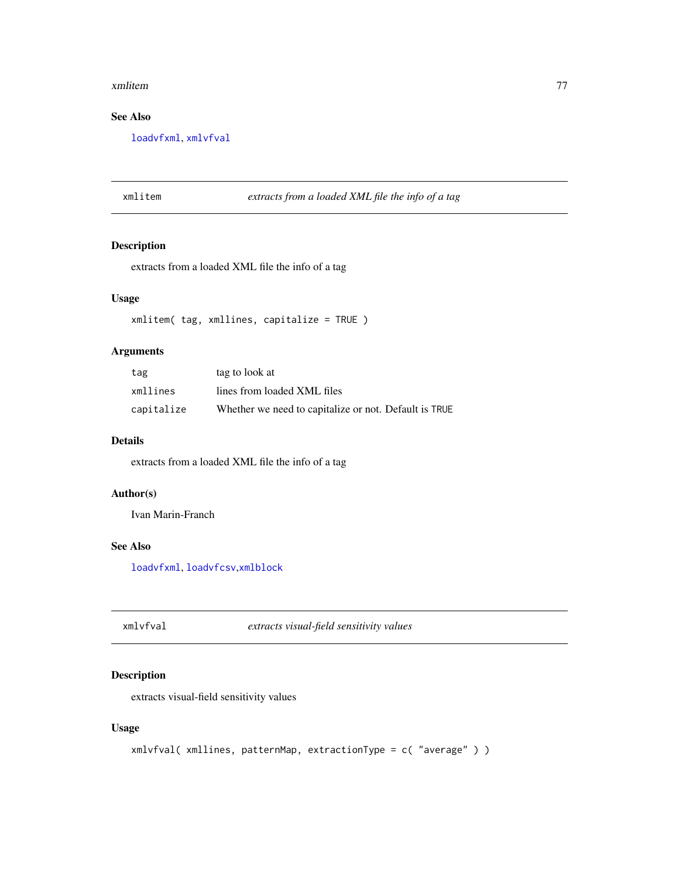#### <span id="page-76-2"></span>xmlitem 77

# See Also

[loadvfxml](#page-21-0), [xmlvfval](#page-76-1)

## <span id="page-76-0"></span>xmlitem *extracts from a loaded XML file the info of a tag*

# Description

extracts from a loaded XML file the info of a tag

## Usage

xmlitem( tag, xmllines, capitalize = TRUE )

## Arguments

| tag        | tag to look at                                        |
|------------|-------------------------------------------------------|
| xmllines   | lines from loaded XML files                           |
| capitalize | Whether we need to capitalize or not. Default is TRUE |

#### Details

extracts from a loaded XML file the info of a tag

## Author(s)

Ivan Marin-Franch

# See Also

[loadvfxml](#page-21-0), [loadvfcsv](#page-20-0),[xmlblock](#page-74-0)

<span id="page-76-1"></span>xmlvfval *extracts visual-field sensitivity values*

## Description

extracts visual-field sensitivity values

#### Usage

```
xmlvfval( xmllines, patternMap, extractionType = c( "average" ) )
```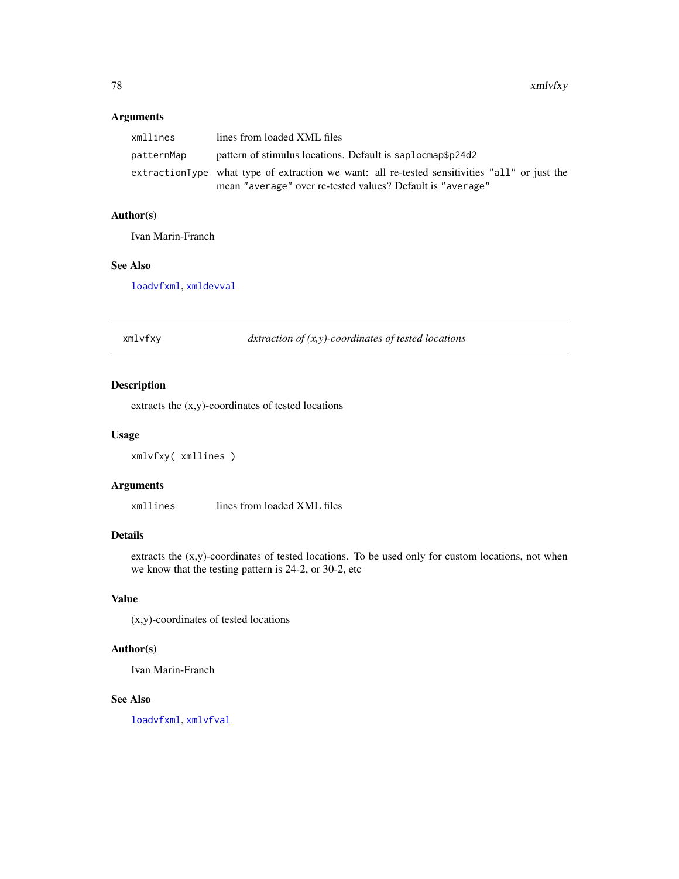#### <span id="page-77-0"></span>Arguments

| xmllines   | lines from loaded XML files                                                                   |
|------------|-----------------------------------------------------------------------------------------------|
| patternMap | pattern of stimulus locations. Default is saplocmap\$p24d2                                    |
|            | extractionType what type of extraction we want: all re-tested sensitivities "all" or just the |
|            | mean "average" over re-tested values? Default is "average"                                    |

#### Author(s)

Ivan Marin-Franch

# See Also

[loadvfxml](#page-21-0), [xmldevval](#page-75-0)

xmlvfxy *dxtraction of (x,y)-coordinates of tested locations*

# Description

extracts the (x,y)-coordinates of tested locations

#### Usage

```
xmlvfxy( xmllines )
```
#### Arguments

xmllines lines from loaded XML files

#### Details

extracts the (x,y)-coordinates of tested locations. To be used only for custom locations, not when we know that the testing pattern is 24-2, or 30-2, etc

# Value

(x,y)-coordinates of tested locations

### Author(s)

Ivan Marin-Franch

#### See Also

[loadvfxml](#page-21-0), [xmlvfval](#page-76-1)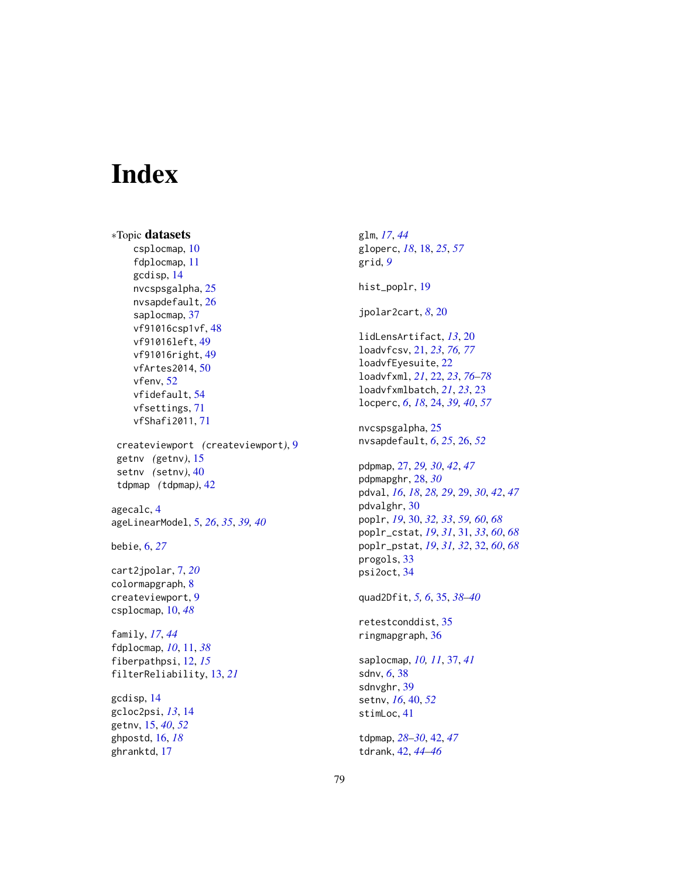# Index

∗Topic datasets csplocmap, [10](#page-9-0) fdplocmap, [11](#page-10-0) gcdisp, [14](#page-13-0) nvcspsgalpha, [25](#page-24-0) nvsapdefault, [26](#page-25-0) saplocmap, [37](#page-36-0) vf91016csp1vf, [48](#page-47-0) vf91016left, [49](#page-48-0) vf91016right, [49](#page-48-0) vfArtes2014, [50](#page-49-0) vfenv, [52](#page-51-0) vfidefault, [54](#page-53-1) vfsettings, [71](#page-70-0) vfShafi2011, [71](#page-70-0) createviewport *(*createviewport*)*, [9](#page-8-0) getnv *(*getnv*)*, [15](#page-14-0) setnv *(*setnv*)*, [40](#page-39-0) tdpmap *(*tdpmap*)*, [42](#page-41-0) agecalc, [4](#page-3-0) ageLinearModel, [5,](#page-4-0) *[26](#page-25-0)*, *[35](#page-34-0)*, *[39,](#page-38-0) [40](#page-39-0)* bebie, [6,](#page-5-0) *[27](#page-26-0)* cart2jpolar, [7,](#page-6-0) *[20](#page-19-0)* colormapgraph, [8](#page-7-0) createviewport, [9](#page-8-0) csplocmap, [10,](#page-9-0) *[48](#page-47-0)* family, *[17](#page-16-0)*, *[44](#page-43-0)* fdplocmap, *[10](#page-9-0)*, [11,](#page-10-0) *[38](#page-37-0)* fiberpathpsi, [12,](#page-11-0) *[15](#page-14-0)* filterReliability, [13,](#page-12-0) *[21](#page-20-1)* gcdisp, [14](#page-13-0) gcloc2psi, *[13](#page-12-0)*, [14](#page-13-0) getnv, [15,](#page-14-0) *[40](#page-39-0)*, *[52](#page-51-0)* ghpostd, [16,](#page-15-0) *[18](#page-17-0)* ghranktd, [17](#page-16-0)

glm, *[17](#page-16-0)*, *[44](#page-43-0)* gloperc, *[18](#page-17-0)*, [18,](#page-17-0) *[25](#page-24-0)*, *[57](#page-56-0)* grid, *[9](#page-8-0)* hist\_poplr, [19](#page-18-0) jpolar2cart, *[8](#page-7-0)*, [20](#page-19-0) lidLensArtifact, *[13](#page-12-0)*, [20](#page-19-0) loadvfcsv, [21,](#page-20-1) *[23](#page-22-0)*, *[76,](#page-75-1) [77](#page-76-2)* loadvfEyesuite, [22](#page-21-1) loadvfxml, *[21](#page-20-1)*, [22,](#page-21-1) *[23](#page-22-0)*, *[76](#page-75-1)[–78](#page-77-0)* loadvfxmlbatch, *[21](#page-20-1)*, *[23](#page-22-0)*, [23](#page-22-0) locperc, *[6](#page-5-0)*, *[18](#page-17-0)*, [24,](#page-23-0) *[39,](#page-38-0) [40](#page-39-0)*, *[57](#page-56-0)* nvcspsgalpha, [25](#page-24-0) nvsapdefault, *[6](#page-5-0)*, *[25](#page-24-0)*, [26,](#page-25-0) *[52](#page-51-0)* pdpmap, [27,](#page-26-0) *[29,](#page-28-0) [30](#page-29-0)*, *[42](#page-41-0)*, *[47](#page-46-0)* pdpmapghr, [28,](#page-27-0) *[30](#page-29-0)* pdval, *[16](#page-15-0)*, *[18](#page-17-0)*, *[28,](#page-27-0) [29](#page-28-0)*, [29,](#page-28-0) *[30](#page-29-0)*, *[42](#page-41-0)*, *[47](#page-46-0)* pdvalghr, [30](#page-29-0) poplr, *[19](#page-18-0)*, [30,](#page-29-0) *[32,](#page-31-0) [33](#page-32-0)*, *[59,](#page-58-0) [60](#page-59-0)*, *[68](#page-67-0)* poplr\_cstat, *[19](#page-18-0)*, *[31](#page-30-0)*, [31,](#page-30-0) *[33](#page-32-0)*, *[60](#page-59-0)*, *[68](#page-67-0)* poplr\_pstat, *[19](#page-18-0)*, *[31,](#page-30-0) [32](#page-31-0)*, [32,](#page-31-0) *[60](#page-59-0)*, *[68](#page-67-0)* progols, [33](#page-32-0) psi2oct, [34](#page-33-0) quad2Dfit, *[5,](#page-4-0) [6](#page-5-0)*, [35,](#page-34-0) *[38](#page-37-0)[–40](#page-39-0)* retestconddist, [35](#page-34-0) ringmapgraph, [36](#page-35-0) saplocmap, *[10,](#page-9-0) [11](#page-10-0)*, [37,](#page-36-0) *[41](#page-40-0)* sdnv, *[6](#page-5-0)*, [38](#page-37-0) sdnvghr, [39](#page-38-0) setnv, *[16](#page-15-0)*, [40,](#page-39-0) *[52](#page-51-0)* stimLoc, [41](#page-40-0) tdpmap, *[28](#page-27-0)[–30](#page-29-0)*, [42,](#page-41-0) *[47](#page-46-0)* tdrank, [42,](#page-41-0) *[44](#page-43-0)[–46](#page-45-0)*